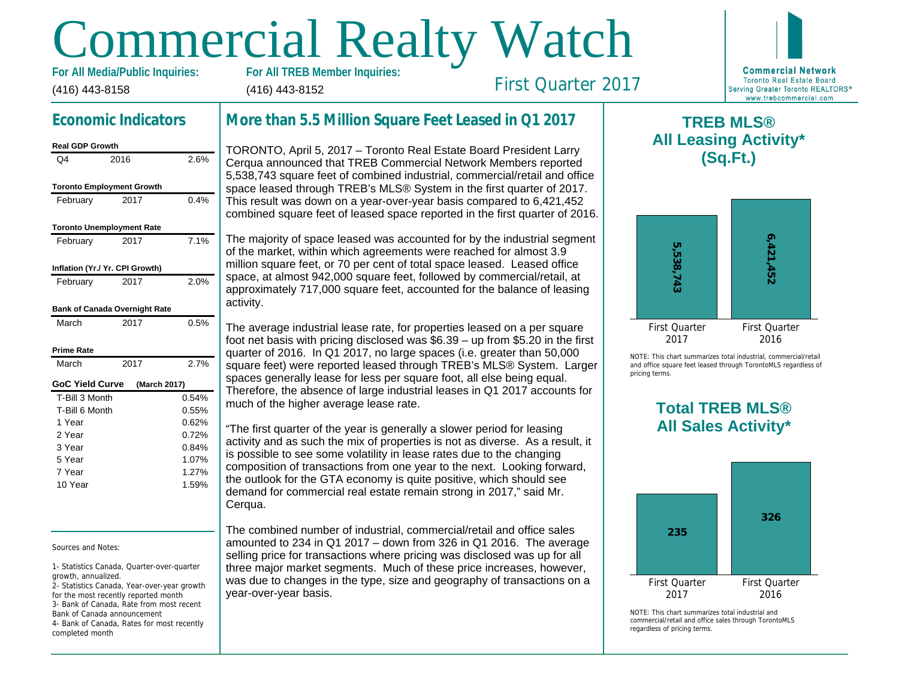# Commercial Realty Watch

(416) 443-8158 For All Media/Public Inquiries: (416) 443-8152

First Quarter 2017

## Economic Indicators

| <b>Real GDP Growth</b>           |                                  |
|----------------------------------|----------------------------------|
| 2016                             | 2.6%                             |
|                                  |                                  |
|                                  |                                  |
| 2017                             | 0.4%                             |
| <b>Toronto Unemployment Rate</b> |                                  |
| 2017                             | 7.1%                             |
| Inflation (Yr./ Yr. CPI Growth)  |                                  |
| 2017                             | 2.0%                             |
| Bank of Canada Overnight Rate    |                                  |
| 2017                             | 0.5%                             |
|                                  |                                  |
| 2017                             | 2.7%                             |
| GoC Yield Curve<br>(March 2017)  |                                  |
| T-Bill 3 Month                   | 0.54%                            |
| T-Bill 6 Month                   | 0.55%                            |
|                                  | 0.62%                            |
|                                  | 0.72%                            |
|                                  | 0.84%                            |
|                                  | 1.07%                            |
|                                  | 1.27%                            |
|                                  | 1.59%                            |
|                                  | <b>Toronto Employment Growth</b> |

Sources and Notes:

1- Statistics Canada, Quarter-over-quarter growth, annualized.

2- Statistics Canada, Year-over-year growth for the most recently reported month 3- Bank of Canada, Rate from most recent Bank of Canada announcement 4- Bank of Canada, Rates for most recently completed month

# More than 5.5 Million Square Feet Leased in Q1 201

TORONTO, April 5, 2017 – Toronto Real Estate Board President Larry Cerqua announced that TREB Commercial Network Members reported 5,538,743 square feet of combined industrial, commercial/retail and office space leased through TREB's MLS® System in the first quarter of 2017. This result was down on a year-over-year basis compared to 6,421,452 combined square feet of leased space reported in the first quarter of 2016.

The majority of space leased was accounted for by the industrial segment of the market, within which agreements were reached for almost 3.9 million square feet, or 70 per cent of total space leased. Leased office space, at almost 942,000 square feet, followed by commercial/retail, at approximately 717,000 square feet, accounted for the balance of leasing activity.

The average industrial lease rate, for properties leased on a per square foot net basis with pricing disclosed was \$6.39 – up from \$5.20 in the first quarter of 2016. In Q1 2017, no large spaces (i.e. greater than 50,000 square feet) were reported leased through TREB's MLS® System. Larger spaces generally lease for less per square foot, all else being equal. Therefore, the absence of large industrial leases in Q1 2017 accounts for much of the higher average lease rate.

"The first quarter of the year is generally a slower period for leasing activity and as such the mix of properties is not as diverse. As a result, it is possible to see some volatility in lease rates due to the changing composition of transactions from one year to the next. Looking forward, the outlook for the GTA economy is quite positive, which should see demand for commercial real estate remain strong in 2017," said Mr. Cerqua.

The combined number of industrial, commercial/retail and office sales amounted to 234 in Q1 2017 – down from 326 in Q1 2016. The average selling price for transactions where pricing was disclosed was up for all three major market segments. Much of these price increases, however, was due to changes in the type, size and geography of transactions on a year-over-year basis.

 $\mathsf T$ All Lea

NOTE: This chart sur and office square fee pricing terms.

# Total All Sa

 $NOTF: This chart sur$ commercial/retail and regardless of pricing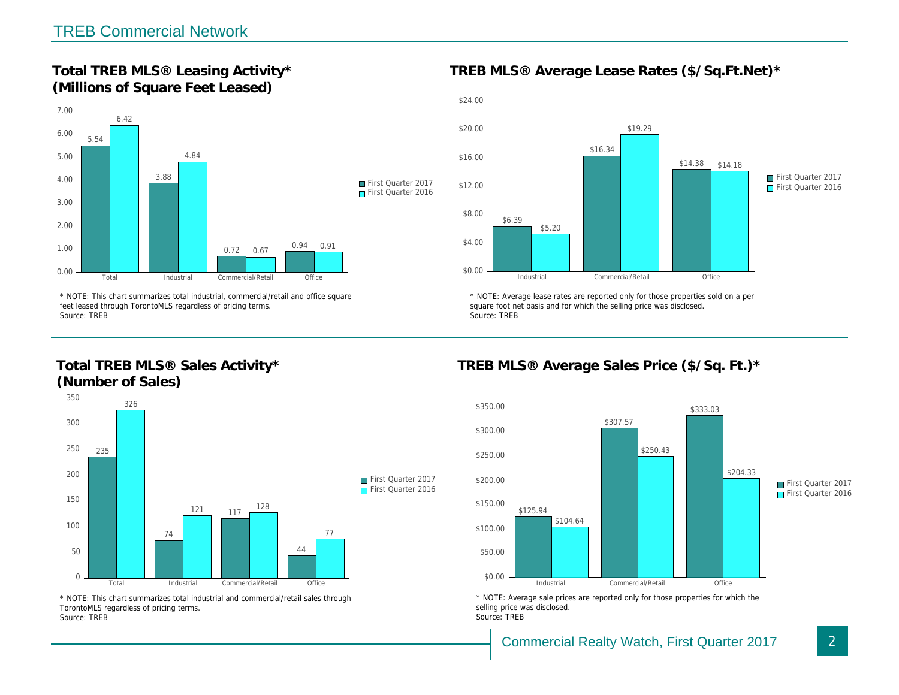Total TREB MLS® Leasing Activity\* (Millions of Square Feet Leased)

TREB MLS® Average Lease Rates (\$/So.

\* NOTE: This chart summarizes total industrial, commercial/retail and office square feet leased through TorontoMLS regardless of pricing terms. Source: TREB

Total TREB MLS® Sales Activity\* (Number of Sales)

\* NOTE: Average lease rates are reported only for those proper square foot net basis and for which the selling price was disclos Source: TREB

TREB MLS® Average Sales Price (\$/So.

\* NOTE: This chart summarizes total industrial and commercial/retail sales through TorontoMLS regardless of pricing terms. Source: TREB

\* NOTE: Average sale prices are reported only for those prope selling price was disclosed. Source: TREB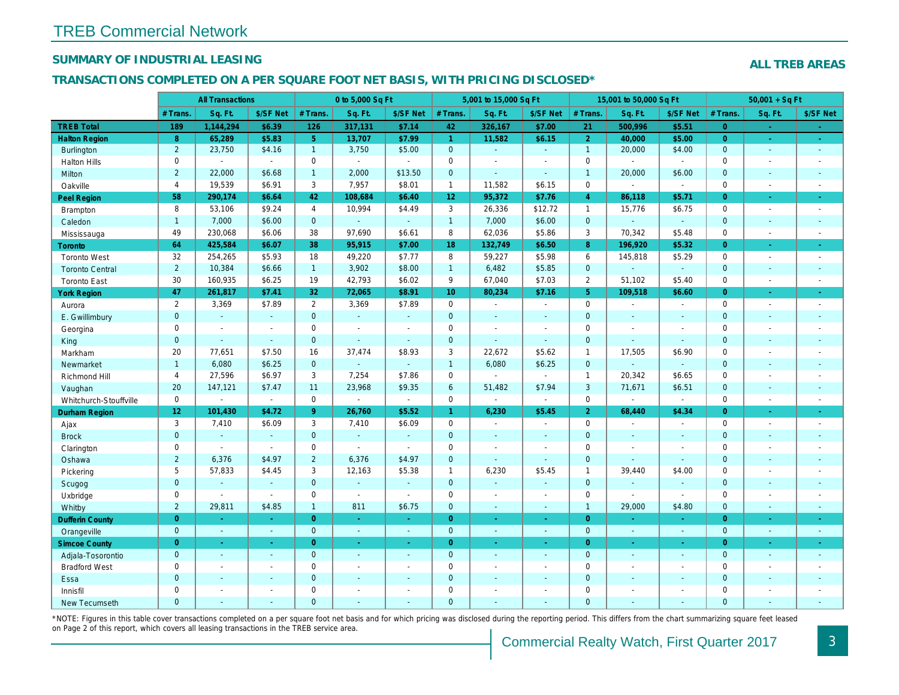## SUMMARY OF INDUSTRIAL LEASING

## TRANSACTIONS COMPLETED ON A PER SQUARE FOOT NET BASIS, WITH PRICING DISCLOSED\*

|                        |                 | <b>All Transactions</b> |                |                | 0 to 5,000 Sq Ft      |                          |                 | 5,001 to 15,000 Sq Ft    |                          |                | 15,001 to 50,000 Sq Ft |                  |
|------------------------|-----------------|-------------------------|----------------|----------------|-----------------------|--------------------------|-----------------|--------------------------|--------------------------|----------------|------------------------|------------------|
|                        | # Trans.        | Sq. Ft.                 | \$/SF Net      | # Trans.       | Sq. Ft.               | \$/SF Net                | # Trans.        | Sq. Ft.                  | \$/SF Net                | # Trans.       | Sq. Ft.                | \$/SF Ne         |
| <b>TREB Total</b>      | 189             | 1,144,294               | \$6.39         | 126            | 317,131               | \$7.14                   | 42              | 326,167                  | \$7.00                   | 21             | 500,996                | \$5.51           |
| <b>Halton Region</b>   | 8               | 65,289                  | \$5.83         | 5 <sup>1</sup> | 13,707                | \$7.99                   | $\overline{1}$  | 11,582                   | \$6.15                   | $\overline{2}$ | 40,000                 | \$5.00           |
| <b>Burlington</b>      | $\overline{2}$  | 23,750                  | \$4.16         | $\mathbf{1}$   | 3,750                 | \$5.00                   | $\mathbf{0}$    | $\blacksquare$           | $\omega$ .               | $\overline{1}$ | 20,000                 | \$4.00           |
| <b>Halton Hills</b>    | 0               | $\omega$                | $\blacksquare$ | 0              | $\sim$                | $\sim$                   | $\mathbf 0$     | $\blacksquare$           | $\blacksquare$           | $\mathbf 0$    | $\blacksquare$         | $\omega$         |
| Milton                 | $\overline{2}$  | 22,000                  | \$6.68         | $\mathbf{1}$   | 2,000                 | \$13.50                  | $\mathbf{0}$    | $\blacksquare$           | $\blacksquare$           | $\overline{1}$ | 20,000                 | \$6.00           |
| Oakville               | $\overline{4}$  | 19,539                  | \$6.91         | 3              | 7,957                 | \$8.01                   | $\mathbf{1}$    | 11,582                   | \$6.15                   | $\mathbf 0$    | $\blacksquare$         | $\blacksquare$   |
| Peel Region            | 58              | 290,174                 | \$6.64         | 42             | 108,684               | \$6.40                   | 12 <sub>2</sub> | 95,372                   | \$7.76                   | $\overline{4}$ | 86,118                 | \$5.71           |
| Brampton               | 8               | 53,106                  | \$9.24         | $\overline{4}$ | 10,994                | \$4.49                   | 3               | 26,336                   | \$12.72                  | $\mathbf{1}$   | 15,776                 | \$6.75           |
| Caledon                | $\mathbf{1}$    | 7,000                   | \$6.00         | $\mathbf{0}$   | ¥.                    | $\omega$                 | $\mathbf{1}$    | 7,000                    | \$6.00                   | $\overline{0}$ | $\omega$               | $\blacksquare$   |
| Mississauga            | 49              | 230,068                 | \$6.06         | 38             | 97,690                | \$6.61                   | 8               | 62,036                   | \$5.86                   | 3              | 70,342                 | \$5.48           |
| <b>Toronto</b>         | 64              | 425,584                 | \$6.07         | 38             | 95,915                | \$7.00                   | 18              | 132,749                  | \$6.50                   | 8              | 196,920                | \$5.32           |
| <b>Toronto West</b>    | 32              | 254,265                 | \$5.93         | 18             | 49,220                | \$7.77                   | 8               | 59,227                   | \$5.98                   | 6              | 145,818                | \$5.29           |
| <b>Toronto Central</b> | $\overline{2}$  | 10,384                  | \$6.66         | $\mathbf{1}$   | 3,902                 | \$8.00                   | $\mathbf{1}$    | 6,482                    | \$5.85                   | $\mathbf{0}$   | $\blacksquare$         | $\blacksquare$   |
| <b>Toronto East</b>    | 30              | 160,935                 | \$6.25         | 19             | 42,793                | \$6.02                   | 9               | 67,040                   | \$7.03                   | $\overline{2}$ | 51,102                 | \$5.40           |
| <b>York Region</b>     | 47              | 261,817                 | \$7.41         | 32             | 72,065                | \$8.91                   | 10 <sup>°</sup> | 80,234                   | \$7.16                   | 5 <sup>5</sup> | 109,518                | \$6.60           |
| Aurora                 | 2               | 3,369                   | \$7.89         | $\mathbf{2}$   | 3,369                 | \$7.89                   | $\mathbf 0$     | $\blacksquare$           | $\blacksquare$           | $\mathbf 0$    | $\blacksquare$         | $\sim$           |
| E. Gwillimbury         | $\mathbf{0}$    | $\omega$                | $\omega$       | $\mathbf{0}$   | $\omega$              | $\sim$                   | $\mathbf{0}$    | $\omega$                 | $\sim$                   | $\mathbf{0}$   | $\omega$               | $\sim$           |
| Georgina               | $\mathbf 0$     | $\sim$                  | $\sim$         | $\mathbf 0$    | $\omega$              | $\blacksquare$           | $\mathbf 0$     | $\blacksquare$           | $\overline{a}$           | $\mathbf 0$    | $\sim$                 | $\blacksquare$   |
| King                   | $\mathbf{0}$    | $\sim$                  | $\omega$       | $\mathbf{0}$   | ä,                    | $\blacksquare$           | $\mathbf{0}$    | $\Delta$                 | $\Delta$                 | $\mathbf{0}$   | $\Delta$               | $\sim$           |
| Markham                | 20              | 77,651                  | \$7.50         | 16             | 37,474                | \$8.93                   | 3               | 22,672                   | \$5.62                   | $\overline{1}$ | 17,505                 | \$6.90           |
| Newmarket              | $\mathbf{1}$    | 6,080                   | \$6.25         | $\mathbf{0}$   | ä,                    | $\blacksquare$           | $\mathbf{1}$    | 6,080                    | \$6.25                   | $\mathbf{0}$   |                        | $\blacksquare$   |
| Richmond Hill          | 4               | 27,596                  | \$6.97         | 3              | 7,254                 | \$7.86                   | $\mathbf 0$     | $\blacksquare$           | $\omega$                 | $\overline{1}$ | 20,342                 | \$6.65           |
| Vaughan                | 20              | 147,121                 | \$7.47         | 11             | 23,968                | \$9.35                   | $6\phantom{1}$  | 51,482                   | \$7.94                   | 3              | 71,671                 | \$6.51           |
| Whitchurch-Stouffville | 0               | $\sim$                  | $\omega$       | 0              | $\blacksquare$        | $\blacksquare$           | $\mathsf 0$     | $\blacksquare$           | $\blacksquare$           | $\mathbf 0$    | $\blacksquare$         | $\blacksquare$   |
| Durham Region          | 12 <sub>2</sub> | 101,430                 | \$4.72         | 9 <sup>°</sup> | 26,760                | \$5.52                   | $\mathbf{1}$    | 6,230                    | \$5.45                   | $\overline{2}$ | 68,440                 | \$4.34           |
| Ajax                   | 3               | 7,410                   | \$6.09         | 3              | 7,410                 | \$6.09                   | $\mathbf 0$     | $\blacksquare$           | $\sim$                   | $\mathbf 0$    | $\blacksquare$         | $\sim$           |
| <b>Brock</b>           | $\mathbf 0$     | $\omega$                | $\blacksquare$ | $\mathbf{0}$   | $\omega$              | $\blacksquare$           | $\mathbf 0$     | $\omega$                 | $\sim$                   | $\mathbf{0}$   | $\blacksquare$         | $\blacksquare$   |
| Clarington             | 0               | $\sim$                  | $\omega$       | $\mathbf 0$    | $\tilde{\phantom{a}}$ | $\blacksquare$           | $\mathbf 0$     | $\blacksquare$           | $\blacksquare$           | $\mathbf{0}$   | $\sim$                 | $\blacksquare$   |
| Oshawa                 | $\overline{2}$  | 6,376                   | \$4.97         | 2              | 6,376                 | \$4.97                   | $\mathbf{0}$    | $\sim$                   | $\sim$                   | $\mathbf{0}$   | $\sim$                 | $\sim$           |
| Pickering              | 5               | 57,833                  | \$4.45         | 3              | 12,163                | \$5.38                   | $\mathbf{1}$    | 6,230                    | \$5.45                   | $\mathbf{1}$   | 39,440                 | \$4.00           |
| Scugog                 | $\mathbf{0}$    | $\sim$                  | $\sim$         | $\mathbf{0}$   | ä,                    | $\omega$                 | $\mathbf{0}$    | $\omega$                 | $\blacksquare$           | $\mathbf{0}$   |                        | $\blacksquare$   |
| Uxbridge               | $\mathbf 0$     | $\sim$                  | $\omega$       | $\mathbf 0$    | $\mathbf{r}$          | $\blacksquare$           | $\mathbf 0$     | $\blacksquare$           | $\blacksquare$           | $\mathbf 0$    | $\blacksquare$         | $\blacksquare$   |
| Whitby                 | $\overline{2}$  | 29,811                  | \$4.85         | $\mathbf{1}$   | 811                   | \$6.75                   | $\mathbf 0$     | $\omega$                 | $\omega$                 | $\mathbf{1}$   | 29,000                 | \$4.80           |
| <b>Dufferin County</b> | $\overline{0}$  | $\omega$                | $\sim$         | $\overline{0}$ | $\omega$              | $\sim$                   | $\overline{0}$  | $\omega$                 | $\omega$                 | $\overline{0}$ | $\sim$                 | $\sim$           |
| Orangeville            | $\mathbf{0}$    | $\omega$                | $\sim$         | $\mathbf{0}$   | $\omega$              | $\omega$                 | $\mathbf{0}$    | $\omega$                 | $\blacksquare$           | $\overline{0}$ | $\omega$               | $\sim$           |
| <b>Simcoe County</b>   | $\overline{0}$  | $\sim$                  | $\blacksquare$ | $\overline{0}$ | $\omega$              | ÷                        | $\overline{0}$  | ÷                        | ÷                        | $\overline{0}$ | $\blacksquare$         | $\sigma_{\rm c}$ |
| Adjala-Tosorontio      | $\mathbf{0}$    | $\sim$                  | $\sim$         | $\mathbf{0}$   | $\sim$                | $\sim$                   | $\mathbf{0}$    | $\blacksquare$           | $\sim$                   | $\overline{0}$ | $\blacksquare$         | $\sim$           |
| <b>Bradford West</b>   | 0               | $\blacksquare$          | $\sim$         | $\mathbf 0$    | $\omega$              | $\blacksquare$           | $\mathbf 0$     | $\blacksquare$           | $\blacksquare$           | $\mathbf 0$    | $\blacksquare$         | $\blacksquare$   |
| Essa                   | $\mathbf{0}$    | $\sim$                  | $\sim$         | $\mathbf 0$    | $\sim$                | $\blacksquare$           | $\mathbf 0$     | $\sim$                   | $\sim$                   | $\mathbf{0}$   | $\sim$                 | $\blacksquare$   |
| Innisfil               | $\mathbf 0$     | $\sim$                  | $\sim$         | $\mathbf 0$    | $\blacksquare$        | $\overline{\phantom{a}}$ | $\mathbf 0$     | $\overline{\phantom{a}}$ | $\overline{\phantom{a}}$ | $\mathbf 0$    | $\blacksquare$         | $\blacksquare$   |
| <b>New Tecumseth</b>   | $\Omega$        | $\sim$                  |                | $\Omega$       | ä,                    | $\sim$                   | $\mathbf{0}$    | $\blacksquare$           | $\blacksquare$           | $\mathbf{0}$   | $\sim$                 | $\sim$           |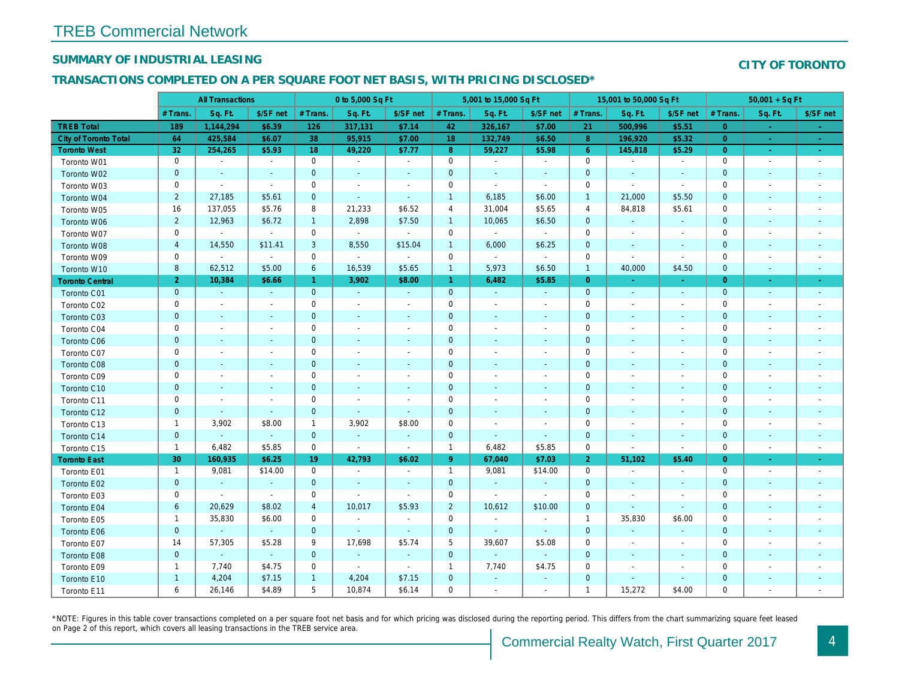## SUMMARY OF INDUSTRIAL LEASING

#### TRANSACTIONS COMPLETED ON A PER SQUARE FOOT NET BASIS, WITH PRICING DISCLOSED\*

|                              | <b>All Transactions</b> |                          |                      | 0 to 5,000 Sq Ft |                          |                          | 5,001 to 15,000 Sq Ft |                          |                          | 15,001 to 50,000 Sq Ft |                          |                             |
|------------------------------|-------------------------|--------------------------|----------------------|------------------|--------------------------|--------------------------|-----------------------|--------------------------|--------------------------|------------------------|--------------------------|-----------------------------|
|                              | # Trans.                | Sq. Ft.                  | \$/SF net            | # Trans.         | Sq. Ft.                  | \$/SF net                | # Trans.              | Sq. Ft.                  | \$/SF net                | # Trans.               | Sq. Ft.                  | \$/SF ne                    |
| <b>TREB Total</b>            | 189                     | 1,144,294                | \$6.39               | 126              | 317,131                  | \$7.14                   | 42                    | 326,167                  | \$7.00                   | 21                     | 500,996                  | \$5.51                      |
| <b>City of Toronto Total</b> | 64                      | 425,584                  | \$6.07               | 38               | 95,915                   | \$7.00                   | 18                    | 132,749                  | \$6.50                   | 8                      | 196,920                  | \$5.32                      |
| <b>Toronto West</b>          | 32                      | 254,265                  | \$5.93               | 18               | 49,220                   | \$7.77                   | $\boldsymbol{8}$      | 59,227                   | \$5.98                   | $6\phantom{1}6$        | 145,818                  | \$5.29                      |
| Toronto W01                  | $\mathbf 0$             | $\sim$                   | $\sim$               | $\mathbf 0$      | $\blacksquare$           | $\sim$                   | $\mathbf 0$           | $\blacksquare$           | $\blacksquare$           | $\mathbf 0$            | $\overline{\phantom{a}}$ | $\mathcal{L}_{\mathcal{A}}$ |
| Toronto W02                  | $\pmb{0}$               | $\sim$                   | $\blacksquare$       | $\mathbf 0$      | $\blacksquare$           | $\blacksquare$           | $\pmb{0}$             | $\blacksquare$           | $\blacksquare$           | $\mathbf 0$            | $\sim$                   | $\sim$                      |
| Toronto W03                  | $\mathbf 0$             | $\sim$                   | $\sim$               | $\mathbf 0$      | $\blacksquare$           | $\blacksquare$           | 0                     | $\sim$                   | $\sim$                   | 0                      |                          | $\sim$                      |
| Toronto W04                  | $\overline{2}$          | 27,185                   | \$5.61               | $\mathbf{0}$     | $\omega$                 | $\blacksquare$           | $\mathbf{1}$          | 6,185                    | \$6.00                   | $\overline{1}$         | 21,000                   | \$5.50                      |
| Toronto W05                  | 16                      | 137,055                  | \$5.76               | 8                | 21,233                   | \$6.52                   | 4                     | 31,004                   | \$5.65                   | $\overline{4}$         | 84,818                   | \$5.61                      |
| Toronto W06                  | $\overline{c}$          | 12,963                   | \$6.72               | $\mathbf{1}$     | 2,898                    | \$7.50                   | $\mathbf{1}$          | 10,065                   | \$6.50                   | $\mathbf 0$            | $\overline{\phantom{a}}$ | $\sim$                      |
| Toronto W07                  | $\mathbf 0$             | $\sim$                   | $\blacksquare$       | $\mathbf 0$      | $\blacksquare$           | $\blacksquare$           | $\mathbf 0$           | $\blacksquare$           | $\blacksquare$           | 0                      | $\overline{\phantom{a}}$ | $\sim$                      |
| Toronto W08                  | $\overline{a}$          | 14,550                   | \$11.41              | 3                | 8,550                    | \$15.04                  | $\mathbf{1}$          | 6,000                    | \$6.25                   | $\pmb{0}$              | $\blacksquare$           | $\sim$                      |
| Toronto W09                  | $\mathbf 0$             | $\blacksquare$           | $\blacksquare$       | $\mathbf 0$      | $\blacksquare$           | $\blacksquare$           | $\mathbf 0$           | $\blacksquare$           | $\blacksquare$           | 0                      | $\overline{\phantom{a}}$ | $\blacksquare$              |
| Toronto W10                  | 8                       | 62,512                   | \$5.00               | 6                | 16,539                   | \$5.65                   | $\mathbf{1}$          | 5,973                    | \$6.50                   | $\overline{1}$         | 40,000                   | \$4.50                      |
| <b>Toronto Central</b>       | $\overline{2}$          | 10,384                   | \$6.66               | $\mathbf{1}$     | 3,902                    | \$8.00                   | $\mathbf{1}$          | 6,482                    | \$5.85                   | $\overline{0}$         | $\sim$                   | $\blacksquare$              |
| <b>Toronto C01</b>           | $\pmb{0}$               | $\sim$                   | $\sim$               | $\mathbf{0}$     | $\sim$                   | $\sim$                   | $\mathbf 0$           | $\blacksquare$           | $\blacksquare$           | $\mathbf{0}$           | $\blacksquare$           | $\sim$                      |
| Toronto C02                  | $\mathbf 0$             | $\blacksquare$           | $\blacksquare$       | $\mathbf 0$      | $\blacksquare$           | $\overline{\phantom{a}}$ | $\mathbf 0$           | $\blacksquare$           | $\overline{\phantom{a}}$ | 0                      |                          | $\blacksquare$              |
| Toronto C03                  | $\pmb{0}$               | $\blacksquare$           | $\blacksquare$       | $\mathbf 0$      | $\blacksquare$           | $\blacksquare$           | 0                     | $\blacksquare$           | $\blacksquare$           | 0                      | $\overline{\phantom{a}}$ | $\blacksquare$              |
| Toronto C04                  | $\mathbf 0$             | $\overline{\phantom{a}}$ | $\blacksquare$       | $\mathbf 0$      | $\overline{a}$           | $\frac{1}{2}$            | 0                     | $\overline{\phantom{a}}$ | $\blacksquare$           | 0                      |                          | $\overline{\phantom{a}}$    |
| <b>Toronto C06</b>           | $\pmb{0}$               | $\blacksquare$           | $\blacksquare$       | $\mathbf 0$      | $\blacksquare$           | $\blacksquare$           | $\pmb{0}$             | $\blacksquare$           | $\blacksquare$           | $\pmb{0}$              | $\overline{\phantom{a}}$ | $\sim$                      |
| Toronto C07                  | $\mathsf 0$             | $\blacksquare$           | $\blacksquare$       | $\mathsf 0$      | $\overline{a}$           | $\frac{1}{2}$            | $\mathbf 0$           | $\blacksquare$           | $\blacksquare$           | 0                      |                          | $\overline{\phantom{a}}$    |
| <b>Toronto C08</b>           | $\mathbf 0$             | $\blacksquare$           | ٠                    | $\mathbf 0$      | $\blacksquare$           | $\blacksquare$           | $\mathbf 0$           | $\blacksquare$           | $\blacksquare$           | $\mathbf 0$            | $\blacksquare$           | $\sim$                      |
| Toronto C09                  | $\mathbf 0$             | $\blacksquare$           | $\ddot{\phantom{1}}$ | $\mathsf 0$      | $\blacksquare$           | ä,                       | $\mathbf 0$           | $\blacksquare$           | $\ddot{\phantom{1}}$     | $\mathbf 0$            |                          | $\sim$                      |
| Toronto C10                  | $\mathbf 0$             | $\blacksquare$           | $\blacksquare$       | $\mathbf 0$      | $\blacksquare$           | $\blacksquare$           | $\mathbf 0$           | $\blacksquare$           | $\blacksquare$           | $\mathbf 0$            | $\blacksquare$           | $\sim$                      |
| Toronto C11                  | $\mathsf 0$             | $\blacksquare$           | $\ddot{\phantom{1}}$ | $\mathsf 0$      | $\overline{a}$           | $\blacksquare$           | $\mathsf{O}\xspace$   | $\blacksquare$           | $\blacksquare$           | $\mathbf 0$            |                          | $\overline{\phantom{a}}$    |
| Toronto C12                  | $\mathbf 0$             | $\blacksquare$           | $\blacksquare$       | $\mathbf 0$      | $\blacksquare$           | $\blacksquare$           | $\pmb{0}$             | $\blacksquare$           | $\blacksquare$           | $\mathbf 0$            |                          | $\blacksquare$              |
| Toronto C13                  | $\mathbf{1}$            | 3,902                    | \$8.00               | $\mathbf{1}$     | 3,902                    | \$8.00                   | $\mathbf 0$           | $\blacksquare$           | $\blacksquare$           | $\mathbf 0$            |                          |                             |
| Toronto C14                  | $\pmb{0}$               | $\omega$                 | $\omega$             | $\mathbf{0}$     | $\omega$                 | $\blacksquare$           | $\mathbf 0$           | $\blacksquare$           | $\omega$                 | $\mathbf 0$            | $\blacksquare$           | $\sim$                      |
| Toronto C15                  | $\mathbf{1}$            | 6,482                    | \$5.85               | $\mathbf 0$      | $\sim$                   | $\blacksquare$           | $\mathbf{1}$          | 6,482                    | \$5.85                   | $\mathbf 0$            | $\sim$                   | $\blacksquare$              |
| <b>Toronto East</b>          | 30                      | 160,935                  | \$6.25               | 19               | 42,793                   | \$6.02                   | $9^{\circ}$           | 67,040                   | \$7.03                   | $\overline{2}$         | 51,102                   | \$5.40                      |
| Toronto E01                  | $\mathbf{1}$            | 9,081                    | \$14.00              | $\mathbf 0$      | $\blacksquare$           | $\blacksquare$           | $\mathbf{1}$          | 9,081                    | \$14.00                  | $\mathbf 0$            | $\overline{\phantom{a}}$ | $\blacksquare$              |
| Toronto E02                  | $\mathbf 0$             | $\omega$                 | $\sim$               | $\mathbf{0}$     | $\blacksquare$           | $\blacksquare$           | $\mathbf 0$           | $\omega$                 | $\blacksquare$           | $\mathbf 0$            | $\blacksquare$           | $\blacksquare$              |
| Toronto E03                  | $\mathbf 0$             | $\blacksquare$           | $\blacksquare$       | $\mathbf 0$      | ÷,                       | $\blacksquare$           | $\mathbf 0$           | $\sim$                   | $\blacksquare$           | $\mathbf 0$            | $\overline{\phantom{a}}$ | $\overline{\phantom{a}}$    |
| Toronto E04                  | 6                       | 20,629                   | \$8.02               | $\overline{4}$   | 10,017                   | \$5.93                   | $\overline{2}$        | 10,612                   | \$10.00                  | $\mathbf 0$            |                          | $\blacksquare$              |
| Toronto E05                  | $\mathbf{1}$            | 35,830                   | \$6.00               | $\mathbf 0$      | $\overline{\phantom{a}}$ | $\blacksquare$           | $\mathbf 0$           | $\blacksquare$           | $\blacksquare$           | $\overline{1}$         | 35,830                   | \$6.00                      |
| Toronto E06                  | $\pmb{0}$               | $\omega$                 | $\omega$             | $\mathbf{0}$     | $\omega$                 | $\blacksquare$           | $\mathbf 0$           | $\omega$                 | $\blacksquare$           | $\mathbf{0}$           | $\blacksquare$           | $\blacksquare$              |
| Toronto E07                  | 14                      | 57,305                   | \$5.28               | 9                | 17,698                   | \$5.74                   | $\sqrt{5}$            | 39,607                   | \$5.08                   | $\mathbf 0$            |                          | $\overline{\phantom{a}}$    |
| Toronto E08                  | $\pmb{0}$               | $\omega$                 | $\sim$               | $\mathbf 0$      | $\blacksquare$           | $\blacksquare$           | $\mathbf 0$           | $\blacksquare$           | $\blacksquare$           | 0                      | $\blacksquare$           | $\blacksquare$              |
| Toronto E09                  | $\mathbf{1}$            | 7,740                    | \$4.75               | 0                | $\blacksquare$           | $\blacksquare$           | $\mathbf{1}$          | 7,740                    | \$4.75                   | 0                      |                          |                             |
| Toronto E10                  | $\mathbf{1}$            | 4,204                    | \$7.15               | $\mathbf{1}$     | 4,204                    | \$7.15                   | $\pmb{0}$             | $\blacksquare$           | $\blacksquare$           | $\mathbf 0$            | $\blacksquare$           |                             |
| Toronto E11                  | 6                       | 26,146                   | \$4.89               | 5                | 10,874                   | \$6.14                   | $\mathbf 0$           | $\blacksquare$           | $\blacksquare$           | $\mathbf{1}$           | 15,272                   | \$4.00                      |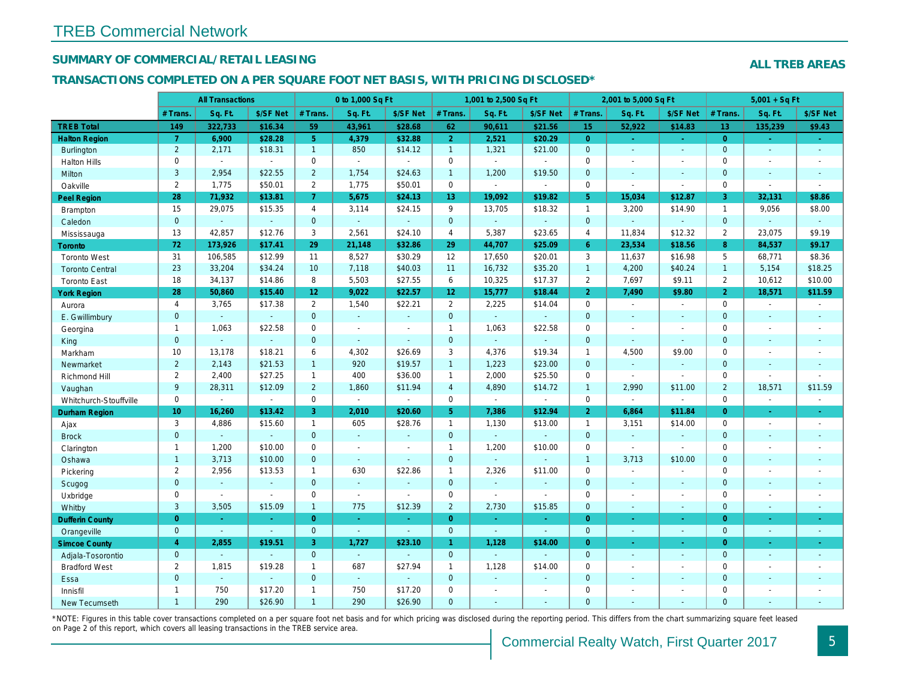## SUMMARY OF COMMERCIAL/RETAIL LEASING

#### TRANSACTIONS COMPLETED ON A PER SQUARE FOOT NET BASIS, WITH PRICING DISCLOSED\*

|                        | <b>All Transactions</b> |                |                | 0 to 1,000 Sq Ft      |                |                          | 1,001 to 2,500 Sq Ft |                  |                  | 2,001 to 5,000 Sq Ft |                |                          |
|------------------------|-------------------------|----------------|----------------|-----------------------|----------------|--------------------------|----------------------|------------------|------------------|----------------------|----------------|--------------------------|
|                        | # Trans.                | Sq. Ft.        | \$/SF Net      | # Trans.              | Sq. Ft.        | \$/SF Net                | # Trans.             | Sq. Ft.          | \$/SF Net        | # Trans.             | Sq. Ft.        | \$/SF Ne                 |
| <b>TREB Total</b>      | 149                     | 322,733        | \$16.34        | 59                    | 43,961         | \$28.68                  | 62                   | 90,611           | \$21.56          | 15                   | 52.922         | \$14.83                  |
| <b>Halton Region</b>   | $\overline{7}$          | 6,900          | \$28.28        | 5 <sup>1</sup>        | 4,379          | \$32.88                  | 2 <sup>1</sup>       | 2,521            | \$20.29          | $\overline{0}$       | $\bullet$      | $\sigma_{\rm c}$         |
| <b>Burlington</b>      | $\overline{2}$          | 2,171          | \$18.31        | 1                     | 850            | \$14.12                  | $\mathbf{1}$         | 1,321            | \$21.00          | $\mathbf{0}$         | $\blacksquare$ | $\blacksquare$           |
| <b>Halton Hills</b>    | 0                       | $\omega$       | $\sim$         | $\mathbf 0$           | $\sim$         | $\sim$                   | $\mathsf{O}$         | $\mathbf{r}$     | $\mathbf{r}$     | $\Omega$             | $\overline{a}$ | $\blacksquare$           |
| Milton                 | 3                       | 2,954          | \$22.55        | $\overline{2}$        | 1,754          | \$24.63                  | $\mathbf{1}$         | 1,200            | \$19.50          | $\mathbf{0}$         | $\omega$       | $\blacksquare$           |
| Oakville               | $\overline{2}$          | 1,775          | \$50.01        | $\mathbf{2}^{\prime}$ | 1,775          | \$50.01                  | $\mathsf{O}$         | $\blacksquare$   | $\blacksquare$   | $\mathbf 0$          | $\blacksquare$ | $\blacksquare$           |
| <b>Peel Region</b>     | 28                      | 71,932         | \$13.81        | $\overline{7}$        | 5,675          | \$24.13                  | 13 <sub>1</sub>      | 19,092           | \$19.82          | 5 <sup>5</sup>       | 15,034         | \$12.87                  |
| <b>Brampton</b>        | 15                      | 29,075         | \$15.35        | 4                     | 3,114          | \$24.15                  | 9                    | 13,705           | \$18.32          | $\mathbf{1}$         | 3,200          | \$14.90                  |
| Caledon                | $\mathbf{0}$            | $\omega$       | $\omega$       | $\mathbf 0$           | $\omega$       | $\blacksquare$           | $\mathbf 0$          | $\blacksquare$   | $\sim$           | $\mathbf{0}$         | $\omega$       | $\blacksquare$           |
| Mississauga            | 13                      | 42,857         | \$12.76        | 3                     | 2,561          | \$24.10                  | 4                    | 5,387            | \$23.65          | $\overline{4}$       | 11,834         | \$12.32                  |
| <b>Toronto</b>         | 72                      | 173,926        | \$17.41        | 29                    | 21,148         | \$32.86                  | 29                   | 44,707           | \$25.09          | 6 <sup>°</sup>       | 23,534         | \$18.56                  |
| <b>Toronto West</b>    | 31                      | 106,585        | \$12.99        | 11                    | 8,527          | \$30.29                  | 12                   | 17,650           | \$20.01          | 3                    | 11,637         | \$16.98                  |
| <b>Toronto Central</b> | 23                      | 33,204         | \$34.24        | 10                    | 7,118          | \$40.03                  | 11                   | 16,732           | \$35.20          | $\overline{1}$       | 4,200          | \$40.24                  |
| <b>Toronto East</b>    | 18                      | 34,137         | \$14.86        | 8                     | 5,503          | \$27.55                  | 6                    | 10,325           | \$17.37          | $\overline{2}$       | 7,697          | \$9.11                   |
| <b>York Region</b>     | 28                      | 50,860         | \$15.40        | 12 <sub>2</sub>       | 9,022          | \$22.57                  | 12 <sub>1</sub>      | 15,777           | \$18.44          | $\overline{2}$       | 7,490          | \$9.80                   |
| Aurora                 | $\overline{4}$          | 3,765          | \$17.38        | $\overline{2}$        | 1,540          | \$22.21                  | $\overline{2}$       | 2,225            | \$14.04          | $\mathbf 0$          | $\blacksquare$ | $\sim$                   |
| E. Gwillimbury         | $\overline{0}$          | $\omega$       | $\omega$       | $\overline{0}$        | $\omega$       | $\mathbf{r}$             | $\mathbf{0}$         | $\Box$           | $\omega$         | $\overline{0}$       | $\Delta$       | $\sim$                   |
| Georgina               | $\mathbf{1}$            | 1,063          | \$22.58        | 0                     | $\blacksquare$ | $\sim$                   | $\mathbf{1}$         | 1,063            | \$22.58          | $\mathbf 0$          | $\blacksquare$ | $\blacksquare$           |
| King                   | $\mathbf{0}$            | $\sim$         | $\omega$       | $\mathbf 0$           | $\Delta$       | $\blacksquare$           | $\mathbf{0}$         | $\omega$         | $\omega$         | $\mathbf{0}$         | $\Delta$       | $\blacksquare$           |
| Markham                | 10                      | 13,178         | \$18.21        | 6                     | 4,302          | \$26.69                  | 3                    | 4,376            | \$19.34          | $\mathbf{1}$         | 4,500          | \$9.00                   |
| Newmarket              | $\overline{2}$          | 2,143          | \$21.53        | $\mathbf{1}$          | 920            | \$19.57                  | $\overline{1}$       | 1,223            | \$23.00          | $\mathbf{0}$         | $\omega$       | $\omega$                 |
| Richmond Hill          | $\mathbf{2}$            | 2,400          | \$27.25        | $\mathbf{1}$          | 400            | \$36.00                  | $\mathbf{1}$         | 2,000            | \$25.50          | $\mathbf 0$          | $\sim$         | $\blacksquare$           |
| Vaughan                | 9                       | 28,311         | \$12.09        | $\overline{2}$        | 1,860          | \$11.94                  | $\overline{4}$       | 4,890            | \$14.72          | $\mathbf{1}$         | 2,990          | \$11.00                  |
| Whitchurch-Stouffville | 0                       | $\blacksquare$ | $\blacksquare$ | 0                     | $\omega$       | $\blacksquare$           | $\mathsf{O}$         | $\omega$         | $\blacksquare$   | $\mathbf 0$          | $\omega$       | $\blacksquare$           |
| <b>Durham Region</b>   | 10 <sub>1</sub>         | 16,260         | \$13.42        | 3                     | 2,010          | \$20.60                  | 5 <sub>5</sub>       | 7,386            | \$12.94          | $\overline{2}$       | 6,864          | \$11.84                  |
| Ajax                   | 3                       | 4,886          | \$15.60        | $\mathbf{1}$          | 605            | \$28.76                  | $\mathbf{1}$         | 1,130            | \$13.00          | $\mathbf{1}$         | 3,151          | \$14.00                  |
| <b>Brock</b>           | $\overline{0}$          | $\omega$       | $\omega$       | $\overline{0}$        | $\omega$       | $\blacksquare$           | $\mathbf{0}$         | $\omega_{\rm c}$ | $\omega_{\rm c}$ | $\overline{0}$       | $\omega$       | $\blacksquare$           |
| Clarington             | $\mathbf{1}$            | 1,200          | \$10.00        | 0                     | $\sim$         | $\ddot{\phantom{1}}$     | $\mathbf{1}$         | 1,200            | \$10.00          | $\mathbf 0$          | $\blacksquare$ | $\sim$                   |
| Oshawa                 | $\mathbf{1}$            | 3,713          | \$10.00        | $\mathbf{0}$          | $\sim$         | $\blacksquare$           | $\mathbf 0$          | $\blacksquare$   | $\blacksquare$   | $\mathbf{1}$         | 3,713          | \$10.00                  |
| Pickering              | $\mathbf{2}$            | 2,956          | \$13.53        | $\mathbf{1}$          | 630            | \$22.86                  | $\mathbf{1}$         | 2,326            | \$11.00          | $\mathbf 0$          | $\blacksquare$ | $\overline{\phantom{a}}$ |
| Scugog                 | $\mathbf{0}$            | $\sim$         | $\sim$         | $\overline{0}$        | $\omega$       | $\overline{\phantom{a}}$ | $\overline{0}$       | $\omega_{\rm c}$ | $\blacksquare$   | $\mathbf{0}$         | $\Delta$       | $\sim$                   |
| Uxbridge               | 0                       | $\sim$         | $\blacksquare$ | $\mathbf 0$           | $\sim$         | $\sim$                   | $\mathsf{O}$         | ä,               | $\blacksquare$   | $\mathbf 0$          | $\blacksquare$ | $\blacksquare$           |
| Whitby                 | 3                       | 3,505          | \$15.09        | $\mathbf{1}$          | 775            | \$12.39                  | $\overline{2}$       | 2,730            | \$15.85          | $\mathbf{0}$         | $\omega$       | $\sim$                   |
| <b>Dufferin County</b> | $\overline{0}$          | $\sim$         | $\omega$       | $\overline{0}$        | $\Delta \phi$  | $\omega$                 | $\overline{0}$       | $\sim$           | $\omega_{\rm c}$ | $\overline{0}$       | $\omega$       | $\omega_{\rm c}$         |
| Orangeville            | $\mathbf{0}$            | $\omega$       | $\omega$       | $\mathbf 0$           | $\omega$       | $\omega$                 | $\overline{0}$       | $\omega$         | $\omega$         | $\mathbf{0}$         | $\omega$       | $\sim$                   |
| <b>Simcoe County</b>   | $\overline{4}$          | 2,855          | \$19.51        | 3                     | 1,727          | \$23.10                  | $\mathbf{1}$         | 1,128            | \$14.00          | $\overline{0}$       | $\blacksquare$ | $\sigma_{\rm c}$         |
| Adjala-Tosorontio      | $\overline{0}$          | $\sim$         | $\mathbf{r}$   | $\Omega$              | $\omega$       | ÷.                       | $\overline{0}$       | $\blacksquare$   | ÷.               | $\Omega$             | $\sim$         | $\sim$                   |
| <b>Bradford West</b>   | $\overline{2}$          | 1,815          | \$19.28        | $\mathbf{1}$          | 687            | \$27.94                  | $\mathbf{1}$         | 1,128            | \$14.00          | $\mathbf 0$          | $\blacksquare$ | $\blacksquare$           |
| Essa                   | $\mathbf{0}$            | $\omega$       | $\sim$         | $\mathbf{0}$          | $\omega$       | $\blacksquare$           | $\overline{0}$       | $\omega$         | $\blacksquare$   | $\mathbf{0}$         | $\blacksquare$ |                          |
| Innisfil               | $\mathbf{1}$            | 750            | \$17.20        | $\mathbf{1}$          | 750            | \$17.20                  | $\mathsf{O}$         | $\blacksquare$   | $\blacksquare$   | $\mathbf 0$          | $\blacksquare$ | $\blacksquare$           |
| <b>New Tecumseth</b>   | $\mathbf{1}$            | 290            | \$26.90        | $\mathbf{1}$          | 290            | \$26.90                  | $\mathbf{0}$         | ä,               | $\blacksquare$   | $\mathbf{0}$         | $\sim$         | $\sim$                   |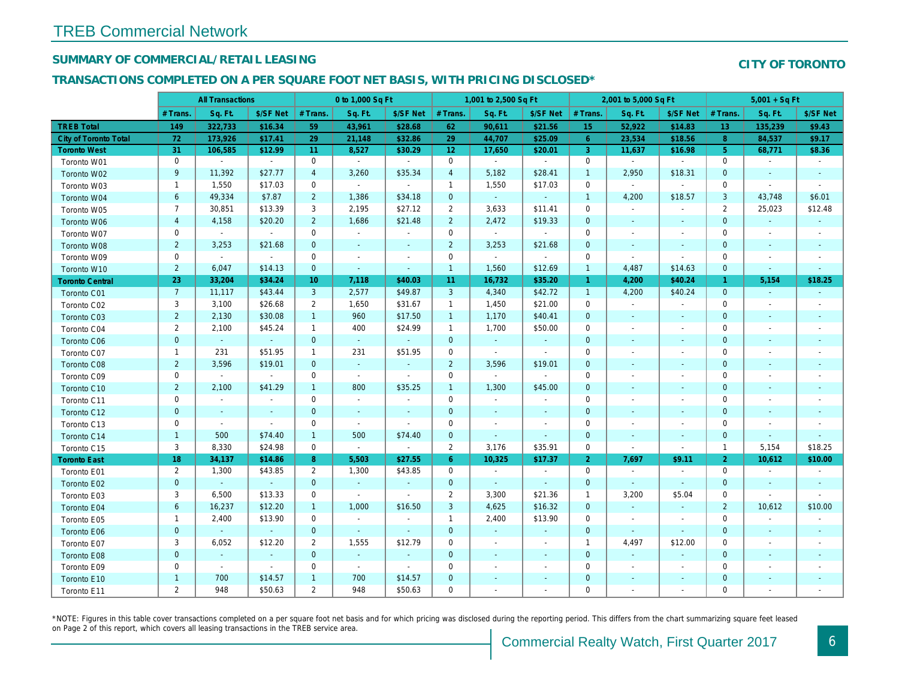## SUMMARY OF COMMERCIAL/RETAIL LEASING

## TRANSACTIONS COMPLETED ON A PER SQUARE FOOT NET BASIS, WITH PRICING DISCLOSED\*

|                              | <b>All Transactions</b> |                |                     | 0 to 1,000 Sq Ft |                |                          | 1,001 to 2,500 Sq Ft |                |                          | 2,001 to 5,000 Sq Ft |                |                          |
|------------------------------|-------------------------|----------------|---------------------|------------------|----------------|--------------------------|----------------------|----------------|--------------------------|----------------------|----------------|--------------------------|
|                              | # Trans.                | Sq. Ft.        | \$/SF Net           | # Trans.         | Sq. Ft.        | \$/SF Net                | # Trans.             | Sq. Ft.        | \$/SF Net                | # Trans.             | Sq. Ft.        | \$/SF Ne                 |
| <b>TREB Total</b>            | 149                     | 322,733        | \$16.34             | 59               | 43,961         | \$28.68                  | 62                   | 90,611         | \$21.56                  | 15                   | 52,922         | \$14.83                  |
| <b>City of Toronto Total</b> | 72                      | 173,926        | \$17.41             | 29               | 21,148         | \$32.86                  | 29                   | 44,707         | \$25.09                  | $6^{\circ}$          | 23,534         | \$18.56                  |
| <b>Toronto West</b>          | 31                      | 106,585        | \$12.99             | 11               | 8,527          | \$30.29                  | 12 <sub>2</sub>      | 17,650         | \$20.01                  | $\mathbf{3}$         | 11,637         | \$16.98                  |
| Toronto W01                  | 0                       | $\sim$         | $\sim$              | 0                | $\sim$         | $\sim$                   | $\mathbf 0$          | $\sim$         | $\sim$                   | $\mathbf 0$          | $\sim$         | $\blacksquare$           |
| Toronto W02                  | 9                       | 11,392         | \$27.77             | $\overline{4}$   | 3,260          | \$35.34                  | $\overline{4}$       | 5,182          | \$28.41                  | $\overline{1}$       | 2,950          | \$18.31                  |
| Toronto W03                  | $\mathbf{1}$            | 1,550          | \$17.03             | $\mathbf 0$      | $\sim$         | $\omega$                 | $\mathbf{1}$         | 1,550          | \$17.03                  | $\mathbf 0$          | $\blacksquare$ | $\blacksquare$           |
| Toronto W04                  | $\,6\,$                 | 49,334         | \$7.87              | $\overline{2}$   | 1,386          | \$34.18                  | $\mathbf 0$          | $\omega$       | $\omega$                 | $\mathbf{1}$         | 4,200          | \$18.57                  |
| Toronto W05                  | $\overline{7}$          | 30,851         | \$13.39             | 3                | 2,195          | \$27.12                  | $\overline{2}$       | 3,633          | \$11.41                  | 0                    | $\blacksquare$ |                          |
| Toronto W06                  | $\overline{4}$          | 4,158          | \$20.20             | $\overline{2}$   | 1,686          | \$21.48                  | $\overline{2}$       | 2,472          | \$19.33                  | $\mathbf{0}$         | $\sim$         | $\sim$                   |
| Toronto W07                  | 0                       | $\sim$         | $\sim$              | $\mathbf 0$      | $\sim$         | $\blacksquare$           | $\mathbf 0$          | $\sim$         | $\sim$                   | $\mathbf 0$          | $\blacksquare$ | $\overline{\phantom{a}}$ |
| Toronto W08                  | $\overline{2}$          | 3,253          | \$21.68             | $\mathbf{0}$     | $\blacksquare$ | $\blacksquare$           | $\overline{2}$       | 3,253          | \$21.68                  | $\mathbf{0}$         | $\sim$         | $\blacksquare$           |
| Toronto W09                  | 0                       | $\blacksquare$ | $\sim$              | 0                | $\blacksquare$ | $\overline{\phantom{a}}$ | $\mathbf 0$          | $\sim$         | $\blacksquare$           | 0                    | $\blacksquare$ | $\blacksquare$           |
| Toronto W10                  | $\overline{2}$          | 6,047          | \$14.13             | $\mathbf{0}$     | $\omega$       | $\sim$                   | $\overline{1}$       | 1,560          | \$12.69                  | $\overline{1}$       | 4,487          | \$14.63                  |
| <b>Toronto Central</b>       | 23                      | 33,204         | \$34.24             | 10               | 7,118          | \$40.03                  | 11                   | 16,732         | \$35.20                  | $\overline{1}$       | 4,200          | \$40.24                  |
| Toronto C01                  | 7 <sup>7</sup>          | 11,117         | \$43.44             | 3                | 2,577          | \$49.87                  | 3                    | 4,340          | \$42.72                  | $\overline{1}$       | 4,200          | \$40.24                  |
| Toronto C02                  | 3                       | 3,100          | \$26.68             | $\overline{2}$   | 1,650          | \$31.67                  | $\mathbf{1}$         | 1,450          | \$21.00                  | $\mathbf 0$          | $\blacksquare$ | $\sim$                   |
| Toronto C03                  | $\overline{2}$          | 2,130          | \$30.08             | $\mathbf{1}$     | 960            | \$17.50                  | $\mathbf{1}$         | 1,170          | \$40.41                  | $\mathbf{0}$         | $\blacksquare$ | $\blacksquare$           |
| Toronto C04                  | 2                       | 2,100          | \$45.24             | $\mathbf{1}$     | 400            | \$24.99                  | $\mathbf{1}$         | 1,700          | \$50.00                  | 0                    | $\blacksquare$ | $\overline{\phantom{a}}$ |
| Toronto C06                  | $\mathbf 0$             | $\bullet$      | $\omega_{\rm{eff}}$ | $\mathbf{0}$     | $\omega$       | $\sim$                   | $\mathbf 0$          | $\blacksquare$ | $\sim$                   | $\mathbf 0$          | $\blacksquare$ | $\blacksquare$           |
| Toronto C07                  | $\mathbf{1}$            | 231            | \$51.95             | $\mathbf{1}$     | 231            | \$51.95                  | $\mathbf 0$          | $\mathbf{r}$   | $\omega$                 | $\mathbf 0$          | $\blacksquare$ | $\blacksquare$           |
| Toronto C08                  | $\overline{2}$          | 3,596          | \$19.01             | $\mathbf 0$      | $\omega$       | $\blacksquare$           | $\overline{2}$       | 3,596          | \$19.01                  | $\mathbf 0$          | $\sim$         | $\sim$                   |
| Toronto C09                  | 0                       | $\mathbf{r}$   | $\sim$              | 0                | $\sim$         | $\sim$                   | $\mathbf 0$          | $\omega$       | $\sim$                   | 0                    | $\blacksquare$ | $\overline{\phantom{a}}$ |
| Toronto C10                  | $\overline{2}$          | 2,100          | \$41.29             | $\mathbf{1}$     | 800            | \$35.25                  | $\mathbf{1}$         | 1,300          | \$45.00                  | $\mathbf{0}$         | $\blacksquare$ | $\blacksquare$           |
| Toronto C11                  | 0                       | $\blacksquare$ | $\sim$              | $\mathbf 0$      | $\mathbf{r}$   | $\sim$                   | $\mathbf 0$          | $\blacksquare$ | $\omega$                 | $\mathbf{0}$         | $\sim$         | $\blacksquare$           |
| Toronto C12                  | $\mathbf{0}$            | $\bullet$      | $\sim$              | $\mathbf 0$      | $\blacksquare$ | $\blacksquare$           | $\mathbf 0$          | $\blacksquare$ | $\blacksquare$           | $\mathbf 0$          | $\blacksquare$ | $\blacksquare$           |
| Toronto C13                  | 0                       | $\blacksquare$ | $\blacksquare$      | $\mathbf 0$      | $\sim$         | $\blacksquare$           | 0                    | $\blacksquare$ | $\blacksquare$           | 0                    | $\blacksquare$ | $\blacksquare$           |
| Toronto C14                  | $\mathbf{1}$            | 500            | \$74.40             | $\mathbf{1}$     | 500            | \$74.40                  | $\mathbf 0$          | $\blacksquare$ | $\omega$                 | $\mathbf{0}$         | $\omega$       | $\blacksquare$           |
| Toronto C15                  | 3                       | 8,330          | \$24.98             | 0                | $\blacksquare$ | $\mathbf{r}$             | $\overline{2}$       | 3,176          | \$35.91                  | $\mathbf 0$          | $\sim$         | $\blacksquare$           |
| <b>Toronto East</b>          | 18                      | 34,137         | \$14.86             | 8                | 5,503          | \$27.55                  | 6 <sup>°</sup>       | 10,325         | \$17.37                  | $\overline{2}$       | 7,697          | \$9.11                   |
| Toronto E01                  | $\overline{2}$          | 1,300          | \$43.85             | $\overline{2}$   | 1,300          | \$43.85                  | $\mathbf 0$          | $\sim$         | $\sim$                   | $\mathbf 0$          | $\blacksquare$ | $\sim$                   |
| Toronto E02                  | $\mathbf{0}$            | $\omega$       | $\omega$ .          | $\mathbf{0}$     | $\omega$       | $\omega$                 | $\mathbf 0$          | $\omega$       | $\omega$                 | $\mathbf{0}$         | $\omega$       | $\omega$                 |
| Toronto E03                  | 3                       | 6,500          | \$13.33             | $\mathbf 0$      | $\mathbf{r}$   | $\blacksquare$           | $\overline{2}$       | 3,300          | \$21.36                  | $\mathbf{1}$         | 3,200          | \$5.04                   |
| Toronto E04                  | 6                       | 16,237         | \$12.20             | $\mathbf{1}$     | 1,000          | \$16.50                  | 3                    | 4,625          | \$16.32                  | $\mathbf 0$          | $\omega$       | $\blacksquare$           |
| Toronto E05                  | $\mathbf{1}$            | 2,400          | \$13.90             | $\mathbf 0$      | $\blacksquare$ | $\blacksquare$           | $\mathbf{1}$         | 2,400          | \$13.90                  | $\mathbf 0$          | $\blacksquare$ | $\blacksquare$           |
| Toronto E06                  | $\mathbf 0$             | $\omega$       | $\sim$              | $\mathbf{0}$     | $\omega$       | $\mathcal{L}$            | $\mathbf{0}$         | $\omega$       | $\Delta$                 | $\mathbf{0}$         | $\omega$       | $\blacksquare$           |
| Toronto E07                  | 3                       | 6,052          | \$12.20             | $\overline{2}$   | 1,555          | \$12.79                  | $\mathbf 0$          | $\blacksquare$ | $\blacksquare$           | $\overline{1}$       | 4,497          | \$12.00                  |
| Toronto E08                  | $\mathbf{0}$            | $\sim$         | $\omega$            | $\mathbf{0}$     | $\sim$         | $\sim$                   | $\mathbf{0}$         | $\sim$         | $\sim$                   | $\mathbf{0}$         | $\omega$       | $\sim$                   |
| Toronto E09                  | 0                       | $\blacksquare$ | $\sim$              | $\mathbf 0$      | $\sim$         | $\blacksquare$           | $\mathbf 0$          | $\blacksquare$ | $\sim$                   | $\mathbf 0$          | $\blacksquare$ | $\blacksquare$           |
| Toronto E10                  | $\mathbf{1}$            | 700            | \$14.57             | $\mathbf{1}$     | 700            | \$14.57                  | $\mathbf 0$          | $\sim$         | $\sim$                   | $\mathbf{0}$         | $\blacksquare$ | $\blacksquare$           |
| Toronto E11                  | $\overline{2}$          | 948            | \$50.63             | $\overline{2}$   | 948            | \$50.63                  | $\mathbf 0$          | $\blacksquare$ | $\overline{\phantom{a}}$ | $\mathbf 0$          | $\blacksquare$ | $\blacksquare$           |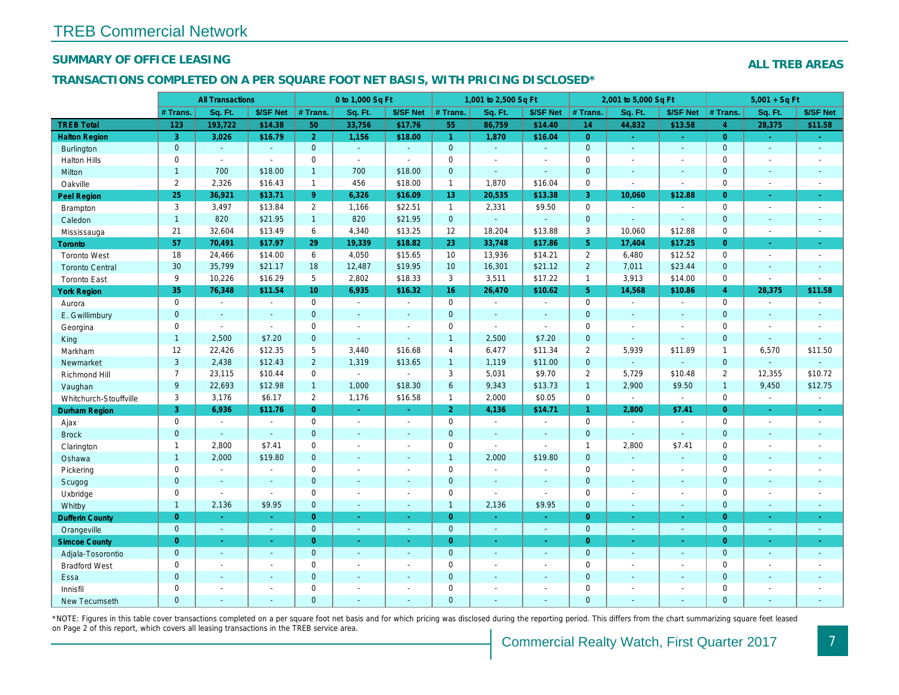## SUMMARY OF OFFICE LEASING

## TRANSACTIONS COMPLETED ON A PER SQUARE FOOT NET BASIS, WITH PRICING DISCLOSED\*

|                        |                | <b>All Transactions</b> |                |                 | 0 to 1,000 Sq Ft         |                      |                      | 1,001 to 2,500 Sq Ft  |                      |                | 2,001 to 5,000 Sq Ft  |                          |
|------------------------|----------------|-------------------------|----------------|-----------------|--------------------------|----------------------|----------------------|-----------------------|----------------------|----------------|-----------------------|--------------------------|
|                        | # Trans.       | Sq. Ft.                 | \$/SF Net      | # Trans.        | Sq. Ft.                  | \$/SF Net            | # Trans.             | Sq. Ft.               | \$/SF Net            | # Trans.       | Sq. Ft.               | \$/SF Ne                 |
| <b>TREB Total</b>      | 123            | 193,722                 | \$14.38        | 50              | 33,756                   | \$17.76              | 55                   | 86,759                | \$14.40              | 14             | 44,832                | \$13.58                  |
| <b>Halton Region</b>   | $\overline{3}$ | 3,026                   | \$16.79        | $\overline{2}$  | 1,156                    | \$18.00              | $\blacktriangleleft$ | 1,870                 | \$16.04              | $\overline{0}$ | $\blacksquare$        | $\sigma_{\rm c}$         |
| <b>Burlington</b>      | $\mathbf 0$    | $\sim$                  | $\Delta$       | $\overline{0}$  | $\omega$                 | $\blacksquare$       | $\mathbf{0}$         | $\omega$              | $\blacksquare$       | $\mathbf{0}$   | $\blacksquare$        | $\sim$                   |
| <b>Halton Hills</b>    | 0              | $\mathbf{r}$            | ÷.             | $\mathbf 0$     | $\mathbf{r}$             | $\blacksquare$       | $\mathbf 0$          | ä,                    | $\ddot{\phantom{1}}$ | $\mathbf 0$    | $\sim$                | $\blacksquare$           |
| <b>Milton</b>          | $\mathbf{1}$   | 700                     | \$18.00        | $\mathbf{1}$    | 700                      | \$18.00              | $\mathbf 0$          | $\omega$              | $\sim$               | $\mathbf{0}$   | $\Delta$              | $\blacksquare$           |
| Oakville               | $\overline{2}$ | 2,326                   | \$16.43        | $\mathbf{1}$    | 456                      | \$18.00              | $\mathbf{1}$         | 1,870                 | \$16.04              | $\mathbf 0$    | $\omega$              | $\sim$                   |
| <b>Peel Region</b>     | 25             | 36,921                  | \$13.71        | 9 <sup>°</sup>  | 6,326                    | \$16.09              | 13 <sup>°</sup>      | 20,535                | \$13.38              | 3              | 10,060                | \$12.88                  |
| Brampton               | 3              | 3,497                   | \$13.84        | $\overline{2}$  | 1,166                    | \$22.51              | $\mathbf{1}$         | 2,331                 | \$9.50               | $\mathbf 0$    | $\blacksquare$        | $\sim$                   |
| Caledon                | $\mathbf{1}$   | 820                     | \$21.95        | $\mathbf{1}$    | 820                      | \$21.95              | $\mathbf 0$          | $\omega$              | $\omega$             | $\mathbf{0}$   | $\omega$              | $\blacksquare$           |
| Mississauga            | 21             | 32,604                  | \$13.49        | 6               | 4,340                    | \$13.25              | 12                   | 18,204                | \$13.88              | 3              | 10,060                | \$12.88                  |
| Toronto                | 57             | 70,491                  | \$17.97        | 29              | 19,339                   | \$18.82              | 23                   | 33,748                | \$17.86              | 5 <sup>5</sup> | 17,404                | \$17.25                  |
| <b>Toronto West</b>    | 18             | 24,466                  | \$14.00        | 6               | 4,050                    | \$15.65              | 10                   | 13,936                | \$14.21              | $\overline{2}$ | 6,480                 | \$12.52                  |
| <b>Toronto Central</b> | 30             | 35,799                  | \$21.17        | 18              | 12,487                   | \$19.95              | 10 <sup>°</sup>      | 16,301                | \$21.12              | $\overline{2}$ | 7,011                 | \$23.44                  |
| <b>Toronto East</b>    | 9              | 10,226                  | \$16.29        | 5               | 2,802                    | \$18.33              | 3                    | 3,511                 | \$17.22              | $\overline{1}$ | 3,913                 | \$14.00                  |
| <b>York Region</b>     | 35             | 76,348                  | \$11.54        | 10 <sup>1</sup> | 6,935                    | \$16.32              | 16 <sup>°</sup>      | 26,470                | \$10.62              | 5 <sup>5</sup> | 14,568                | \$10.86                  |
| Aurora                 | $\mathsf 0$    | $\blacksquare$          | $\blacksquare$ | 0               | $\blacksquare$           | $\blacksquare$       | $\mathsf 0$          | $\blacksquare$        | $\blacksquare$       | $\mathbf 0$    | $\blacksquare$        | $\blacksquare$           |
| E. Gwillimbury         | $\mathbf 0$    | $\sim$                  | $\sim$         | $\mathbf{0}$    | $\blacksquare$           | $\blacksquare$       | $\mathbf{0}$         | $\blacksquare$        | $\sim$               | $\overline{0}$ | $\sim$                | $\blacksquare$           |
| Georgina               | 0              | $\sim$                  | $\sim$         | $\mathbf 0$     | $\blacksquare$           | $\blacksquare$       | $\mathbf 0$          | $\blacksquare$        | $\sim$               | $\mathbf 0$    | $\blacksquare$        | $\blacksquare$           |
| King                   | $\mathbf{1}$   | 2,500                   | \$7.20         | $\overline{0}$  | $\omega$                 | $\sim$               | $\overline{1}$       | 2,500                 | \$7.20               | $\mathbf{0}$   | $\Delta$              | $\sim$                   |
| Markham                | 12             | 22,426                  | \$12.35        | 5               | 3,440                    | \$16.68              | $\overline{4}$       | 6,477                 | \$11.34              | $\overline{2}$ | 5,939                 | \$11.89                  |
| Newmarket              | 3              | 2,438                   | \$12.43        | $\overline{2}$  | 1,319                    | \$13.65              | $\overline{1}$       | 1,119                 | \$11.00              | $\mathbf{0}$   | $\omega$              |                          |
| Richmond Hill          | $\overline{7}$ | 23,115                  | \$10.44        | $\mathbf 0$     | $\bullet$                | $\blacksquare$       | 3                    | 5,031                 | \$9.70               | $\overline{2}$ | 5,729                 | \$10.48                  |
| Vaughan                | 9              | 22,693                  | \$12.98        | $\mathbf{1}$    | 1,000                    | \$18.30              | $6\phantom{a}$       | 9,343                 | \$13.73              | $\overline{1}$ | 2,900                 | \$9.50                   |
| Whitchurch-Stouffville | 3              | 3,176                   | \$6.17         | $\overline{2}$  | 1,176                    | \$16.58              | $\mathbf{1}$         | 2,000                 | \$0.05               | $\mathbf 0$    | $\blacksquare$        | $\blacksquare$           |
| Durham Region          | 3 <sup>1</sup> | 6,936                   | \$11.76        | $\overline{0}$  | $\omega$                 | $\frac{1}{\sqrt{2}}$ | 2 <sup>7</sup>       | 4,136                 | \$14.71              | $\mathbf{1}$   | 2,800                 | \$7.41                   |
| Ajax                   | $\mathbf 0$    | $\sim$                  | $\sim$         | $\mathbf 0$     | $\sim$                   | $\blacksquare$       | $\mathbf 0$          | $\blacksquare$        | $\sim$               | $\Omega$       | $\sim$                | $\sim$                   |
| <b>Brock</b>           | $\mathbf 0$    | $\omega$                | $\Box$         | $\mathbf{0}$    | $\omega$                 | $\blacksquare$       | $\mathbf{0}$         | $\omega$              | ä,                   | $\mathbf{0}$   | $\omega$              | $\blacksquare$           |
| Clarington             | $\mathbf{1}$   | 2,800                   | \$7.41         | $\mathbf 0$     | $\overline{a}$           | $\blacksquare$       | $\mathbf 0$          | $\tilde{\phantom{a}}$ | $\blacksquare$       | $\overline{1}$ | 2,800                 | \$7.41                   |
| Oshawa                 | 1              | 2,000                   | \$19.80        | $\overline{0}$  | $\blacksquare$           | $\blacksquare$       | $\overline{1}$       | 2,000                 | \$19.80              | $\mathbf{0}$   | $\omega$              | $\blacksquare$           |
| Pickering              | $\mathsf 0$    | $\sim$                  | $\sim$         | $\mathbf 0$     | $\blacksquare$           | $\blacksquare$       | $\mathbf 0$          | $\blacksquare$        | $\blacksquare$       | $\Omega$       | $\blacksquare$        | $\blacksquare$           |
| Scugog                 | $\mathbf 0$    | $\blacksquare$          | $\omega$       | $\mathbf{0}$    | $\blacksquare$           | $\blacksquare$       | $\mathbf{0}$         | $\sim$                | $\blacksquare$       | $\mathbf{0}$   | $\blacksquare$        | $\blacksquare$           |
| Uxbridge               | $\mathbf 0$    | $\blacksquare$          | $\sim$         | $\mathbf 0$     | $\blacksquare$           | $\blacksquare$       | $\mathbf 0$          | $\blacksquare$        | $\omega$             | $\mathbf 0$    | $\sim$                | $\overline{\phantom{a}}$ |
| Whitby                 | $\mathbf{1}$   | 2,136                   | \$9.95         | $\overline{0}$  | $\blacksquare$           | $\sim$               | $\overline{1}$       | 2,136                 | \$9.95               | $\mathbf{0}$   | $\blacksquare$        | $\sim$                   |
| <b>Dufferin County</b> | $\pmb{0}$      | <b>Co</b>               | $\sim$         | $\overline{0}$  | ÷.                       | $\omega$             | $\overline{0}$       | ÷.                    | $\sim$               | $\overline{0}$ | ÷.                    | $\sim$                   |
| Orangeville            | $\mathbf{0}$   | $\omega$                | $\omega$       | $\overline{0}$  | $\omega$                 | $\blacksquare$       | $\mathbf{0}$         | $\omega$              | $\blacksquare$       | $\mathbf{0}$   | $\blacksquare$        | $\bullet$ .              |
| <b>Simcoe County</b>   | $\overline{0}$ | $\omega$                | $\omega$       | $\overline{0}$  | ä,                       | $\omega$             | $\overline{0}$       | $\omega$              | $\omega$             | $\overline{0}$ | $\omega$              | $\omega_{\rm c}$         |
| Adjala-Tosorontio      | $\mathbf 0$    | $\sim$                  | $\sim$         | $\overline{0}$  | $\Delta$                 | $\blacksquare$       | $\mathbf{0}$         | $\Delta$              | $\blacksquare$       | $\overline{0}$ | $\Delta$              | $\sim$                   |
| <b>Bradford West</b>   | 0              | $\blacksquare$          | $\blacksquare$ | $\pmb{0}$       | $\overline{\phantom{a}}$ | $\omega$             | $\mathsf 0$          | $\tilde{\phantom{a}}$ | $\blacksquare$       | $\mathbf 0$    | $\tilde{\phantom{a}}$ | $\omega$                 |
| Essa                   | $\mathbf 0$    |                         |                | $\mathbf 0$     | $\blacksquare$           | $\blacksquare$       | $\mathbf{0}$         | $\blacksquare$        | $\blacksquare$       | $\mathbf{0}$   | $\blacksquare$        | $\blacksquare$           |
| Innisfil               | 0              | $\blacksquare$          | $\blacksquare$ | $\mathbf 0$     | $\blacksquare$           | $\blacksquare$       | $\mathbf 0$          | $\blacksquare$        | $\blacksquare$       | $\mathbf 0$    | $\blacksquare$        | $\blacksquare$           |
| <b>New Tecumseth</b>   | $\Omega$       |                         |                | $\Omega$        |                          |                      | $\overline{0}$       |                       |                      | $\Omega$       |                       |                          |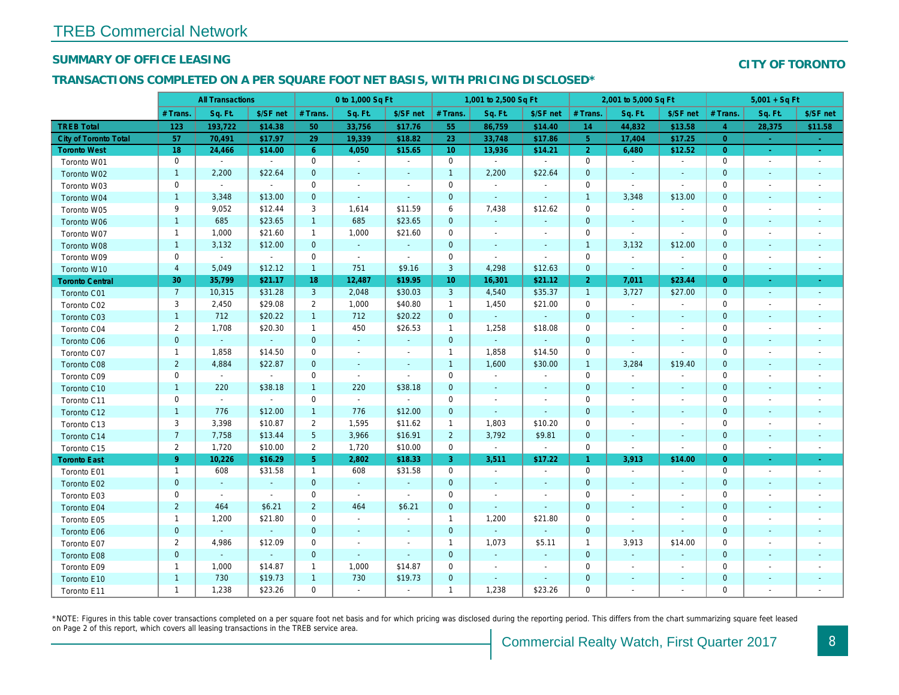## SUMMARY OF OFFICE LEASING

## TRANSACTIONS COMPLETED ON A PER SQUARE FOOT NET BASIS, WITH PRICING DISCLOSED\*

|                              | <b>All Transactions</b> |                |                | 0 to 1,000 Sq Ft |                |                          | 1,001 to 2,500 Sq Ft |                |                          | 2,001 to 5,000 Sq Ft |                          |                          |
|------------------------------|-------------------------|----------------|----------------|------------------|----------------|--------------------------|----------------------|----------------|--------------------------|----------------------|--------------------------|--------------------------|
|                              | # Trans.                | Sq. Ft.        | \$/SF net      | # Trans.         | Sq. Ft.        | \$/SF net                | # Trans.             | Sq. Ft.        | \$/SF net                | # Trans.             | Sq. Ft.                  | \$/SF ne                 |
| <b>TREB Total</b>            | 123                     | 193,722        | \$14.38        | 50               | 33,756         | \$17.76                  | 55                   | 86,759         | \$14.40                  | 14                   | 44,832                   | \$13.58                  |
| <b>City of Toronto Total</b> | 57                      | 70,491         | \$17.97        | 29               | 19,339         | \$18.82                  | 23                   | 33,748         | \$17.86                  | 5 <sup>5</sup>       | 17,404                   | \$17.25                  |
| <b>Toronto West</b>          | 18                      | 24,466         | \$14.00        | $6^{\circ}$      | 4,050          | \$15.65                  | 10 <sup>°</sup>      | 13,936         | \$14.21                  | $\overline{2}$       | 6,480                    | \$12.52                  |
| Toronto W01                  | $\mathbf 0$             | $\sim$         | $\sim$         | $\mathbf 0$      | $\blacksquare$ | $\blacksquare$           | $\mathbf 0$          | $\blacksquare$ | $\blacksquare$           | $\mathbf 0$          | $\sim$                   | $\sim$                   |
| Toronto W02                  | $\mathbf{1}$            | 2,200          | \$22.64        | $\mathbf 0$      | $\blacksquare$ | $\blacksquare$           | $\mathbf{1}$         | 2,200          | \$22.64                  | $\mathbf 0$          | $\sim$                   | $\sim$                   |
| Toronto W03                  | 0                       | $\sim$         | $\sim$         | $\mathbf 0$      | $\blacksquare$ | $\blacksquare$           | 0                    | $\blacksquare$ | $\blacksquare$           | 0                    | $\sim$                   | $\sim$                   |
| Toronto W04                  | $\mathbf{1}$            | 3,348          | \$13.00        | $\mathbf{0}$     | $\omega$       | $\blacksquare$           | $\mathbf 0$          | $\omega$       | $\blacksquare$           | $\mathbf{1}$         | 3,348                    | \$13.00                  |
| Toronto W05                  | 9                       | 9,052          | \$12.44        | 3                | 1,614          | \$11.59                  | 6                    | 7,438          | \$12.62                  | 0                    | $\blacksquare$           |                          |
| Toronto W06                  | $\mathbf{1}$            | 685            | \$23.65        | $\mathbf{1}$     | 685            | \$23.65                  | $\pmb{0}$            | $\blacksquare$ |                          | $\mathbf 0$          | $\blacksquare$           | $\sim$                   |
| Toronto W07                  | $\mathbf{1}$            | 1,000          | \$21.60        | $\mathbf{1}$     | 1,000          | \$21.60                  | $\mathbf 0$          | $\blacksquare$ | $\sim$                   | $\mathbf 0$          | $\blacksquare$           | $\sim$                   |
| Toronto W08                  | $\mathbf{1}$            | 3,132          | \$12.00        | $\mathbf{0}$     | $\omega$       | $\blacksquare$           | $\mathbf 0$          | $\sim$         | $\blacksquare$           | $\overline{1}$       | 3,132                    | \$12.00                  |
| Toronto W09                  | 0                       | $\omega$       | $\sim$         | $\mathbf 0$      | $\blacksquare$ | $\blacksquare$           | $\mathbf 0$          | $\sim$         | $\blacksquare$           | $\mathbf 0$          | $\sim$                   | $\blacksquare$           |
| Toronto W10                  | $\overline{4}$          | 5,049          | \$12.12        | $\mathbf{1}$     | 751            | \$9.16                   | 3                    | 4,298          | \$12.63                  | $\mathbf 0$          | $\blacksquare$           | $\blacksquare$           |
| <b>Toronto Central</b>       | 30                      | 35,799         | \$21.17        | 18               | 12,487         | \$19.95                  | 10 <sup>°</sup>      | 16,301         | \$21.12                  | 2 <sup>1</sup>       | 7,011                    | \$23.44                  |
| Toronto C01                  | $\overline{7}$          | 10,315         | \$31.28        | 3                | 2,048          | \$30.03                  | 3                    | 4,540          | \$35.37                  | $\overline{1}$       | 3,727                    | \$27.00                  |
| Toronto C02                  | 3                       | 2,450          | \$29.08        | $\overline{2}$   | 1,000          | \$40.80                  | $\mathbf{1}$         | 1,450          | \$21.00                  | $\mathbf 0$          | $\blacksquare$           | $\sim$                   |
| Toronto C03                  | $\mathbf{1}$            | 712            | \$20.22        | $\mathbf{1}$     | 712            | \$20.22                  | 0                    | $\blacksquare$ |                          | $\mathbf 0$          | $\blacksquare$           | $\blacksquare$           |
| Toronto C04                  | $\overline{c}$          | 1,708          | \$20.30        | $\mathbf{1}$     | 450            | \$26.53                  | $\mathbf{1}$         | 1,258          | \$18.08                  | 0                    |                          |                          |
| <b>Toronto C06</b>           | $\pmb{0}$               | $\omega$       | $\omega$       | $\mathbf{0}$     | $\blacksquare$ | $\blacksquare$           | $\mathbf 0$          | $\blacksquare$ | $\blacksquare$           | $\pmb{0}$            | $\overline{\phantom{a}}$ |                          |
| Toronto C07                  | $\mathbf{1}$            | 1,858          | \$14.50        | $\mathbf 0$      | $\blacksquare$ | $\overline{\phantom{a}}$ | $\mathbf{1}$         | 1,858          | \$14.50                  | $\mathbf 0$          | $\blacksquare$           |                          |
| Toronto C08                  | $\overline{2}$          | 4,884          | \$22.87        | $\mathbf{0}$     | $\blacksquare$ | $\blacksquare$           | $\mathbf{1}$         | 1,600          | \$30.00                  | $\overline{1}$       | 3,284                    | \$19.40                  |
| Toronto C09                  | $\mathsf 0$             | $\blacksquare$ | $\sim$         | $\mathbf 0$      | $\sim$         | $\blacksquare$           | $\mathbf 0$          | $\sim$         | $\blacksquare$           | $\mathbf 0$          | $\overline{\phantom{a}}$ | $\overline{\phantom{a}}$ |
| Toronto C10                  | $\mathbf{1}$            | 220            | \$38.18        | $\mathbf{1}$     | 220            | \$38.18                  | $\mathbf 0$          | $\sim$         | $\blacksquare$           | $\mathbf 0$          | $\blacksquare$           | $\sim$                   |
| Toronto C11                  | 0                       | $\omega$       | $\blacksquare$ | $\mathbf 0$      | $\sim$         | $\sim$                   | $\mathbf 0$          | $\blacksquare$ | $\overline{a}$           | $\mathbf 0$          |                          |                          |
| Toronto C12                  | 1                       | 776            | \$12.00        | $\mathbf{1}$     | 776            | \$12.00                  | $\mathbf 0$          | $\blacksquare$ | $\blacksquare$           | $\mathbf 0$          | $\blacksquare$           | $\blacksquare$           |
| Toronto C13                  | 3                       | 3,398          | \$10.87        | $\overline{2}$   | 1,595          | \$11.62                  | $\mathbf{1}$         | 1,803          | \$10.20                  | $\mathbf 0$          |                          |                          |
| Toronto C14                  | $\overline{7}$          | 7,758          | \$13.44        | $\overline{5}$   | 3,966          | \$16.91                  | $\overline{2}$       | 3,792          | \$9.81                   | $\mathbf 0$          | $\blacksquare$           | $\blacksquare$           |
| Toronto C15                  | $\overline{2}$          | 1,720          | \$10.00        | $\overline{2}$   | 1,720          | \$10.00                  | $\mathbf 0$          | $\bullet$      | $\blacksquare$           | $\mathbf 0$          | $\blacksquare$           | $\blacksquare$           |
| <b>Toronto East</b>          | 9                       | 10,226         | \$16.29        | 5 <sub>5</sub>   | 2,802          | \$18.33                  | 3                    | 3,511          | \$17.22                  | $\mathbf{1}$         | 3,913                    | \$14.00                  |
| Toronto E01                  | $\mathbf{1}$            | 608            | \$31.58        | $\mathbf{1}$     | 608            | \$31.58                  | $\mathbf 0$          | $\blacksquare$ | $\blacksquare$           | $\mathbf 0$          | $\overline{\phantom{a}}$ | $\blacksquare$           |
| Toronto E02                  | $\mathbf 0$             | $\omega$       | $\omega$       | $\overline{0}$   | $\omega$       | $\blacksquare$           | $\mathbf 0$          | $\sim$         | $\blacksquare$           | $\mathbf 0$          | $\blacksquare$           | $\sim$                   |
| Toronto E03                  | 0                       | $\blacksquare$ | $\sim$         | $\mathbf 0$      | $\sim$         | $\blacksquare$           | $\mathsf{O}\xspace$  | $\sim$         | $\blacksquare$           | $\mathbf 0$          | $\sim$                   | $\overline{\phantom{a}}$ |
| Toronto E04                  | $\overline{2}$          | 464            | \$6.21         | $\overline{2}$   | 464            | \$6.21                   | $\mathbf 0$          | $\blacksquare$ | $\blacksquare$           | $\mathbf 0$          | $\sim$                   | $\blacksquare$           |
| Toronto E05                  | $\mathbf{1}$            | 1,200          | \$21.80        | $\mathbf 0$      | $\blacksquare$ | $\blacksquare$           | $\mathbf{1}$         | 1,200          | \$21.80                  | $\mathbf 0$          | $\sim$                   | $\overline{\phantom{a}}$ |
| Toronto E06                  | $\pmb{0}$               | $\omega$       | $\omega$       | $\mathbf{0}$     | $\sim$         | $\blacksquare$           | $\mathbf 0$          | $\omega$       | $\omega$                 | $\mathbf 0$          | $\blacksquare$           | $\blacksquare$           |
| Toronto E07                  | $\overline{2}$          | 4,986          | \$12.09        | $\mathbf 0$      | $\overline{a}$ | $\blacksquare$           | $\mathbf{1}$         | 1,073          | \$5.11                   | $\overline{1}$       | 3,913                    | \$14.00                  |
| Toronto E08                  | $\pmb{0}$               | $\blacksquare$ | $\omega$       | $\mathbf{0}$     | $\blacksquare$ | $\blacksquare$           | $\mathbf 0$          | $\blacksquare$ | $\blacksquare$           | $\mathbf 0$          | $\blacksquare$           | $\sim$                   |
| Toronto E09                  | 1                       | 1,000          | \$14.87        | $\mathbf{1}$     | 1,000          | \$14.87                  | 0                    | $\blacksquare$ | $\overline{\phantom{a}}$ | 0                    | $\overline{\phantom{a}}$ | $\overline{\phantom{a}}$ |
| Toronto E10                  | $\mathbf{1}$            | 730            | \$19.73        | $\mathbf{1}$     | 730            | \$19.73                  | $\mathbf 0$          | $\blacksquare$ | $\blacksquare$           | $\pmb{0}$            | $\blacksquare$           | $\sim$                   |
| Toronto E11                  | $\mathbf{1}$            | 1,238          | \$23.26        | $\mathbf 0$      | $\sim$         | $\blacksquare$           | $\mathbf{1}$         | 1,238          | \$23.26                  | 0                    |                          | $\overline{\phantom{a}}$ |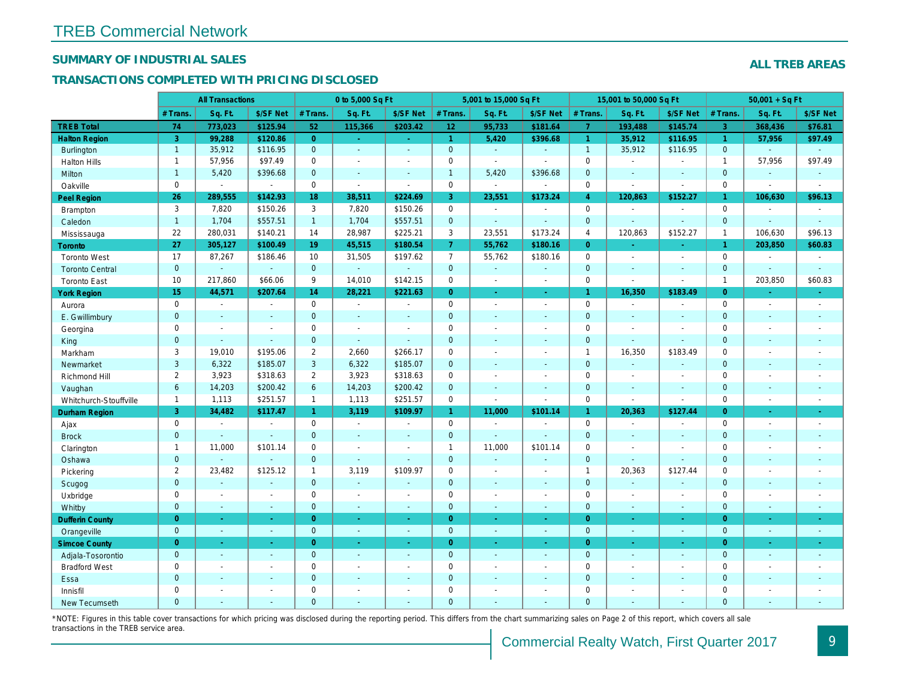## SUMMARY OF INDUSTRIAL SALES

## TRANSACTIONS COMPLETED WITH PRICING DISCLOSED

|                        | <b>All Transactions</b> |                |                | 0 to 5,000 Sq Ft |                |                     | 5,001 to 15,000 Sq Ft |                       |                          | 15,001 to 50,000 Sq Ft |                |                  |
|------------------------|-------------------------|----------------|----------------|------------------|----------------|---------------------|-----------------------|-----------------------|--------------------------|------------------------|----------------|------------------|
|                        | # Trans                 | Sq. Ft.        | \$/SF Net      | # Trans.         | Sq. Ft.        | \$/SF Net           | # Trans.              | Sq. Ft.               | \$/SF Net                | # Trans.               | Sq. Ft.        | \$/SF Ne         |
| <b>TREB Total</b>      | 74                      | 773,023        | \$125.94       | 52               | 115,366        | \$203.42            | 12                    | 95,733                | \$181.64                 | $\overline{7}$         | 193,488        | \$145.7          |
| <b>Halton Region</b>   | $\overline{3}$          | 99,288         | \$120.86       | $\overline{0}$   | $\sim$         | $\omega_{\rm{eff}}$ | $\mathbf{1}$          | 5,420                 | \$396.68                 | $\mathbf{1}$           | 35,912         | \$116.95         |
| <b>Burlington</b>      | $\mathbf{1}$            | 35,912         | \$116.95       | $\mathbf{0}$     | $\sim$         | $\blacksquare$      | $\mathbf{0}$          | $\omega$              | $\omega$                 | $\overline{1}$         | 35,912         | \$116.95         |
| <b>Halton Hills</b>    | $\mathbf{1}$            | 57,956         | \$97.49        | $\Omega$         | $\overline{a}$ |                     | $\pmb{0}$             | ä,                    | $\overline{a}$           | $\mathbf 0$            | $\overline{a}$ | $\blacksquare$   |
| Milton                 | $\mathbf{1}$            | 5,420          | \$396.68       | $\mathbf{0}$     | $\sim$         | $\blacksquare$      | $\mathbf{1}$          | 5,420                 | \$396.68                 | $\mathbf 0$            | $\blacksquare$ | $\blacksquare$   |
| Oakville               | $\mathbf{0}$            | $\blacksquare$ | $\blacksquare$ | $\mathbf{0}$     | $\mathbf{r}$   | $\sim$              | 0                     | $\tilde{\phantom{a}}$ | $\sim$                   | $\mathbf 0$            | $\blacksquare$ | $\blacksquare$   |
| Peel Region            | 26                      | 289,555        | \$142.93       | 18               | 38,511         | \$224.69            | 3                     | 23,551                | \$173.24                 | $\overline{4}$         | 120,863        | \$152.27         |
| Brampton               | 3                       | 7,820          | \$150.26       | 3                | 7,820          | \$150.26            | 0                     | $\tilde{\phantom{a}}$ | $\blacksquare$           | $\mathbf 0$            | $\blacksquare$ | $\sim$           |
| Caledon                | $\mathbf{1}$            | 1,704          | \$557.51       | $\mathbf{1}$     | 1,704          | \$557.51            | $\mathbf 0$           | $\blacksquare$        | $\blacksquare$           | $\mathbf 0$            | $\blacksquare$ | $\omega$         |
| Mississauga            | 22                      | 280,031        | \$140.21       | 14               | 28,987         | \$225.21            | 3                     | 23,551                | \$173.24                 | $\overline{4}$         | 120,863        | \$152.27         |
| <b>Toronto</b>         | 27                      | 305,127        | \$100.49       | 19               | 45,515         | \$180.54            | 7 <sup>1</sup>        | 55,762                | \$180.16                 | $\Omega$               | ÷.             | $\omega_{\rm c}$ |
| <b>Toronto West</b>    | 17                      | 87,267         | \$186.46       | 10               | 31,505         | \$197.62            | $\overline{7}$        | 55,762                | \$180.16                 | $\mathbf 0$            | $\blacksquare$ | $\sim$           |
| <b>Toronto Central</b> | $\mathbf{0}$            | $\sim$         | $\blacksquare$ | $\overline{0}$   |                |                     | $\mathbf 0$           | $\omega$              | $\blacksquare$           | $\mathbf 0$            | $\blacksquare$ | $\blacksquare$   |
| <b>Toronto East</b>    | 10                      | 217,860        | \$66.06        | 9                | 14,010         | \$142.15            | $\pmb{0}$             | $\blacksquare$        | $\sim$                   | $\mathbf 0$            | $\blacksquare$ | $\blacksquare$   |
| <b>York Region</b>     | 15                      | 44,571         | \$207.64       | 14               | 28,221         | \$221.63            | $\overline{0}$        | $\blacksquare$        | $\blacksquare$           | $\mathbf{1}$           | 16,350         | \$183.49         |
| Aurora                 | $\mathbf 0$             | $\sim$         | $\blacksquare$ | $\mathbf 0$      | $\sim$         | $\blacksquare$      | 0                     | $\sim$                | $\blacksquare$           | $\mathbf 0$            | $\blacksquare$ | $\blacksquare$   |
| E. Gwillimbury         | $\mathbf{0}$            | $\sim$         | $\sim$         | $\mathbf{0}$     | ÷.             | $\sim$              | $\mathbf 0$           | $\blacksquare$        | $\blacksquare$           | $\mathbf{0}$           | $\blacksquare$ | $\blacksquare$   |
| Georgina               | $\mathbf 0$             | $\blacksquare$ | $\blacksquare$ | $\mathbf 0$      | $\sim$         | $\sim$              | $\pmb{0}$             | $\blacksquare$        | $\blacksquare$           | $\mathbf 0$            | $\sim$         | $\sim$           |
| King                   | $\overline{0}$          | $\sim$         | $\blacksquare$ | $\mathbf{0}$     | $\sim$         | $\sim$              | $\mathbf 0$           | $\sim$                | $\blacksquare$           | $\mathbf{0}$           | $\blacksquare$ | $\blacksquare$   |
| Markham                | 3                       | 19,010         | \$195.06       | $\overline{2}$   | 2,660          | \$266.17            | $\mathbf 0$           | $\blacksquare$        | $\blacksquare$           | $\mathbf{1}$           | 16,350         | \$183.49         |
| Newmarket              | 3                       | 6,322          | \$185.07       | 3                | 6,322          | \$185.07            | $\mathbf{0}$          | $\sim$                | $\blacksquare$           | $\mathbf{0}$           | $\omega$       | $\sim$           |
| Richmond Hill          | $\overline{2}$          | 3,923          | \$318.63       | $\overline{2}$   | 3,923          | \$318.63            | $\mathbf 0$           | $\blacksquare$        | $\blacksquare$           | $\mathbf 0$            | $\sim$         | $\blacksquare$   |
| Vaughan                | $6\phantom{a}$          | 14,203         | \$200.42       | 6                | 14,203         | \$200.42            | $\mathbf{0}$          | $\mathbf{r}$          | $\sim$                   | $\mathbf{0}$           | $\blacksquare$ | $\sim$           |
| Whitchurch-Stouffville | $\mathbf{1}$            | 1,113          | \$251.57       | $\mathbf{1}$     | 1,113          | \$251.57            | 0                     | $\blacksquare$        | $\sim$                   | $\mathbf 0$            | $\blacksquare$ | $\blacksquare$   |
| Durham Region          | 3                       | 34,482         | \$117.47       | $\mathbf{1}$     | 3,119          | \$109.97            | $\mathbf{1}$          | 11,000                | \$101.14                 | $\mathbf{1}$           | 20,363         | \$127.44         |
| Ajax                   | $\mathbf 0$             | $\blacksquare$ | $\blacksquare$ | $\mathbf 0$      | $\sim$         | $\blacksquare$      | $\pmb{0}$             | $\blacksquare$        | $\blacksquare$           | $\mathbf 0$            | $\blacksquare$ | $\blacksquare$   |
| <b>Brock</b>           | $\mathbf{0}$            | $\sim$         | $\omega$       | $\mathbf{0}$     | ÷.             | $\sim$              | $\mathbf 0$           | $\omega$              | $\sim$                   | $\mathbf{0}$           | $\blacksquare$ | $\blacksquare$   |
| Clarington             | $\mathbf{1}$            | 11,000         | \$101.14       | 0                | $\sim$         |                     | $\mathbf{1}$          | 11,000                | \$101.14                 | $\mathbf 0$            | $\overline{a}$ | $\blacksquare$   |
| Oshawa                 | $\mathbf{0}$            |                | $\blacksquare$ | $\overline{0}$   | $\sim$         | $\sim$              | $\mathbf 0$           | $\blacksquare$        | $\blacksquare$           | $\mathbf{0}$           | $\blacksquare$ | $\blacksquare$   |
| Pickering              | $\overline{2}$          | 23,482         | \$125.12       | $\mathbf{1}$     | 3,119          | \$109.97            | 0                     | $\blacksquare$        | $\blacksquare$           | $\mathbf{1}$           | 20,363         | \$127.44         |
| Scugog                 | $\overline{0}$          | $\blacksquare$ | $\sim$         | $\mathbf{0}$     | $\Delta$       | $\blacksquare$      | $\mathbf 0$           | $\blacksquare$        | $\blacksquare$           | $\mathbf{0}$           | $\blacksquare$ | $\blacksquare$   |
| Uxbridge               | $\mathbf 0$             | $\blacksquare$ | $\blacksquare$ | $\mathbf 0$      | $\sim$         |                     | $\mathbf 0$           | $\blacksquare$        | $\overline{\phantom{a}}$ | $\mathbf 0$            | $\blacksquare$ | $\blacksquare$   |
| Whitby                 | $\mathbf{0}$            | $\sim$         | $\sim$         | $\mathbf{0}$     | $\sim$         | $\sim$              | $\mathbf 0$           | $\blacksquare$        | $\omega$                 | $\mathbf{0}$           | $\blacksquare$ | $\sim$           |
| <b>Dufferin County</b> | $\overline{0}$          | ÷.             | $\sim$         | $\overline{0}$   | a.             | $\sim$              | $\overline{0}$        | ÷.                    | ×.                       | $\overline{0}$         | ×.             | $\sim$           |
| Orangeville            | $\mathbf{0}$            | $\omega$       | $\omega$       | $\mathbf{0}$     | $\omega$       | $\omega$            | $\mathbf{0}$          | $\omega$              | $\omega$                 | $\mathbf 0$            | $\omega$       | $\omega_{\rm c}$ |
| <b>Simcoe County</b>   | $\overline{0}$          | $\omega$       | $\Delta \tau$  | $\overline{0}$   | $\omega$       | $\omega$            | $\overline{0}$        | ä,                    | $\omega$                 | $\overline{0}$         | $\blacksquare$ | $\sim$           |
| Adjala-Tosorontio      | $\mathbf{0}$            | $\sim$         | $\sim$         | $\mathbf{0}$     | $\sim$         | $\sim$              | $\mathbf 0$           | $\Delta$              | $\blacksquare$           | $\mathbf 0$            | $\blacksquare$ | $\sim$           |
| <b>Bradford West</b>   | $\mathbf 0$             | $\blacksquare$ | $\omega$       | $\mathbf 0$      | $\sim$         | $\sim$              | $\pmb{0}$             | $\blacksquare$        | $\blacksquare$           | $\mathbf 0$            | $\overline{a}$ | $\blacksquare$   |
| Essa                   | $\mathbf{0}$            | $\sim$         | $\sim$         | $\mathbf{0}$     |                | $\sim$              | $\pmb{0}$             | $\blacksquare$        | $\blacksquare$           | $\mathbf 0$            | $\blacksquare$ |                  |
| Innisfil               | $\mathbf 0$             | $\blacksquare$ | $\blacksquare$ | $\mathbf 0$      | $\blacksquare$ | $\blacksquare$      | $\mathbf 0$           | $\blacksquare$        | $\blacksquare$           | $\mathbf 0$            | $\blacksquare$ | $\blacksquare$   |
| <b>New Tecumseth</b>   | $\Omega$                |                |                | $\Omega$         |                |                     | $\Omega$              |                       |                          | $\Omega$               |                |                  |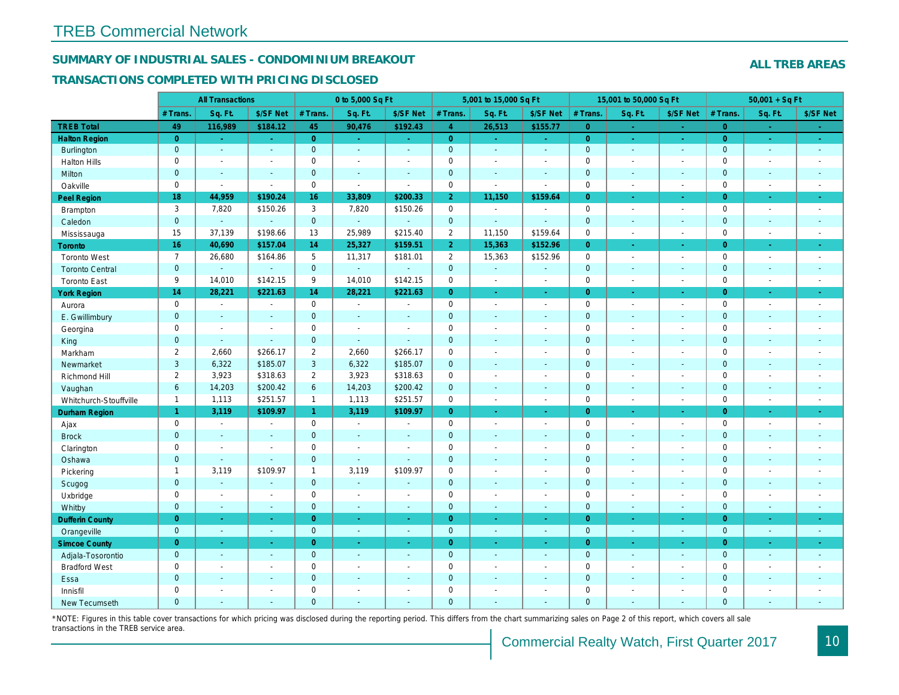## SUMMARY OF INDUSTRIAL SALES - CONDOMINIUM BREAKOUT

#### TRANSACTIONS COMPLETED WITH PRICING DISCLOSED

| Sq. Ft.<br>\$/SF Net<br># Trans.<br>Sq. Ft.<br>\$/SF Net<br># Trans.<br>Sq. Ft.<br>\$/SF Net<br># Trans.<br>Sq. Ft.<br># Trans.<br><b>TREB Total</b><br>49<br>45<br>116,989<br>\$184.12<br>90,476<br>\$192.43<br>$\overline{4}$<br>26,513<br>\$155.77<br>$\overline{0}$<br>$\sim$<br>$\sim$<br>$\overline{0}$<br>$\overline{0}$<br>$\overline{0}$<br><b>Halton Region</b><br>$\overline{0}$<br>$\sim$<br>$\sim$ .<br>$\omega_{\rm c}$<br>$\omega_{\rm{eff}}$<br>$\omega_{\rm c}$<br>$\omega_{\rm{eff}}$<br>$\omega$<br>$\sim$<br>$\mathbf{0}$<br>$\overline{0}$<br>$\mathbf{0}$<br>$\mathbf 0$<br>Burlington<br>$\blacksquare$<br>$\blacksquare$<br>$\omega$<br>$\omega$<br>$\omega$<br>$\sim$<br>$\sim$<br>$\sim$<br>$\mathbf 0$<br>$\mathbf 0$<br>$\pmb{0}$<br>$\mathbf 0$<br><b>Halton Hills</b><br>$\sim$<br>$\overline{a}$<br>$\blacksquare$<br>$\blacksquare$<br>$\blacksquare$<br>L.<br>$\sim$<br>$\blacksquare$<br>$\mathbf{0}$<br>$\pmb{0}$<br>$\mathbf{0}$<br>$\mathbf{0}$<br>Milton<br>$\sim$<br>$\sim$<br>$\blacksquare$<br>$\blacksquare$<br>$\blacksquare$<br>$\blacksquare$<br>$\sim$<br>$\sim$<br>$\mathbf 0$<br>$\mathbf 0$<br>0<br>$\mathbf 0$<br>Oakville<br>$\blacksquare$<br>$\blacksquare$<br>$\mathbf{r}$<br>$\overline{\phantom{a}}$<br>$\sim$<br>$\blacksquare$<br>$\sim$<br>$\sim$<br>18<br>44,959<br>\$190.24<br>16<br>33,809<br>\$200.33<br>$\overline{2}$<br>11,150<br>\$159.64<br>Peel Region<br>$\overline{0}$<br>$\blacksquare$<br>$\sim$<br>3<br>3<br>$\mathbf 0$<br>$\mathbf 0$<br>7,820<br>\$150.26<br>7,820<br>\$150.26<br>Brampton<br>$\blacksquare$<br>$\sim$<br>$\blacksquare$<br>$\sim$<br>$\mathbf{0}$<br>$\mathbf{0}$<br>$\mathbf{0}$<br>$\mathbf 0$<br>$\omega$<br>Caledon<br>$\omega$<br>$\Delta$<br>$\Delta$<br>$\blacksquare$<br>ä,<br>$\omega$<br>$\sim$<br>$\overline{2}$<br>15<br>37,139<br>\$198.66<br>25,989<br>\$215.40<br>\$159.64<br>$\mathbf 0$<br>13<br>11,150<br>Mississauga<br>$\blacksquare$<br>$\sim$<br>16<br>\$157.04<br>14<br>25,327<br>\$159.51<br>2 <sup>1</sup><br>15,363<br>40,690<br>\$152.96<br>$\overline{0}$<br>Toronto<br>$\blacksquare$<br>÷<br>$\overline{7}$<br>$\overline{2}$<br>26,680<br>\$164.86<br>5<br>11,317<br>\$181.01<br>15,363<br>\$152.96<br>$\mathbf 0$<br><b>Toronto West</b><br>$\blacksquare$<br>$\sim$<br>$\pmb{0}$<br>$\mathbf{0}$<br>$\mathbf{0}$<br>$\mathbf 0$<br><b>Toronto Central</b><br>$\Delta$<br>$\omega$<br>$\blacksquare$<br>$\blacksquare$<br>$\sim$<br>$\blacksquare$<br>$\blacksquare$<br>$\blacksquare$<br>9<br>14,010<br>\$142.15<br>14,010<br>\$142.15<br>$\pmb{0}$<br>9<br>$\mathbf 0$<br><b>Toronto East</b><br>$\blacksquare$<br>$\blacksquare$<br>$\blacksquare$<br>$\sim$<br>14<br>14<br>$\overline{0}$<br>$\overline{0}$<br><b>York Region</b><br>28,221<br>\$221.63<br>28,221<br>\$221.63<br>$\omega$<br>÷.<br>÷.<br>$\sim$<br>$\pmb{0}$<br>$\mathbf 0$<br>0<br>$\mathbf 0$<br>Aurora<br>$\sim$<br>$\blacksquare$<br>$\blacksquare$<br>$\blacksquare$<br>$\sim$<br>$\blacksquare$<br>$\blacksquare$<br>$\sim$<br>$\mathbf{0}$<br>$\mathbf 0$<br>$\mathbf{0}$<br>$\mathbf{0}$<br>E. Gwillimbury<br>$\sim$<br>$\sim$<br>$\sim$<br>$\sim$<br>$\sim$<br>$\blacksquare$<br>$\blacksquare$<br>$\sim$<br>$\mathbf 0$<br>$\pmb{0}$<br>$\mathbf 0$<br>$\mathbf 0$<br>Georgina<br>$\blacksquare$<br>$\sim$<br>$\blacksquare$<br>$\blacksquare$<br>$\sim$<br>$\overline{a}$<br>$\sim$<br>$\overline{a}$<br>$\mathbf{0}$<br>$\mathbf{0}$<br>$\mathbf 0$<br>$\mathbf{0}$<br>$\omega$<br>King<br>$\omega$<br>$\Delta$<br>$\mathbf{r}$<br>$\sim$<br>$\blacksquare$<br>$\blacksquare$<br>$\sim$<br>$\overline{2}$<br>2,660<br>\$266.17<br>$\overline{2}$<br>2,660<br>\$266.17<br>$\pmb{0}$<br>$\mathbf 0$<br>Markham<br>$\tilde{\phantom{a}}$<br>$\blacksquare$<br>$\blacksquare$<br>$\blacksquare$<br>3<br>3<br>6,322<br>\$185.07<br>6,322<br>\$185.07<br>$\pmb{0}$<br>$\mathbf{0}$<br>Newmarket<br>ä,<br>$\blacksquare$<br>$\blacksquare$<br>$\blacksquare$<br>$\overline{2}$<br>2<br>3,923<br>\$318.63<br>3,923<br>\$318.63<br>$\pmb{0}$<br>$\mathbf 0$<br>Richmond Hill<br>$\blacksquare$<br>$\blacksquare$<br>$\blacksquare$<br>$\blacksquare$<br>$6\phantom{a}$<br>14,203<br>\$200.42<br>6<br>14,203<br>\$200.42<br>$\mathbf 0$<br>$\mathbf 0$<br>Vaughan<br>$\omega$<br>$\omega$<br>$\blacksquare$<br>$\sim$<br>\$251.57<br>\$251.57<br>$\mathbf{1}$<br>1,113<br>$\mathbf{1}$<br>1,113<br>$\mathsf{O}$<br>$\mathbf 0$<br>Whitchurch-Stouffville<br>$\sim$<br>$\blacksquare$<br>$\overline{a}$<br>$\blacksquare$<br>1 <sup>1</sup><br>3,119<br>\$109.97<br>3,119<br>\$109.97<br>$\overline{0}$<br>$\overline{0}$<br>$\mathbf{1}$<br><b>Durham Region</b><br>$\blacksquare$<br>$\omega$<br>$\sigma$<br>$\blacksquare$<br>$\mathbf 0$<br>$\mathbf 0$<br>0<br>$\mathbf 0$<br>Ajax<br>$\blacksquare$<br>$\sim$<br>$\sim$<br>$\blacksquare$<br>$\blacksquare$<br>$\blacksquare$<br>$\blacksquare$<br>$\sim$<br>$\mathbf{0}$<br>$\mathbf{0}$<br>$\pmb{0}$<br>$\mathbf 0$<br><b>Brock</b><br>$\sim$<br>$\blacksquare$<br>$\blacksquare$<br>$\blacksquare$<br>$\blacksquare$<br>$\blacksquare$<br>$\blacksquare$<br>$\blacksquare$<br>$\mathbf 0$<br>$\mathbf 0$<br>$\mathbf 0$<br>$\mathbf 0$<br>Clarington<br>$\sim$<br>$\blacksquare$<br>$\blacksquare$<br>$\sim$<br>$\blacksquare$<br>$\sim$<br>$\blacksquare$<br>$\blacksquare$<br>$\mathbf{0}$<br>$\mathbf 0$<br>$\mathbf{0}$<br>$\mathbf 0$<br>Oshawa<br>$\sim$<br>$\sim$<br>$\sim$<br>$\sim$<br>$\blacksquare$<br>$\blacksquare$<br>$\blacksquare$<br>$\sim$<br>\$109.97<br>\$109.97<br>$\pmb{0}$<br>$\mathsf 0$<br>$\mathbf{1}$<br>3,119<br>$\mathbf{1}$<br>3,119<br>Pickering<br>L.<br>$\blacksquare$<br>$\blacksquare$<br>$\sim$<br>$\mathbf{0}$<br>$\mathbf{0}$<br>$\mathbf 0$<br>$\mathbf 0$<br>Scugog<br>$\sim$<br>$\Delta$<br>$\blacksquare$<br>$\sim$<br>$\blacksquare$<br>$\blacksquare$<br>$\blacksquare$<br>$\blacksquare$<br>$\mathbf 0$<br>$\mathbf 0$<br>$\pmb{0}$<br>$\mathbf 0$<br>Uxbridge<br>$\blacksquare$<br>$\blacksquare$<br>$\sim$<br>$\blacksquare$<br>$\blacksquare$<br>$\blacksquare$<br>$\blacksquare$<br>$\sim$<br>$\mathbf 0$<br>$\pmb{0}$<br>$\mathbf{0}$<br>$\mathbf 0$<br>Whitby<br>$\omega$<br>$\blacksquare$<br>$\blacksquare$<br>$\omega$<br>$\omega$<br>$\sim$<br>$\blacksquare$<br>$\sim$<br>$\overline{0}$<br><b>Dufferin County</b><br>$\overline{0}$<br>$\overline{0}$<br>$\overline{0}$<br>$\sim$<br>$\omega$<br>$\sim$<br>$\sim$<br>$\omega$<br>$\omega$<br>$\omega$<br>$\sim$<br>$\mathbf{0}$<br>$\mathbf{0}$<br>$\mathbf{0}$<br>$\mathbf 0$<br>Orangeville<br>$\omega$<br>$\blacksquare$<br>$\blacksquare$<br>$\omega$<br>$\omega$<br>$\omega$<br>$\omega$<br>$\sim$<br>$\overline{0}$<br>$\overline{0}$<br>$\overline{0}$<br>$\overline{0}$<br><b>Simcoe County</b><br>$\omega$<br>$\bullet$<br>$\bullet$<br>$\blacksquare$<br>$\bullet$<br>$\blacksquare$<br>$\blacksquare$<br>$\sigma_{\rm c}$<br>$\mathbf{0}$<br>$\mathbf{0}$<br>$\mathbf 0$<br>$\mathbf{0}$<br>Adjala-Tosorontio<br>$\sim$<br>$\blacksquare$<br>$\sim$<br>$\sim$<br>$\blacksquare$<br>$\blacksquare$<br>$\blacksquare$<br>$\sim$<br>$\mathbf 0$<br>$\pmb{0}$<br>$\mathbf 0$<br>$\mathbf 0$<br><b>Bradford West</b><br>$\blacksquare$<br>$\blacksquare$<br>$\sim$<br>$\blacksquare$<br>$\blacksquare$<br>$\blacksquare$<br>$\blacksquare$<br>$\sim$<br>$\mathbf{0}$<br>$\mathbf{0}$<br>$\pmb{0}$<br>$\mathbf{0}$<br>Essa<br>$\sim$<br>$\sim$<br>$\sim$<br>$\sim$<br>$\blacksquare$<br>$\blacksquare$<br>$\blacksquare$<br>$\blacksquare$<br>$\mathbf 0$<br>$\mathbf 0$<br>$\mathbf 0$<br>$\mathbf 0$<br>Innisfil<br>$\sim$<br>$\blacksquare$<br>$\blacksquare$<br>$\blacksquare$<br>$\overline{a}$<br>$\overline{\phantom{a}}$<br>$\blacksquare$<br>$\blacksquare$<br>$\overline{0}$<br>$\Omega$<br>$\Omega$<br>$\mathbf{0}$<br><b>New Tecumseth</b><br>$\sim$<br>÷.<br>÷.<br>$\sim$<br>$\sim$<br>$\sim$<br>$\overline{\phantom{a}}$<br>$\sim$ | <b>All Transactions</b> |  | 0 to 5,000 Sq Ft |  |  | 5,001 to 15,000 Sq Ft |  | 15,001 to 50,000 Sq Ft |  |          |
|----------------------------------------------------------------------------------------------------------------------------------------------------------------------------------------------------------------------------------------------------------------------------------------------------------------------------------------------------------------------------------------------------------------------------------------------------------------------------------------------------------------------------------------------------------------------------------------------------------------------------------------------------------------------------------------------------------------------------------------------------------------------------------------------------------------------------------------------------------------------------------------------------------------------------------------------------------------------------------------------------------------------------------------------------------------------------------------------------------------------------------------------------------------------------------------------------------------------------------------------------------------------------------------------------------------------------------------------------------------------------------------------------------------------------------------------------------------------------------------------------------------------------------------------------------------------------------------------------------------------------------------------------------------------------------------------------------------------------------------------------------------------------------------------------------------------------------------------------------------------------------------------------------------------------------------------------------------------------------------------------------------------------------------------------------------------------------------------------------------------------------------------------------------------------------------------------------------------------------------------------------------------------------------------------------------------------------------------------------------------------------------------------------------------------------------------------------------------------------------------------------------------------------------------------------------------------------------------------------------------------------------------------------------------------------------------------------------------------------------------------------------------------------------------------------------------------------------------------------------------------------------------------------------------------------------------------------------------------------------------------------------------------------------------------------------------------------------------------------------------------------------------------------------------------------------------------------------------------------------------------------------------------------------------------------------------------------------------------------------------------------------------------------------------------------------------------------------------------------------------------------------------------------------------------------------------------------------------------------------------------------------------------------------------------------------------------------------------------------------------------------------------------------------------------------------------------------------------------------------------------------------------------------------------------------------------------------------------------------------------------------------------------------------------------------------------------------------------------------------------------------------------------------------------------------------------------------------------------------------------------------------------------------------------------------------------------------------------------------------------------------------------------------------------------------------------------------------------------------------------------------------------------------------------------------------------------------------------------------------------------------------------------------------------------------------------------------------------------------------------------------------------------------------------------------------------------------------------------------------------------------------------------------------------------------------------------------------------------------------------------------------------------------------------------------------------------------------------------------------------------------------------------------------------------------------------------------------------------------------------------------------------------------------------------------------------------------------------------------------------------------------------------------------------------------------------------------------------------------------------------------------------------------------------------------------------------------------------------------------------------------------------------------------------------------------------------------------------------------------------------------------------------------------------------------------------------------------------------------------------------------------------------------------------------------------------------------------------------------------------------------------------------------------------------------------------------------------------------------------------------------------------------------------------------------------------------------------------------------------------------------------------------------------------------------------------------------------------------------------------------------------------------------------------------------------------------------------------------------------------------------------------------------------------------------------------------------------------------------------------------------------------------------------------------------------------------------------------------------------------------------------------------------------------------------------------------------------------------------------------------------------------------------------------------------------------------------------------------------------------------------------------------------------------------------------------------------------------------------------------------------------------------------------------------------------------------------------------------------------------------------------------------------------------------------------------------------------------------------------------------------------------------------------------------------------------------------------------------------------------------------------------------------------------------------------------------------------------------------------------------------------------------------------------------------------------------------------------------------------------------------------------------------------------------------------------------------------------------------------------------------------------------------------------------|-------------------------|--|------------------|--|--|-----------------------|--|------------------------|--|----------|
|                                                                                                                                                                                                                                                                                                                                                                                                                                                                                                                                                                                                                                                                                                                                                                                                                                                                                                                                                                                                                                                                                                                                                                                                                                                                                                                                                                                                                                                                                                                                                                                                                                                                                                                                                                                                                                                                                                                                                                                                                                                                                                                                                                                                                                                                                                                                                                                                                                                                                                                                                                                                                                                                                                                                                                                                                                                                                                                                                                                                                                                                                                                                                                                                                                                                                                                                                                                                                                                                                                                                                                                                                                                                                                                                                                                                                                                                                                                                                                                                                                                                                                                                                                                                                                                                                                                                                                                                                                                                                                                                                                                                                                                                                                                                                                                                                                                                                                                                                                                                                                                                                                                                                                                                                                                                                                                                                                                                                                                                                                                                                                                                                                                                                                                                                                                                                                                                                                                                                                                                                                                                                                                                                                                                                                                                                                                                                                                                                                                                                                                                                                                                                                                                                                                                                                                                                                                                                                                                                                                                                                                                                                                                                                                                                                                                                                                                                                                                                                                                                                                                                                                                                                                                                                                                                                                                                                                                                                                            |                         |  |                  |  |  |                       |  |                        |  | \$/SF Ne |
|                                                                                                                                                                                                                                                                                                                                                                                                                                                                                                                                                                                                                                                                                                                                                                                                                                                                                                                                                                                                                                                                                                                                                                                                                                                                                                                                                                                                                                                                                                                                                                                                                                                                                                                                                                                                                                                                                                                                                                                                                                                                                                                                                                                                                                                                                                                                                                                                                                                                                                                                                                                                                                                                                                                                                                                                                                                                                                                                                                                                                                                                                                                                                                                                                                                                                                                                                                                                                                                                                                                                                                                                                                                                                                                                                                                                                                                                                                                                                                                                                                                                                                                                                                                                                                                                                                                                                                                                                                                                                                                                                                                                                                                                                                                                                                                                                                                                                                                                                                                                                                                                                                                                                                                                                                                                                                                                                                                                                                                                                                                                                                                                                                                                                                                                                                                                                                                                                                                                                                                                                                                                                                                                                                                                                                                                                                                                                                                                                                                                                                                                                                                                                                                                                                                                                                                                                                                                                                                                                                                                                                                                                                                                                                                                                                                                                                                                                                                                                                                                                                                                                                                                                                                                                                                                                                                                                                                                                                                            |                         |  |                  |  |  |                       |  |                        |  |          |
|                                                                                                                                                                                                                                                                                                                                                                                                                                                                                                                                                                                                                                                                                                                                                                                                                                                                                                                                                                                                                                                                                                                                                                                                                                                                                                                                                                                                                                                                                                                                                                                                                                                                                                                                                                                                                                                                                                                                                                                                                                                                                                                                                                                                                                                                                                                                                                                                                                                                                                                                                                                                                                                                                                                                                                                                                                                                                                                                                                                                                                                                                                                                                                                                                                                                                                                                                                                                                                                                                                                                                                                                                                                                                                                                                                                                                                                                                                                                                                                                                                                                                                                                                                                                                                                                                                                                                                                                                                                                                                                                                                                                                                                                                                                                                                                                                                                                                                                                                                                                                                                                                                                                                                                                                                                                                                                                                                                                                                                                                                                                                                                                                                                                                                                                                                                                                                                                                                                                                                                                                                                                                                                                                                                                                                                                                                                                                                                                                                                                                                                                                                                                                                                                                                                                                                                                                                                                                                                                                                                                                                                                                                                                                                                                                                                                                                                                                                                                                                                                                                                                                                                                                                                                                                                                                                                                                                                                                                                            |                         |  |                  |  |  |                       |  |                        |  |          |
|                                                                                                                                                                                                                                                                                                                                                                                                                                                                                                                                                                                                                                                                                                                                                                                                                                                                                                                                                                                                                                                                                                                                                                                                                                                                                                                                                                                                                                                                                                                                                                                                                                                                                                                                                                                                                                                                                                                                                                                                                                                                                                                                                                                                                                                                                                                                                                                                                                                                                                                                                                                                                                                                                                                                                                                                                                                                                                                                                                                                                                                                                                                                                                                                                                                                                                                                                                                                                                                                                                                                                                                                                                                                                                                                                                                                                                                                                                                                                                                                                                                                                                                                                                                                                                                                                                                                                                                                                                                                                                                                                                                                                                                                                                                                                                                                                                                                                                                                                                                                                                                                                                                                                                                                                                                                                                                                                                                                                                                                                                                                                                                                                                                                                                                                                                                                                                                                                                                                                                                                                                                                                                                                                                                                                                                                                                                                                                                                                                                                                                                                                                                                                                                                                                                                                                                                                                                                                                                                                                                                                                                                                                                                                                                                                                                                                                                                                                                                                                                                                                                                                                                                                                                                                                                                                                                                                                                                                                                            |                         |  |                  |  |  |                       |  |                        |  |          |
|                                                                                                                                                                                                                                                                                                                                                                                                                                                                                                                                                                                                                                                                                                                                                                                                                                                                                                                                                                                                                                                                                                                                                                                                                                                                                                                                                                                                                                                                                                                                                                                                                                                                                                                                                                                                                                                                                                                                                                                                                                                                                                                                                                                                                                                                                                                                                                                                                                                                                                                                                                                                                                                                                                                                                                                                                                                                                                                                                                                                                                                                                                                                                                                                                                                                                                                                                                                                                                                                                                                                                                                                                                                                                                                                                                                                                                                                                                                                                                                                                                                                                                                                                                                                                                                                                                                                                                                                                                                                                                                                                                                                                                                                                                                                                                                                                                                                                                                                                                                                                                                                                                                                                                                                                                                                                                                                                                                                                                                                                                                                                                                                                                                                                                                                                                                                                                                                                                                                                                                                                                                                                                                                                                                                                                                                                                                                                                                                                                                                                                                                                                                                                                                                                                                                                                                                                                                                                                                                                                                                                                                                                                                                                                                                                                                                                                                                                                                                                                                                                                                                                                                                                                                                                                                                                                                                                                                                                                                            |                         |  |                  |  |  |                       |  |                        |  |          |
|                                                                                                                                                                                                                                                                                                                                                                                                                                                                                                                                                                                                                                                                                                                                                                                                                                                                                                                                                                                                                                                                                                                                                                                                                                                                                                                                                                                                                                                                                                                                                                                                                                                                                                                                                                                                                                                                                                                                                                                                                                                                                                                                                                                                                                                                                                                                                                                                                                                                                                                                                                                                                                                                                                                                                                                                                                                                                                                                                                                                                                                                                                                                                                                                                                                                                                                                                                                                                                                                                                                                                                                                                                                                                                                                                                                                                                                                                                                                                                                                                                                                                                                                                                                                                                                                                                                                                                                                                                                                                                                                                                                                                                                                                                                                                                                                                                                                                                                                                                                                                                                                                                                                                                                                                                                                                                                                                                                                                                                                                                                                                                                                                                                                                                                                                                                                                                                                                                                                                                                                                                                                                                                                                                                                                                                                                                                                                                                                                                                                                                                                                                                                                                                                                                                                                                                                                                                                                                                                                                                                                                                                                                                                                                                                                                                                                                                                                                                                                                                                                                                                                                                                                                                                                                                                                                                                                                                                                                                            |                         |  |                  |  |  |                       |  |                        |  |          |
|                                                                                                                                                                                                                                                                                                                                                                                                                                                                                                                                                                                                                                                                                                                                                                                                                                                                                                                                                                                                                                                                                                                                                                                                                                                                                                                                                                                                                                                                                                                                                                                                                                                                                                                                                                                                                                                                                                                                                                                                                                                                                                                                                                                                                                                                                                                                                                                                                                                                                                                                                                                                                                                                                                                                                                                                                                                                                                                                                                                                                                                                                                                                                                                                                                                                                                                                                                                                                                                                                                                                                                                                                                                                                                                                                                                                                                                                                                                                                                                                                                                                                                                                                                                                                                                                                                                                                                                                                                                                                                                                                                                                                                                                                                                                                                                                                                                                                                                                                                                                                                                                                                                                                                                                                                                                                                                                                                                                                                                                                                                                                                                                                                                                                                                                                                                                                                                                                                                                                                                                                                                                                                                                                                                                                                                                                                                                                                                                                                                                                                                                                                                                                                                                                                                                                                                                                                                                                                                                                                                                                                                                                                                                                                                                                                                                                                                                                                                                                                                                                                                                                                                                                                                                                                                                                                                                                                                                                                                            |                         |  |                  |  |  |                       |  |                        |  |          |
|                                                                                                                                                                                                                                                                                                                                                                                                                                                                                                                                                                                                                                                                                                                                                                                                                                                                                                                                                                                                                                                                                                                                                                                                                                                                                                                                                                                                                                                                                                                                                                                                                                                                                                                                                                                                                                                                                                                                                                                                                                                                                                                                                                                                                                                                                                                                                                                                                                                                                                                                                                                                                                                                                                                                                                                                                                                                                                                                                                                                                                                                                                                                                                                                                                                                                                                                                                                                                                                                                                                                                                                                                                                                                                                                                                                                                                                                                                                                                                                                                                                                                                                                                                                                                                                                                                                                                                                                                                                                                                                                                                                                                                                                                                                                                                                                                                                                                                                                                                                                                                                                                                                                                                                                                                                                                                                                                                                                                                                                                                                                                                                                                                                                                                                                                                                                                                                                                                                                                                                                                                                                                                                                                                                                                                                                                                                                                                                                                                                                                                                                                                                                                                                                                                                                                                                                                                                                                                                                                                                                                                                                                                                                                                                                                                                                                                                                                                                                                                                                                                                                                                                                                                                                                                                                                                                                                                                                                                                            |                         |  |                  |  |  |                       |  |                        |  |          |
|                                                                                                                                                                                                                                                                                                                                                                                                                                                                                                                                                                                                                                                                                                                                                                                                                                                                                                                                                                                                                                                                                                                                                                                                                                                                                                                                                                                                                                                                                                                                                                                                                                                                                                                                                                                                                                                                                                                                                                                                                                                                                                                                                                                                                                                                                                                                                                                                                                                                                                                                                                                                                                                                                                                                                                                                                                                                                                                                                                                                                                                                                                                                                                                                                                                                                                                                                                                                                                                                                                                                                                                                                                                                                                                                                                                                                                                                                                                                                                                                                                                                                                                                                                                                                                                                                                                                                                                                                                                                                                                                                                                                                                                                                                                                                                                                                                                                                                                                                                                                                                                                                                                                                                                                                                                                                                                                                                                                                                                                                                                                                                                                                                                                                                                                                                                                                                                                                                                                                                                                                                                                                                                                                                                                                                                                                                                                                                                                                                                                                                                                                                                                                                                                                                                                                                                                                                                                                                                                                                                                                                                                                                                                                                                                                                                                                                                                                                                                                                                                                                                                                                                                                                                                                                                                                                                                                                                                                                                            |                         |  |                  |  |  |                       |  |                        |  |          |
|                                                                                                                                                                                                                                                                                                                                                                                                                                                                                                                                                                                                                                                                                                                                                                                                                                                                                                                                                                                                                                                                                                                                                                                                                                                                                                                                                                                                                                                                                                                                                                                                                                                                                                                                                                                                                                                                                                                                                                                                                                                                                                                                                                                                                                                                                                                                                                                                                                                                                                                                                                                                                                                                                                                                                                                                                                                                                                                                                                                                                                                                                                                                                                                                                                                                                                                                                                                                                                                                                                                                                                                                                                                                                                                                                                                                                                                                                                                                                                                                                                                                                                                                                                                                                                                                                                                                                                                                                                                                                                                                                                                                                                                                                                                                                                                                                                                                                                                                                                                                                                                                                                                                                                                                                                                                                                                                                                                                                                                                                                                                                                                                                                                                                                                                                                                                                                                                                                                                                                                                                                                                                                                                                                                                                                                                                                                                                                                                                                                                                                                                                                                                                                                                                                                                                                                                                                                                                                                                                                                                                                                                                                                                                                                                                                                                                                                                                                                                                                                                                                                                                                                                                                                                                                                                                                                                                                                                                                                            |                         |  |                  |  |  |                       |  |                        |  |          |
|                                                                                                                                                                                                                                                                                                                                                                                                                                                                                                                                                                                                                                                                                                                                                                                                                                                                                                                                                                                                                                                                                                                                                                                                                                                                                                                                                                                                                                                                                                                                                                                                                                                                                                                                                                                                                                                                                                                                                                                                                                                                                                                                                                                                                                                                                                                                                                                                                                                                                                                                                                                                                                                                                                                                                                                                                                                                                                                                                                                                                                                                                                                                                                                                                                                                                                                                                                                                                                                                                                                                                                                                                                                                                                                                                                                                                                                                                                                                                                                                                                                                                                                                                                                                                                                                                                                                                                                                                                                                                                                                                                                                                                                                                                                                                                                                                                                                                                                                                                                                                                                                                                                                                                                                                                                                                                                                                                                                                                                                                                                                                                                                                                                                                                                                                                                                                                                                                                                                                                                                                                                                                                                                                                                                                                                                                                                                                                                                                                                                                                                                                                                                                                                                                                                                                                                                                                                                                                                                                                                                                                                                                                                                                                                                                                                                                                                                                                                                                                                                                                                                                                                                                                                                                                                                                                                                                                                                                                                            |                         |  |                  |  |  |                       |  |                        |  |          |
|                                                                                                                                                                                                                                                                                                                                                                                                                                                                                                                                                                                                                                                                                                                                                                                                                                                                                                                                                                                                                                                                                                                                                                                                                                                                                                                                                                                                                                                                                                                                                                                                                                                                                                                                                                                                                                                                                                                                                                                                                                                                                                                                                                                                                                                                                                                                                                                                                                                                                                                                                                                                                                                                                                                                                                                                                                                                                                                                                                                                                                                                                                                                                                                                                                                                                                                                                                                                                                                                                                                                                                                                                                                                                                                                                                                                                                                                                                                                                                                                                                                                                                                                                                                                                                                                                                                                                                                                                                                                                                                                                                                                                                                                                                                                                                                                                                                                                                                                                                                                                                                                                                                                                                                                                                                                                                                                                                                                                                                                                                                                                                                                                                                                                                                                                                                                                                                                                                                                                                                                                                                                                                                                                                                                                                                                                                                                                                                                                                                                                                                                                                                                                                                                                                                                                                                                                                                                                                                                                                                                                                                                                                                                                                                                                                                                                                                                                                                                                                                                                                                                                                                                                                                                                                                                                                                                                                                                                                                            |                         |  |                  |  |  |                       |  |                        |  |          |
|                                                                                                                                                                                                                                                                                                                                                                                                                                                                                                                                                                                                                                                                                                                                                                                                                                                                                                                                                                                                                                                                                                                                                                                                                                                                                                                                                                                                                                                                                                                                                                                                                                                                                                                                                                                                                                                                                                                                                                                                                                                                                                                                                                                                                                                                                                                                                                                                                                                                                                                                                                                                                                                                                                                                                                                                                                                                                                                                                                                                                                                                                                                                                                                                                                                                                                                                                                                                                                                                                                                                                                                                                                                                                                                                                                                                                                                                                                                                                                                                                                                                                                                                                                                                                                                                                                                                                                                                                                                                                                                                                                                                                                                                                                                                                                                                                                                                                                                                                                                                                                                                                                                                                                                                                                                                                                                                                                                                                                                                                                                                                                                                                                                                                                                                                                                                                                                                                                                                                                                                                                                                                                                                                                                                                                                                                                                                                                                                                                                                                                                                                                                                                                                                                                                                                                                                                                                                                                                                                                                                                                                                                                                                                                                                                                                                                                                                                                                                                                                                                                                                                                                                                                                                                                                                                                                                                                                                                                                            |                         |  |                  |  |  |                       |  |                        |  |          |
|                                                                                                                                                                                                                                                                                                                                                                                                                                                                                                                                                                                                                                                                                                                                                                                                                                                                                                                                                                                                                                                                                                                                                                                                                                                                                                                                                                                                                                                                                                                                                                                                                                                                                                                                                                                                                                                                                                                                                                                                                                                                                                                                                                                                                                                                                                                                                                                                                                                                                                                                                                                                                                                                                                                                                                                                                                                                                                                                                                                                                                                                                                                                                                                                                                                                                                                                                                                                                                                                                                                                                                                                                                                                                                                                                                                                                                                                                                                                                                                                                                                                                                                                                                                                                                                                                                                                                                                                                                                                                                                                                                                                                                                                                                                                                                                                                                                                                                                                                                                                                                                                                                                                                                                                                                                                                                                                                                                                                                                                                                                                                                                                                                                                                                                                                                                                                                                                                                                                                                                                                                                                                                                                                                                                                                                                                                                                                                                                                                                                                                                                                                                                                                                                                                                                                                                                                                                                                                                                                                                                                                                                                                                                                                                                                                                                                                                                                                                                                                                                                                                                                                                                                                                                                                                                                                                                                                                                                                                            |                         |  |                  |  |  |                       |  |                        |  |          |
|                                                                                                                                                                                                                                                                                                                                                                                                                                                                                                                                                                                                                                                                                                                                                                                                                                                                                                                                                                                                                                                                                                                                                                                                                                                                                                                                                                                                                                                                                                                                                                                                                                                                                                                                                                                                                                                                                                                                                                                                                                                                                                                                                                                                                                                                                                                                                                                                                                                                                                                                                                                                                                                                                                                                                                                                                                                                                                                                                                                                                                                                                                                                                                                                                                                                                                                                                                                                                                                                                                                                                                                                                                                                                                                                                                                                                                                                                                                                                                                                                                                                                                                                                                                                                                                                                                                                                                                                                                                                                                                                                                                                                                                                                                                                                                                                                                                                                                                                                                                                                                                                                                                                                                                                                                                                                                                                                                                                                                                                                                                                                                                                                                                                                                                                                                                                                                                                                                                                                                                                                                                                                                                                                                                                                                                                                                                                                                                                                                                                                                                                                                                                                                                                                                                                                                                                                                                                                                                                                                                                                                                                                                                                                                                                                                                                                                                                                                                                                                                                                                                                                                                                                                                                                                                                                                                                                                                                                                                            |                         |  |                  |  |  |                       |  |                        |  |          |
|                                                                                                                                                                                                                                                                                                                                                                                                                                                                                                                                                                                                                                                                                                                                                                                                                                                                                                                                                                                                                                                                                                                                                                                                                                                                                                                                                                                                                                                                                                                                                                                                                                                                                                                                                                                                                                                                                                                                                                                                                                                                                                                                                                                                                                                                                                                                                                                                                                                                                                                                                                                                                                                                                                                                                                                                                                                                                                                                                                                                                                                                                                                                                                                                                                                                                                                                                                                                                                                                                                                                                                                                                                                                                                                                                                                                                                                                                                                                                                                                                                                                                                                                                                                                                                                                                                                                                                                                                                                                                                                                                                                                                                                                                                                                                                                                                                                                                                                                                                                                                                                                                                                                                                                                                                                                                                                                                                                                                                                                                                                                                                                                                                                                                                                                                                                                                                                                                                                                                                                                                                                                                                                                                                                                                                                                                                                                                                                                                                                                                                                                                                                                                                                                                                                                                                                                                                                                                                                                                                                                                                                                                                                                                                                                                                                                                                                                                                                                                                                                                                                                                                                                                                                                                                                                                                                                                                                                                                                            |                         |  |                  |  |  |                       |  |                        |  |          |
|                                                                                                                                                                                                                                                                                                                                                                                                                                                                                                                                                                                                                                                                                                                                                                                                                                                                                                                                                                                                                                                                                                                                                                                                                                                                                                                                                                                                                                                                                                                                                                                                                                                                                                                                                                                                                                                                                                                                                                                                                                                                                                                                                                                                                                                                                                                                                                                                                                                                                                                                                                                                                                                                                                                                                                                                                                                                                                                                                                                                                                                                                                                                                                                                                                                                                                                                                                                                                                                                                                                                                                                                                                                                                                                                                                                                                                                                                                                                                                                                                                                                                                                                                                                                                                                                                                                                                                                                                                                                                                                                                                                                                                                                                                                                                                                                                                                                                                                                                                                                                                                                                                                                                                                                                                                                                                                                                                                                                                                                                                                                                                                                                                                                                                                                                                                                                                                                                                                                                                                                                                                                                                                                                                                                                                                                                                                                                                                                                                                                                                                                                                                                                                                                                                                                                                                                                                                                                                                                                                                                                                                                                                                                                                                                                                                                                                                                                                                                                                                                                                                                                                                                                                                                                                                                                                                                                                                                                                                            |                         |  |                  |  |  |                       |  |                        |  |          |
|                                                                                                                                                                                                                                                                                                                                                                                                                                                                                                                                                                                                                                                                                                                                                                                                                                                                                                                                                                                                                                                                                                                                                                                                                                                                                                                                                                                                                                                                                                                                                                                                                                                                                                                                                                                                                                                                                                                                                                                                                                                                                                                                                                                                                                                                                                                                                                                                                                                                                                                                                                                                                                                                                                                                                                                                                                                                                                                                                                                                                                                                                                                                                                                                                                                                                                                                                                                                                                                                                                                                                                                                                                                                                                                                                                                                                                                                                                                                                                                                                                                                                                                                                                                                                                                                                                                                                                                                                                                                                                                                                                                                                                                                                                                                                                                                                                                                                                                                                                                                                                                                                                                                                                                                                                                                                                                                                                                                                                                                                                                                                                                                                                                                                                                                                                                                                                                                                                                                                                                                                                                                                                                                                                                                                                                                                                                                                                                                                                                                                                                                                                                                                                                                                                                                                                                                                                                                                                                                                                                                                                                                                                                                                                                                                                                                                                                                                                                                                                                                                                                                                                                                                                                                                                                                                                                                                                                                                                                            |                         |  |                  |  |  |                       |  |                        |  |          |
|                                                                                                                                                                                                                                                                                                                                                                                                                                                                                                                                                                                                                                                                                                                                                                                                                                                                                                                                                                                                                                                                                                                                                                                                                                                                                                                                                                                                                                                                                                                                                                                                                                                                                                                                                                                                                                                                                                                                                                                                                                                                                                                                                                                                                                                                                                                                                                                                                                                                                                                                                                                                                                                                                                                                                                                                                                                                                                                                                                                                                                                                                                                                                                                                                                                                                                                                                                                                                                                                                                                                                                                                                                                                                                                                                                                                                                                                                                                                                                                                                                                                                                                                                                                                                                                                                                                                                                                                                                                                                                                                                                                                                                                                                                                                                                                                                                                                                                                                                                                                                                                                                                                                                                                                                                                                                                                                                                                                                                                                                                                                                                                                                                                                                                                                                                                                                                                                                                                                                                                                                                                                                                                                                                                                                                                                                                                                                                                                                                                                                                                                                                                                                                                                                                                                                                                                                                                                                                                                                                                                                                                                                                                                                                                                                                                                                                                                                                                                                                                                                                                                                                                                                                                                                                                                                                                                                                                                                                                            |                         |  |                  |  |  |                       |  |                        |  |          |
|                                                                                                                                                                                                                                                                                                                                                                                                                                                                                                                                                                                                                                                                                                                                                                                                                                                                                                                                                                                                                                                                                                                                                                                                                                                                                                                                                                                                                                                                                                                                                                                                                                                                                                                                                                                                                                                                                                                                                                                                                                                                                                                                                                                                                                                                                                                                                                                                                                                                                                                                                                                                                                                                                                                                                                                                                                                                                                                                                                                                                                                                                                                                                                                                                                                                                                                                                                                                                                                                                                                                                                                                                                                                                                                                                                                                                                                                                                                                                                                                                                                                                                                                                                                                                                                                                                                                                                                                                                                                                                                                                                                                                                                                                                                                                                                                                                                                                                                                                                                                                                                                                                                                                                                                                                                                                                                                                                                                                                                                                                                                                                                                                                                                                                                                                                                                                                                                                                                                                                                                                                                                                                                                                                                                                                                                                                                                                                                                                                                                                                                                                                                                                                                                                                                                                                                                                                                                                                                                                                                                                                                                                                                                                                                                                                                                                                                                                                                                                                                                                                                                                                                                                                                                                                                                                                                                                                                                                                                            |                         |  |                  |  |  |                       |  |                        |  |          |
|                                                                                                                                                                                                                                                                                                                                                                                                                                                                                                                                                                                                                                                                                                                                                                                                                                                                                                                                                                                                                                                                                                                                                                                                                                                                                                                                                                                                                                                                                                                                                                                                                                                                                                                                                                                                                                                                                                                                                                                                                                                                                                                                                                                                                                                                                                                                                                                                                                                                                                                                                                                                                                                                                                                                                                                                                                                                                                                                                                                                                                                                                                                                                                                                                                                                                                                                                                                                                                                                                                                                                                                                                                                                                                                                                                                                                                                                                                                                                                                                                                                                                                                                                                                                                                                                                                                                                                                                                                                                                                                                                                                                                                                                                                                                                                                                                                                                                                                                                                                                                                                                                                                                                                                                                                                                                                                                                                                                                                                                                                                                                                                                                                                                                                                                                                                                                                                                                                                                                                                                                                                                                                                                                                                                                                                                                                                                                                                                                                                                                                                                                                                                                                                                                                                                                                                                                                                                                                                                                                                                                                                                                                                                                                                                                                                                                                                                                                                                                                                                                                                                                                                                                                                                                                                                                                                                                                                                                                                            |                         |  |                  |  |  |                       |  |                        |  |          |
|                                                                                                                                                                                                                                                                                                                                                                                                                                                                                                                                                                                                                                                                                                                                                                                                                                                                                                                                                                                                                                                                                                                                                                                                                                                                                                                                                                                                                                                                                                                                                                                                                                                                                                                                                                                                                                                                                                                                                                                                                                                                                                                                                                                                                                                                                                                                                                                                                                                                                                                                                                                                                                                                                                                                                                                                                                                                                                                                                                                                                                                                                                                                                                                                                                                                                                                                                                                                                                                                                                                                                                                                                                                                                                                                                                                                                                                                                                                                                                                                                                                                                                                                                                                                                                                                                                                                                                                                                                                                                                                                                                                                                                                                                                                                                                                                                                                                                                                                                                                                                                                                                                                                                                                                                                                                                                                                                                                                                                                                                                                                                                                                                                                                                                                                                                                                                                                                                                                                                                                                                                                                                                                                                                                                                                                                                                                                                                                                                                                                                                                                                                                                                                                                                                                                                                                                                                                                                                                                                                                                                                                                                                                                                                                                                                                                                                                                                                                                                                                                                                                                                                                                                                                                                                                                                                                                                                                                                                                            |                         |  |                  |  |  |                       |  |                        |  |          |
|                                                                                                                                                                                                                                                                                                                                                                                                                                                                                                                                                                                                                                                                                                                                                                                                                                                                                                                                                                                                                                                                                                                                                                                                                                                                                                                                                                                                                                                                                                                                                                                                                                                                                                                                                                                                                                                                                                                                                                                                                                                                                                                                                                                                                                                                                                                                                                                                                                                                                                                                                                                                                                                                                                                                                                                                                                                                                                                                                                                                                                                                                                                                                                                                                                                                                                                                                                                                                                                                                                                                                                                                                                                                                                                                                                                                                                                                                                                                                                                                                                                                                                                                                                                                                                                                                                                                                                                                                                                                                                                                                                                                                                                                                                                                                                                                                                                                                                                                                                                                                                                                                                                                                                                                                                                                                                                                                                                                                                                                                                                                                                                                                                                                                                                                                                                                                                                                                                                                                                                                                                                                                                                                                                                                                                                                                                                                                                                                                                                                                                                                                                                                                                                                                                                                                                                                                                                                                                                                                                                                                                                                                                                                                                                                                                                                                                                                                                                                                                                                                                                                                                                                                                                                                                                                                                                                                                                                                                                            |                         |  |                  |  |  |                       |  |                        |  |          |
|                                                                                                                                                                                                                                                                                                                                                                                                                                                                                                                                                                                                                                                                                                                                                                                                                                                                                                                                                                                                                                                                                                                                                                                                                                                                                                                                                                                                                                                                                                                                                                                                                                                                                                                                                                                                                                                                                                                                                                                                                                                                                                                                                                                                                                                                                                                                                                                                                                                                                                                                                                                                                                                                                                                                                                                                                                                                                                                                                                                                                                                                                                                                                                                                                                                                                                                                                                                                                                                                                                                                                                                                                                                                                                                                                                                                                                                                                                                                                                                                                                                                                                                                                                                                                                                                                                                                                                                                                                                                                                                                                                                                                                                                                                                                                                                                                                                                                                                                                                                                                                                                                                                                                                                                                                                                                                                                                                                                                                                                                                                                                                                                                                                                                                                                                                                                                                                                                                                                                                                                                                                                                                                                                                                                                                                                                                                                                                                                                                                                                                                                                                                                                                                                                                                                                                                                                                                                                                                                                                                                                                                                                                                                                                                                                                                                                                                                                                                                                                                                                                                                                                                                                                                                                                                                                                                                                                                                                                                            |                         |  |                  |  |  |                       |  |                        |  |          |
|                                                                                                                                                                                                                                                                                                                                                                                                                                                                                                                                                                                                                                                                                                                                                                                                                                                                                                                                                                                                                                                                                                                                                                                                                                                                                                                                                                                                                                                                                                                                                                                                                                                                                                                                                                                                                                                                                                                                                                                                                                                                                                                                                                                                                                                                                                                                                                                                                                                                                                                                                                                                                                                                                                                                                                                                                                                                                                                                                                                                                                                                                                                                                                                                                                                                                                                                                                                                                                                                                                                                                                                                                                                                                                                                                                                                                                                                                                                                                                                                                                                                                                                                                                                                                                                                                                                                                                                                                                                                                                                                                                                                                                                                                                                                                                                                                                                                                                                                                                                                                                                                                                                                                                                                                                                                                                                                                                                                                                                                                                                                                                                                                                                                                                                                                                                                                                                                                                                                                                                                                                                                                                                                                                                                                                                                                                                                                                                                                                                                                                                                                                                                                                                                                                                                                                                                                                                                                                                                                                                                                                                                                                                                                                                                                                                                                                                                                                                                                                                                                                                                                                                                                                                                                                                                                                                                                                                                                                                            |                         |  |                  |  |  |                       |  |                        |  |          |
|                                                                                                                                                                                                                                                                                                                                                                                                                                                                                                                                                                                                                                                                                                                                                                                                                                                                                                                                                                                                                                                                                                                                                                                                                                                                                                                                                                                                                                                                                                                                                                                                                                                                                                                                                                                                                                                                                                                                                                                                                                                                                                                                                                                                                                                                                                                                                                                                                                                                                                                                                                                                                                                                                                                                                                                                                                                                                                                                                                                                                                                                                                                                                                                                                                                                                                                                                                                                                                                                                                                                                                                                                                                                                                                                                                                                                                                                                                                                                                                                                                                                                                                                                                                                                                                                                                                                                                                                                                                                                                                                                                                                                                                                                                                                                                                                                                                                                                                                                                                                                                                                                                                                                                                                                                                                                                                                                                                                                                                                                                                                                                                                                                                                                                                                                                                                                                                                                                                                                                                                                                                                                                                                                                                                                                                                                                                                                                                                                                                                                                                                                                                                                                                                                                                                                                                                                                                                                                                                                                                                                                                                                                                                                                                                                                                                                                                                                                                                                                                                                                                                                                                                                                                                                                                                                                                                                                                                                                                            |                         |  |                  |  |  |                       |  |                        |  |          |
|                                                                                                                                                                                                                                                                                                                                                                                                                                                                                                                                                                                                                                                                                                                                                                                                                                                                                                                                                                                                                                                                                                                                                                                                                                                                                                                                                                                                                                                                                                                                                                                                                                                                                                                                                                                                                                                                                                                                                                                                                                                                                                                                                                                                                                                                                                                                                                                                                                                                                                                                                                                                                                                                                                                                                                                                                                                                                                                                                                                                                                                                                                                                                                                                                                                                                                                                                                                                                                                                                                                                                                                                                                                                                                                                                                                                                                                                                                                                                                                                                                                                                                                                                                                                                                                                                                                                                                                                                                                                                                                                                                                                                                                                                                                                                                                                                                                                                                                                                                                                                                                                                                                                                                                                                                                                                                                                                                                                                                                                                                                                                                                                                                                                                                                                                                                                                                                                                                                                                                                                                                                                                                                                                                                                                                                                                                                                                                                                                                                                                                                                                                                                                                                                                                                                                                                                                                                                                                                                                                                                                                                                                                                                                                                                                                                                                                                                                                                                                                                                                                                                                                                                                                                                                                                                                                                                                                                                                                                            |                         |  |                  |  |  |                       |  |                        |  |          |
|                                                                                                                                                                                                                                                                                                                                                                                                                                                                                                                                                                                                                                                                                                                                                                                                                                                                                                                                                                                                                                                                                                                                                                                                                                                                                                                                                                                                                                                                                                                                                                                                                                                                                                                                                                                                                                                                                                                                                                                                                                                                                                                                                                                                                                                                                                                                                                                                                                                                                                                                                                                                                                                                                                                                                                                                                                                                                                                                                                                                                                                                                                                                                                                                                                                                                                                                                                                                                                                                                                                                                                                                                                                                                                                                                                                                                                                                                                                                                                                                                                                                                                                                                                                                                                                                                                                                                                                                                                                                                                                                                                                                                                                                                                                                                                                                                                                                                                                                                                                                                                                                                                                                                                                                                                                                                                                                                                                                                                                                                                                                                                                                                                                                                                                                                                                                                                                                                                                                                                                                                                                                                                                                                                                                                                                                                                                                                                                                                                                                                                                                                                                                                                                                                                                                                                                                                                                                                                                                                                                                                                                                                                                                                                                                                                                                                                                                                                                                                                                                                                                                                                                                                                                                                                                                                                                                                                                                                                                            |                         |  |                  |  |  |                       |  |                        |  |          |
|                                                                                                                                                                                                                                                                                                                                                                                                                                                                                                                                                                                                                                                                                                                                                                                                                                                                                                                                                                                                                                                                                                                                                                                                                                                                                                                                                                                                                                                                                                                                                                                                                                                                                                                                                                                                                                                                                                                                                                                                                                                                                                                                                                                                                                                                                                                                                                                                                                                                                                                                                                                                                                                                                                                                                                                                                                                                                                                                                                                                                                                                                                                                                                                                                                                                                                                                                                                                                                                                                                                                                                                                                                                                                                                                                                                                                                                                                                                                                                                                                                                                                                                                                                                                                                                                                                                                                                                                                                                                                                                                                                                                                                                                                                                                                                                                                                                                                                                                                                                                                                                                                                                                                                                                                                                                                                                                                                                                                                                                                                                                                                                                                                                                                                                                                                                                                                                                                                                                                                                                                                                                                                                                                                                                                                                                                                                                                                                                                                                                                                                                                                                                                                                                                                                                                                                                                                                                                                                                                                                                                                                                                                                                                                                                                                                                                                                                                                                                                                                                                                                                                                                                                                                                                                                                                                                                                                                                                                                            |                         |  |                  |  |  |                       |  |                        |  |          |
|                                                                                                                                                                                                                                                                                                                                                                                                                                                                                                                                                                                                                                                                                                                                                                                                                                                                                                                                                                                                                                                                                                                                                                                                                                                                                                                                                                                                                                                                                                                                                                                                                                                                                                                                                                                                                                                                                                                                                                                                                                                                                                                                                                                                                                                                                                                                                                                                                                                                                                                                                                                                                                                                                                                                                                                                                                                                                                                                                                                                                                                                                                                                                                                                                                                                                                                                                                                                                                                                                                                                                                                                                                                                                                                                                                                                                                                                                                                                                                                                                                                                                                                                                                                                                                                                                                                                                                                                                                                                                                                                                                                                                                                                                                                                                                                                                                                                                                                                                                                                                                                                                                                                                                                                                                                                                                                                                                                                                                                                                                                                                                                                                                                                                                                                                                                                                                                                                                                                                                                                                                                                                                                                                                                                                                                                                                                                                                                                                                                                                                                                                                                                                                                                                                                                                                                                                                                                                                                                                                                                                                                                                                                                                                                                                                                                                                                                                                                                                                                                                                                                                                                                                                                                                                                                                                                                                                                                                                                            |                         |  |                  |  |  |                       |  |                        |  |          |
|                                                                                                                                                                                                                                                                                                                                                                                                                                                                                                                                                                                                                                                                                                                                                                                                                                                                                                                                                                                                                                                                                                                                                                                                                                                                                                                                                                                                                                                                                                                                                                                                                                                                                                                                                                                                                                                                                                                                                                                                                                                                                                                                                                                                                                                                                                                                                                                                                                                                                                                                                                                                                                                                                                                                                                                                                                                                                                                                                                                                                                                                                                                                                                                                                                                                                                                                                                                                                                                                                                                                                                                                                                                                                                                                                                                                                                                                                                                                                                                                                                                                                                                                                                                                                                                                                                                                                                                                                                                                                                                                                                                                                                                                                                                                                                                                                                                                                                                                                                                                                                                                                                                                                                                                                                                                                                                                                                                                                                                                                                                                                                                                                                                                                                                                                                                                                                                                                                                                                                                                                                                                                                                                                                                                                                                                                                                                                                                                                                                                                                                                                                                                                                                                                                                                                                                                                                                                                                                                                                                                                                                                                                                                                                                                                                                                                                                                                                                                                                                                                                                                                                                                                                                                                                                                                                                                                                                                                                                            |                         |  |                  |  |  |                       |  |                        |  |          |
|                                                                                                                                                                                                                                                                                                                                                                                                                                                                                                                                                                                                                                                                                                                                                                                                                                                                                                                                                                                                                                                                                                                                                                                                                                                                                                                                                                                                                                                                                                                                                                                                                                                                                                                                                                                                                                                                                                                                                                                                                                                                                                                                                                                                                                                                                                                                                                                                                                                                                                                                                                                                                                                                                                                                                                                                                                                                                                                                                                                                                                                                                                                                                                                                                                                                                                                                                                                                                                                                                                                                                                                                                                                                                                                                                                                                                                                                                                                                                                                                                                                                                                                                                                                                                                                                                                                                                                                                                                                                                                                                                                                                                                                                                                                                                                                                                                                                                                                                                                                                                                                                                                                                                                                                                                                                                                                                                                                                                                                                                                                                                                                                                                                                                                                                                                                                                                                                                                                                                                                                                                                                                                                                                                                                                                                                                                                                                                                                                                                                                                                                                                                                                                                                                                                                                                                                                                                                                                                                                                                                                                                                                                                                                                                                                                                                                                                                                                                                                                                                                                                                                                                                                                                                                                                                                                                                                                                                                                                            |                         |  |                  |  |  |                       |  |                        |  |          |
|                                                                                                                                                                                                                                                                                                                                                                                                                                                                                                                                                                                                                                                                                                                                                                                                                                                                                                                                                                                                                                                                                                                                                                                                                                                                                                                                                                                                                                                                                                                                                                                                                                                                                                                                                                                                                                                                                                                                                                                                                                                                                                                                                                                                                                                                                                                                                                                                                                                                                                                                                                                                                                                                                                                                                                                                                                                                                                                                                                                                                                                                                                                                                                                                                                                                                                                                                                                                                                                                                                                                                                                                                                                                                                                                                                                                                                                                                                                                                                                                                                                                                                                                                                                                                                                                                                                                                                                                                                                                                                                                                                                                                                                                                                                                                                                                                                                                                                                                                                                                                                                                                                                                                                                                                                                                                                                                                                                                                                                                                                                                                                                                                                                                                                                                                                                                                                                                                                                                                                                                                                                                                                                                                                                                                                                                                                                                                                                                                                                                                                                                                                                                                                                                                                                                                                                                                                                                                                                                                                                                                                                                                                                                                                                                                                                                                                                                                                                                                                                                                                                                                                                                                                                                                                                                                                                                                                                                                                                            |                         |  |                  |  |  |                       |  |                        |  |          |
|                                                                                                                                                                                                                                                                                                                                                                                                                                                                                                                                                                                                                                                                                                                                                                                                                                                                                                                                                                                                                                                                                                                                                                                                                                                                                                                                                                                                                                                                                                                                                                                                                                                                                                                                                                                                                                                                                                                                                                                                                                                                                                                                                                                                                                                                                                                                                                                                                                                                                                                                                                                                                                                                                                                                                                                                                                                                                                                                                                                                                                                                                                                                                                                                                                                                                                                                                                                                                                                                                                                                                                                                                                                                                                                                                                                                                                                                                                                                                                                                                                                                                                                                                                                                                                                                                                                                                                                                                                                                                                                                                                                                                                                                                                                                                                                                                                                                                                                                                                                                                                                                                                                                                                                                                                                                                                                                                                                                                                                                                                                                                                                                                                                                                                                                                                                                                                                                                                                                                                                                                                                                                                                                                                                                                                                                                                                                                                                                                                                                                                                                                                                                                                                                                                                                                                                                                                                                                                                                                                                                                                                                                                                                                                                                                                                                                                                                                                                                                                                                                                                                                                                                                                                                                                                                                                                                                                                                                                                            |                         |  |                  |  |  |                       |  |                        |  |          |
|                                                                                                                                                                                                                                                                                                                                                                                                                                                                                                                                                                                                                                                                                                                                                                                                                                                                                                                                                                                                                                                                                                                                                                                                                                                                                                                                                                                                                                                                                                                                                                                                                                                                                                                                                                                                                                                                                                                                                                                                                                                                                                                                                                                                                                                                                                                                                                                                                                                                                                                                                                                                                                                                                                                                                                                                                                                                                                                                                                                                                                                                                                                                                                                                                                                                                                                                                                                                                                                                                                                                                                                                                                                                                                                                                                                                                                                                                                                                                                                                                                                                                                                                                                                                                                                                                                                                                                                                                                                                                                                                                                                                                                                                                                                                                                                                                                                                                                                                                                                                                                                                                                                                                                                                                                                                                                                                                                                                                                                                                                                                                                                                                                                                                                                                                                                                                                                                                                                                                                                                                                                                                                                                                                                                                                                                                                                                                                                                                                                                                                                                                                                                                                                                                                                                                                                                                                                                                                                                                                                                                                                                                                                                                                                                                                                                                                                                                                                                                                                                                                                                                                                                                                                                                                                                                                                                                                                                                                                            |                         |  |                  |  |  |                       |  |                        |  |          |
|                                                                                                                                                                                                                                                                                                                                                                                                                                                                                                                                                                                                                                                                                                                                                                                                                                                                                                                                                                                                                                                                                                                                                                                                                                                                                                                                                                                                                                                                                                                                                                                                                                                                                                                                                                                                                                                                                                                                                                                                                                                                                                                                                                                                                                                                                                                                                                                                                                                                                                                                                                                                                                                                                                                                                                                                                                                                                                                                                                                                                                                                                                                                                                                                                                                                                                                                                                                                                                                                                                                                                                                                                                                                                                                                                                                                                                                                                                                                                                                                                                                                                                                                                                                                                                                                                                                                                                                                                                                                                                                                                                                                                                                                                                                                                                                                                                                                                                                                                                                                                                                                                                                                                                                                                                                                                                                                                                                                                                                                                                                                                                                                                                                                                                                                                                                                                                                                                                                                                                                                                                                                                                                                                                                                                                                                                                                                                                                                                                                                                                                                                                                                                                                                                                                                                                                                                                                                                                                                                                                                                                                                                                                                                                                                                                                                                                                                                                                                                                                                                                                                                                                                                                                                                                                                                                                                                                                                                                                            |                         |  |                  |  |  |                       |  |                        |  |          |
|                                                                                                                                                                                                                                                                                                                                                                                                                                                                                                                                                                                                                                                                                                                                                                                                                                                                                                                                                                                                                                                                                                                                                                                                                                                                                                                                                                                                                                                                                                                                                                                                                                                                                                                                                                                                                                                                                                                                                                                                                                                                                                                                                                                                                                                                                                                                                                                                                                                                                                                                                                                                                                                                                                                                                                                                                                                                                                                                                                                                                                                                                                                                                                                                                                                                                                                                                                                                                                                                                                                                                                                                                                                                                                                                                                                                                                                                                                                                                                                                                                                                                                                                                                                                                                                                                                                                                                                                                                                                                                                                                                                                                                                                                                                                                                                                                                                                                                                                                                                                                                                                                                                                                                                                                                                                                                                                                                                                                                                                                                                                                                                                                                                                                                                                                                                                                                                                                                                                                                                                                                                                                                                                                                                                                                                                                                                                                                                                                                                                                                                                                                                                                                                                                                                                                                                                                                                                                                                                                                                                                                                                                                                                                                                                                                                                                                                                                                                                                                                                                                                                                                                                                                                                                                                                                                                                                                                                                                                            |                         |  |                  |  |  |                       |  |                        |  |          |
|                                                                                                                                                                                                                                                                                                                                                                                                                                                                                                                                                                                                                                                                                                                                                                                                                                                                                                                                                                                                                                                                                                                                                                                                                                                                                                                                                                                                                                                                                                                                                                                                                                                                                                                                                                                                                                                                                                                                                                                                                                                                                                                                                                                                                                                                                                                                                                                                                                                                                                                                                                                                                                                                                                                                                                                                                                                                                                                                                                                                                                                                                                                                                                                                                                                                                                                                                                                                                                                                                                                                                                                                                                                                                                                                                                                                                                                                                                                                                                                                                                                                                                                                                                                                                                                                                                                                                                                                                                                                                                                                                                                                                                                                                                                                                                                                                                                                                                                                                                                                                                                                                                                                                                                                                                                                                                                                                                                                                                                                                                                                                                                                                                                                                                                                                                                                                                                                                                                                                                                                                                                                                                                                                                                                                                                                                                                                                                                                                                                                                                                                                                                                                                                                                                                                                                                                                                                                                                                                                                                                                                                                                                                                                                                                                                                                                                                                                                                                                                                                                                                                                                                                                                                                                                                                                                                                                                                                                                                            |                         |  |                  |  |  |                       |  |                        |  |          |
|                                                                                                                                                                                                                                                                                                                                                                                                                                                                                                                                                                                                                                                                                                                                                                                                                                                                                                                                                                                                                                                                                                                                                                                                                                                                                                                                                                                                                                                                                                                                                                                                                                                                                                                                                                                                                                                                                                                                                                                                                                                                                                                                                                                                                                                                                                                                                                                                                                                                                                                                                                                                                                                                                                                                                                                                                                                                                                                                                                                                                                                                                                                                                                                                                                                                                                                                                                                                                                                                                                                                                                                                                                                                                                                                                                                                                                                                                                                                                                                                                                                                                                                                                                                                                                                                                                                                                                                                                                                                                                                                                                                                                                                                                                                                                                                                                                                                                                                                                                                                                                                                                                                                                                                                                                                                                                                                                                                                                                                                                                                                                                                                                                                                                                                                                                                                                                                                                                                                                                                                                                                                                                                                                                                                                                                                                                                                                                                                                                                                                                                                                                                                                                                                                                                                                                                                                                                                                                                                                                                                                                                                                                                                                                                                                                                                                                                                                                                                                                                                                                                                                                                                                                                                                                                                                                                                                                                                                                                            |                         |  |                  |  |  |                       |  |                        |  |          |
|                                                                                                                                                                                                                                                                                                                                                                                                                                                                                                                                                                                                                                                                                                                                                                                                                                                                                                                                                                                                                                                                                                                                                                                                                                                                                                                                                                                                                                                                                                                                                                                                                                                                                                                                                                                                                                                                                                                                                                                                                                                                                                                                                                                                                                                                                                                                                                                                                                                                                                                                                                                                                                                                                                                                                                                                                                                                                                                                                                                                                                                                                                                                                                                                                                                                                                                                                                                                                                                                                                                                                                                                                                                                                                                                                                                                                                                                                                                                                                                                                                                                                                                                                                                                                                                                                                                                                                                                                                                                                                                                                                                                                                                                                                                                                                                                                                                                                                                                                                                                                                                                                                                                                                                                                                                                                                                                                                                                                                                                                                                                                                                                                                                                                                                                                                                                                                                                                                                                                                                                                                                                                                                                                                                                                                                                                                                                                                                                                                                                                                                                                                                                                                                                                                                                                                                                                                                                                                                                                                                                                                                                                                                                                                                                                                                                                                                                                                                                                                                                                                                                                                                                                                                                                                                                                                                                                                                                                                                            |                         |  |                  |  |  |                       |  |                        |  |          |
|                                                                                                                                                                                                                                                                                                                                                                                                                                                                                                                                                                                                                                                                                                                                                                                                                                                                                                                                                                                                                                                                                                                                                                                                                                                                                                                                                                                                                                                                                                                                                                                                                                                                                                                                                                                                                                                                                                                                                                                                                                                                                                                                                                                                                                                                                                                                                                                                                                                                                                                                                                                                                                                                                                                                                                                                                                                                                                                                                                                                                                                                                                                                                                                                                                                                                                                                                                                                                                                                                                                                                                                                                                                                                                                                                                                                                                                                                                                                                                                                                                                                                                                                                                                                                                                                                                                                                                                                                                                                                                                                                                                                                                                                                                                                                                                                                                                                                                                                                                                                                                                                                                                                                                                                                                                                                                                                                                                                                                                                                                                                                                                                                                                                                                                                                                                                                                                                                                                                                                                                                                                                                                                                                                                                                                                                                                                                                                                                                                                                                                                                                                                                                                                                                                                                                                                                                                                                                                                                                                                                                                                                                                                                                                                                                                                                                                                                                                                                                                                                                                                                                                                                                                                                                                                                                                                                                                                                                                                            |                         |  |                  |  |  |                       |  |                        |  |          |
|                                                                                                                                                                                                                                                                                                                                                                                                                                                                                                                                                                                                                                                                                                                                                                                                                                                                                                                                                                                                                                                                                                                                                                                                                                                                                                                                                                                                                                                                                                                                                                                                                                                                                                                                                                                                                                                                                                                                                                                                                                                                                                                                                                                                                                                                                                                                                                                                                                                                                                                                                                                                                                                                                                                                                                                                                                                                                                                                                                                                                                                                                                                                                                                                                                                                                                                                                                                                                                                                                                                                                                                                                                                                                                                                                                                                                                                                                                                                                                                                                                                                                                                                                                                                                                                                                                                                                                                                                                                                                                                                                                                                                                                                                                                                                                                                                                                                                                                                                                                                                                                                                                                                                                                                                                                                                                                                                                                                                                                                                                                                                                                                                                                                                                                                                                                                                                                                                                                                                                                                                                                                                                                                                                                                                                                                                                                                                                                                                                                                                                                                                                                                                                                                                                                                                                                                                                                                                                                                                                                                                                                                                                                                                                                                                                                                                                                                                                                                                                                                                                                                                                                                                                                                                                                                                                                                                                                                                                                            |                         |  |                  |  |  |                       |  |                        |  |          |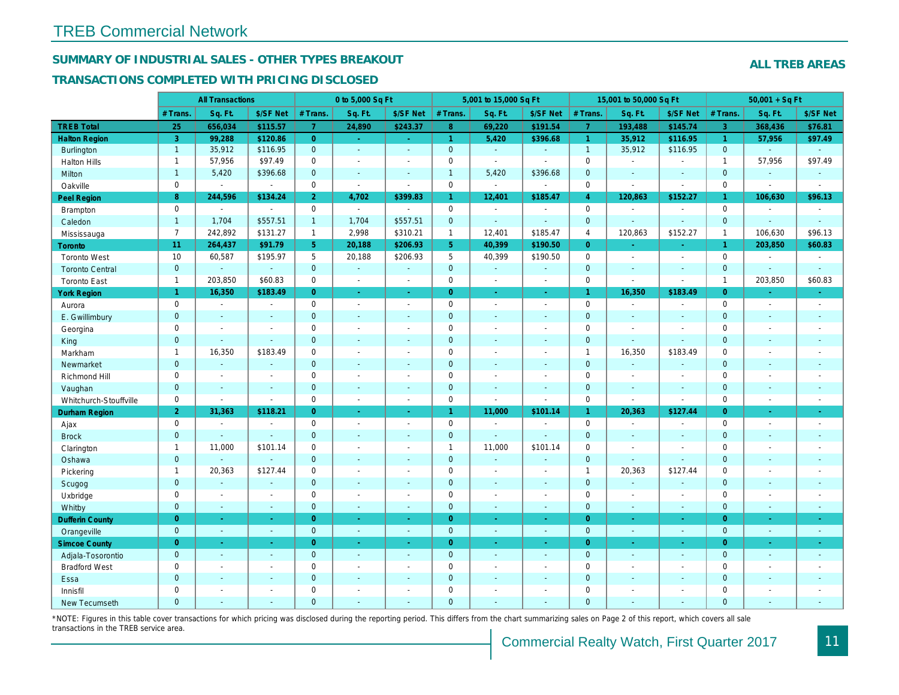## SUMMARY OF INDUSTRIAL SALES - OTHER TYPES BREAKOUT

#### TRANSACTIONS COMPLETED WITH PRICING DISCLOSED

|                        | <b>All Transactions</b> |                          |                | 0 to 5,000 Sq Ft |                |                          | 5,001 to 15,000 Sq Ft |                       |                          | 15,001 to 50,000 Sq Ft |                |                      |
|------------------------|-------------------------|--------------------------|----------------|------------------|----------------|--------------------------|-----------------------|-----------------------|--------------------------|------------------------|----------------|----------------------|
|                        | # Trans                 | Sq. Ft.                  | \$/SF Net      | # Trans.         | Sq. Ft.        | \$/SF Net                | # Trans.              | Sq. Ft.               | \$/SF Net                | # Trans.               | Sq. Ft.        | \$/SF Ne             |
| <b>TREB Total</b>      | 25                      | 656,034                  | \$115.57       | 7 <sup>1</sup>   | 24,890         | \$243.37                 | 8 <sup>°</sup>        | 69,220                | \$191.54                 | $\overline{7}$         | 193,488        | \$145.74             |
| <b>Halton Region</b>   | $\mathbf{3}$            | 99,288                   | \$120.86       | $\overline{0}$   | $\sim$         | ◆                        | $\mathbf{1}$          | 5,420                 | \$396.68                 | $\mathbf{1}$           | 35,912         | \$116.95             |
| Burlington             | $\mathbf{1}$            | 35,912                   | \$116.95       | $\mathbf{0}$     | $\Delta$       | $\Delta$                 | $\mathbf{0}$          | $\omega$              | $\omega$                 | $\overline{1}$         | 35,912         | \$116.95             |
| <b>Halton Hills</b>    | $\mathbf{1}$            | 57,956                   | \$97.49        | $\mathbf 0$      | $\sim$         | $\blacksquare$           | $\pmb{0}$             | $\blacksquare$        | $\sim$                   | $\mathbf 0$            | $\sim$         | $\sim$               |
| Milton                 | $\mathbf{1}$            | 5,420                    | \$396.68       | $\mathbf{0}$     | $\blacksquare$ | $\blacksquare$           | $\mathbf{1}$          | 5,420                 | \$396.68                 | $\mathbf{0}$           | $\blacksquare$ | $\blacksquare$       |
| Oakville               | $\mathbf 0$             | $\blacksquare$           | $\blacksquare$ | $\mathbf 0$      | $\blacksquare$ | $\sim$                   | $\mathsf{O}\xspace$   | $\blacksquare$        | $\sim$                   | $\mathbf 0$            | $\blacksquare$ | $\blacksquare$       |
| Peel Region            | 8                       | 244,596                  | \$134.24       | 2 <sup>1</sup>   | 4,702          | \$399.83                 | $\mathbf{1}$          | 12,401                | \$185.47                 | $\overline{4}$         | 120,863        | \$152.27             |
| Brampton               | $\mathbf 0$             | $\sim$                   | $\sim$         | $\mathbf 0$      | $\sim$         | $\sim$                   | $\mathbf 0$           | $\blacksquare$        | $\overline{\phantom{a}}$ | $\mathbf 0$            | $\sim$         | $\blacksquare$       |
| Caledon                | $\mathbf{1}$            | 1,704                    | \$557.51       | $\mathbf{1}$     | 1,704          | \$557.51                 | $\mathbf 0$           | $\omega$              | $\blacksquare$           | $\mathbf 0$            | $\blacksquare$ | $\sim$               |
| Mississauga            | $\overline{7}$          | 242,892                  | \$131.27       | $\mathbf{1}$     | 2,998          | \$310.21                 | $\mathbf{1}$          | 12,401                | \$185.47                 | $\overline{4}$         | 120,863        | \$152.27             |
| <b>Toronto</b>         | 11                      | 264,437                  | \$91.79        | 5                | 20,188         | \$206.93                 | 5 <sup>5</sup>        | 40,399                | \$190.50                 | $\Omega$               | ÷.             | $\omega_{\rm c}$     |
| <b>Toronto West</b>    | 10                      | 60,587                   | \$195.97       | 5                | 20,188         | \$206.93                 | $5\phantom{.0}$       | 40,399                | \$190.50                 | $\mathbf 0$            | $\blacksquare$ | $\sim$               |
| <b>Toronto Central</b> | $\mathbf{0}$            | $\Delta$                 | $\omega$       | $\mathbf{0}$     | ÷.             | $\sim$                   | $\mathbf 0$           | $\omega$              | $\blacksquare$           | $\mathbf 0$            | $\blacksquare$ | $\blacksquare$       |
| <b>Toronto East</b>    | $\mathbf{1}$            | 203,850                  | \$60.83        | $\mathbf 0$      | $\blacksquare$ | $\blacksquare$           | $\pmb{0}$             | $\sim$                | $\sim$                   | $\mathbf 0$            | $\blacksquare$ | $\blacksquare$       |
| <b>York Region</b>     | $\mathbf{1}$            | 16,350                   | \$183.49       | $\overline{0}$   | $\omega$       | $\blacksquare$           | $\overline{0}$        | $\blacksquare$        | $\blacksquare$           | $\mathbf{1}$           | 16,350         | \$183.49             |
| Aurora                 | $\mathbf 0$             | $\sim$                   | $\blacksquare$ | $\mathbf 0$      | $\blacksquare$ | $\blacksquare$           | $\pmb{0}$             | $\blacksquare$        | $\blacksquare$           | $\mathbf 0$            | $\blacksquare$ | $\blacksquare$       |
| E. Gwillimbury         | $\mathbf{0}$            | $\blacksquare$           | $\blacksquare$ | $\mathbf{0}$     | $\sim$         | $\sim$                   | $\pmb{0}$             | $\blacksquare$        | $\blacksquare$           | $\mathbf 0$            | $\blacksquare$ | $\blacksquare$       |
| Georgina               | $\mathbf 0$             | $\overline{\phantom{a}}$ | $\blacksquare$ | $\mathbf 0$      | $\sim$         | $\sim$                   | $\mathbf 0$           | $\blacksquare$        | $\blacksquare$           | $\mathbf 0$            | $\sim$         | $\sim$               |
| King                   | $\mathbf{0}$            | $\sim$                   | $\omega$       | $\mathbf{0}$     | $\sim$         | $\sim$                   | $\mathbf 0$           | ÷.                    | $\overline{\phantom{a}}$ | $\mathbf{0}$           | $\omega$       | $\sim$               |
| Markham                | $\mathbf{1}$            | 16,350                   | \$183.49       | $\mathbf 0$      | $\sim$         | $\overline{\phantom{a}}$ | $\pmb{0}$             | $\blacksquare$        | $\sim$                   | $\mathbf{1}$           | 16,350         | \$183.49             |
| Newmarket              | $\mathbf{0}$            | $\omega$                 | $\sim$         | $\overline{0}$   | ÷.             | $\sim$                   | $\mathbf 0$           | $\blacksquare$        | $\blacksquare$           | $\mathbf{0}$           | $\omega$       | $\blacksquare$       |
| Richmond Hill          | $\mathbf 0$             | $\sim$                   | $\blacksquare$ | $\mathbf 0$      | $\sim$         | $\sim$                   | $\pmb{0}$             | $\sim$                | $\blacksquare$           | $\mathbf 0$            | $\sim$         | $\blacksquare$       |
| Vaughan                | $\mathbf{0}$            | $\sim$                   | $\blacksquare$ | $\mathbf{0}$     | $\sim$         | $\sim$                   | $\pmb{0}$             | $\blacksquare$        | $\blacksquare$           | $\mathbf 0$            | $\omega$       | $\sim$               |
| Whitchurch-Stouffville | $\mathbf 0$             | $\blacksquare$           | $\blacksquare$ | $\mathbf 0$      | $\sim$         | $\sim$                   | $\pmb{0}$             | $\tilde{\phantom{a}}$ | $\sim$                   | $\mathbf 0$            | $\blacksquare$ | $\blacksquare$       |
| Durham Region          | $\overline{2}$          | 31,363                   | \$118.21       | $\overline{0}$   | $\bullet$      | $\omega$                 | $\mathbf{1}$          | 11,000                | \$101.14                 | $\mathbf{1}$           | 20,363         | \$127.44             |
| Ajax                   | $\mathbf 0$             | $\blacksquare$           | $\blacksquare$ | $\mathbf 0$      | $\sim$         | $\sim$                   | $\pmb{0}$             | $\blacksquare$        | $\blacksquare$           | $\mathbf 0$            | $\sim$         | $\blacksquare$       |
| <b>Brock</b>           | $\overline{0}$          | $\blacksquare$           | $\blacksquare$ | $\mathbf{0}$     | $\sim$         | $\blacksquare$           | $\mathbf 0$           | $\omega$              | $\omega$                 | $\mathbf{0}$           | $\blacksquare$ | $\blacksquare$       |
| Clarington             | $\mathbf{1}$            | 11,000                   | \$101.14       | $\mathbf 0$      | $\blacksquare$ |                          | $\mathbf{1}$          | 11,000                | \$101.14                 | $\mathbf 0$            | $\blacksquare$ | $\blacksquare$       |
| Oshawa                 | $\mathbf{0}$            |                          | $\Delta$       | $\mathbf{0}$     | $\sim$         | $\sim$                   | $\mathbf 0$           | $\blacksquare$        | $\blacksquare$           | $\mathbf{0}$           | $\blacksquare$ | $\sim$               |
| Pickering              | $\mathbf{1}$            | 20,363                   | \$127.44       | $\mathbf 0$      | $\sim$         | $\sim$                   | $\pmb{0}$             | $\blacksquare$        | $\blacksquare$           | $\mathbf{1}$           | 20,363         | \$127.44             |
| Scugog                 | $\mathbf{0}$            | $\sim$                   | $\sim$         | $\mathbf{0}$     | $\sim$         | $\sim$                   | $\mathbf 0$           | $\blacksquare$        | $\blacksquare$           | $\mathbf 0$            | $\blacksquare$ | $\blacksquare$       |
| Uxbridge               | $\mathbf 0$             | $\blacksquare$           | $\omega$       | $\mathbf 0$      | $\sim$         | $\blacksquare$           | $\pmb{0}$             | $\overline{a}$        | $\blacksquare$           | $\mathbf 0$            | $\overline{a}$ | $\blacksquare$       |
| Whitby                 | $\mathbf{0}$            | $\sim$                   | $\omega$       | $\mathbf{0}$     | $\sim$         | $\sim$                   | $\mathbf 0$           | $\Delta$              | $\blacksquare$           | $\mathbf{0}$           | $\omega$       | $\sim$               |
| <b>Dufferin County</b> | $\overline{0}$          | $\sim$                   | $\omega$       | $\overline{0}$   | $\sim$         | $\sim$                   | $\overline{0}$        | $\omega$              | $\omega$                 | $\overline{0}$         | $\omega$       | $\sim$               |
| Orangeville            | $\overline{0}$          | $\omega$                 | $\blacksquare$ | $\mathbf{0}$     | $\blacksquare$ | $\omega$                 | $\mathbf{0}$          | $\sim$                | $\omega$                 | $\mathbf{0}$           | $\omega$       | $\sim$               |
| <b>Simcoe County</b>   | $\overline{0}$          | $\omega$                 | $\blacksquare$ | $\overline{0}$   | $\blacksquare$ | $\blacksquare$           | $\overline{0}$        | $\blacksquare$        | $\omega$                 | $\overline{0}$         | $\blacksquare$ | $\frac{1}{\sqrt{2}}$ |
| Adjala-Tosorontio      | $\mathbf{0}$            | $\sim$                   | $\sim$         | $\mathbf{0}$     | $\sim$         | $\sim$                   | $\mathbf 0$           | $\blacksquare$        | $\blacksquare$           | $\mathbf{0}$           | $\blacksquare$ | $\sim$               |
| <b>Bradford West</b>   | $\mathbf 0$             | $\blacksquare$           | $\blacksquare$ | $\mathbf 0$      | $\sim$         | $\blacksquare$           | $\pmb{0}$             | $\blacksquare$        | $\blacksquare$           | $\mathbf 0$            | $\blacksquare$ | $\blacksquare$       |
| Essa                   | $\mathbf{0}$            | $\sim$                   | $\sim$         | $\mathbf{0}$     | $\sim$         | $\sim$                   | $\pmb{0}$             | $\blacksquare$        | $\blacksquare$           | $\mathbf 0$            | $\blacksquare$ | $\blacksquare$       |
| Innisfil               | $\mathbf 0$             | $\blacksquare$           | $\blacksquare$ | $\mathbf 0$      | $\sim$         | $\sim$                   | $\mathbf 0$           | $\blacksquare$        | $\blacksquare$           | $\mathbf 0$            | $\blacksquare$ | $\blacksquare$       |
| <b>New Tecumseth</b>   | $\Omega$                | $\sim$                   | $\sim$         | $\Omega$         | $\sim$         | $\sim$                   | $\overline{0}$        | $\overline{a}$        | $\overline{a}$           | $\mathbf{0}$           | ÷.             | $\sim$               |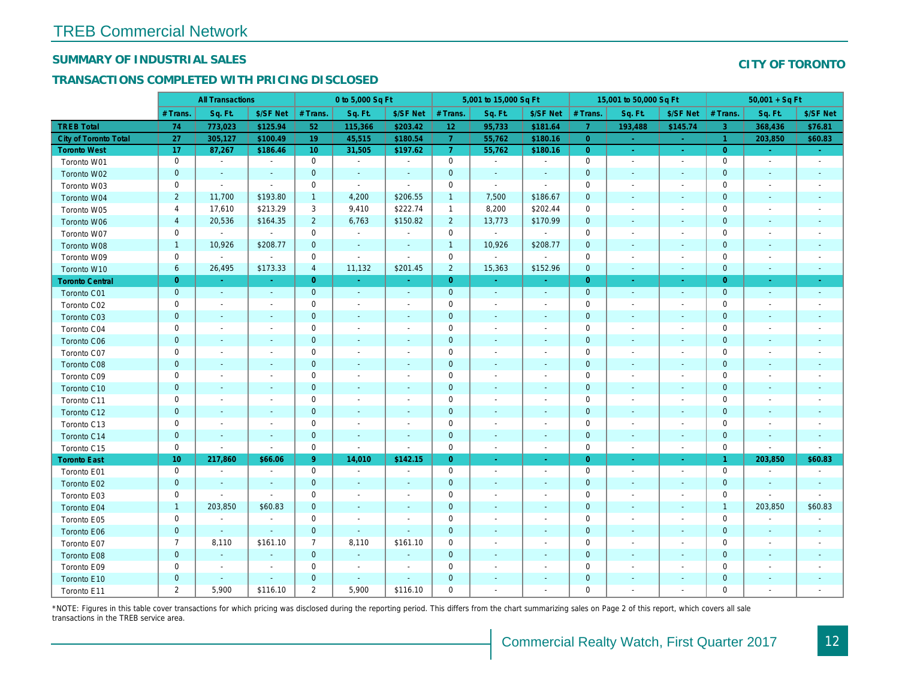## SUMMARY OF INDUSTRIAL SALES

## TRANSACTIONS COMPLETED WITH PRICING DISCLOSED

|                              | <b>All Transactions</b> |                          |                          | 0 to 5,000 Sq Ft |                          |                          | 5,001 to 15,000 Sq Ft |                          |                | 15,001 to 50,000 Sq Ft |                          |                          |
|------------------------------|-------------------------|--------------------------|--------------------------|------------------|--------------------------|--------------------------|-----------------------|--------------------------|----------------|------------------------|--------------------------|--------------------------|
|                              | # Trans                 | Sq. Ft.                  | \$/SF Net                | # Trans.         | Sq. Ft.                  | \$/SF Net                | # Trans.              | Sq. Ft.                  | \$/SF Net      | # Trans.               | Sq. Ft.                  | \$/SF Ne                 |
| <b>TREB Total</b>            | 74                      | 773,023                  | \$125.94                 | 52               | 115,366                  | \$203.42                 | 12                    | 95,733                   | \$181.64       | $\overline{7}$         | 193,488                  | \$145.7                  |
| <b>City of Toronto Total</b> | 27                      | 305,127                  | \$100.49                 | 19               | 45,515                   | \$180.54                 | $\overline{7}$        | 55,762                   | \$180.16       | $\overline{0}$         | $\sim$                   | $\sim$                   |
| <b>Toronto West</b>          | 17                      | 87,267                   | \$186.46                 | 10               | 31,505                   | \$197.62                 | $\overline{7}$        | 55,762                   | \$180.16       | $\overline{0}$         | $\omega$                 | $\sim$                   |
| Toronto W01                  | 0                       | $\blacksquare$           | $\blacksquare$           | $\mathbf 0$      | $\sim$                   | $\blacksquare$           | $\mathbf 0$           | $\blacksquare$           | $\blacksquare$ | $\mathbf 0$            | $\blacksquare$           | $\blacksquare$           |
| Toronto W02                  | $\mathbf{0}$            | $\blacksquare$           |                          | $\mathbf 0$      | $\blacksquare$           | $\blacksquare$           | $\mathbf 0$           | $\blacksquare$           | ÷,             | $\mathbf{0}$           | $\blacksquare$           | $\blacksquare$           |
| Toronto W03                  | $\mathbf 0$             | $\blacksquare$           | $\sim$                   | $\mathbf 0$      | $\blacksquare$           | $\sim$                   | $\mathbf 0$           | $\omega$                 | $\omega$       | $\mathbf 0$            | $\blacksquare$           | $\blacksquare$           |
| Toronto W04                  | $\overline{2}$          | 11,700                   | \$193.80                 | $\mathbf{1}$     | 4,200                    | \$206.55                 | $\mathbf{1}$          | 7,500                    | \$186.67       | $\mathbf 0$            | $\blacksquare$           | $\blacksquare$           |
| Toronto W05                  | 4                       | 17,610                   | \$213.29                 | 3                | 9,410                    | \$222.74                 | $\mathbf{1}$          | 8,200                    | \$202.44       | 0                      | $\blacksquare$           | $\blacksquare$           |
| Toronto W06                  | $\overline{4}$          | 20,536                   | \$164.35                 | $\overline{2}$   | 6,763                    | \$150.82                 | $\overline{2}$        | 13,773                   | \$170.99       | $\mathbf 0$            | $\sim$                   | $\sim$                   |
| Toronto W07                  | 0                       | $\omega$                 | $\sim$                   | $\mathbf 0$      | $\sim$                   | $\blacksquare$           | $\mathbf 0$           | $\mathbf{a}^{\prime}$    | $\sim$         | 0                      | $\sim$                   | $\overline{\phantom{a}}$ |
| Toronto W08                  | $\mathbf{1}$            | 10,926                   | \$208.77                 | $\mathbf 0$      | $\blacksquare$           | $\blacksquare$           | $\mathbf{1}$          | 10,926                   | \$208.77       | $\mathbf 0$            | $\blacksquare$           | $\overline{\phantom{a}}$ |
| Toronto W09                  | $\mathbf 0$             | $\blacksquare$           | $\sim$                   | $\mathbf 0$      | $\overline{\phantom{a}}$ | $\blacksquare$           | $\mathbf 0$           | $\blacksquare$           | $\sim$         | $\mathbf 0$            | ÷,                       | $\overline{\phantom{a}}$ |
| Toronto W10                  | 6                       | 26,495                   | \$173.33                 | $\overline{4}$   | 11,132                   | \$201.45                 | $\overline{2}$        | 15,363                   | \$152.96       | $\mathbf{0}$           | $\blacksquare$           | $\blacksquare$           |
| <b>Toronto Central</b>       | $\overline{0}$          | $\sim$                   | $\sim$                   | $\overline{0}$   | $\omega$                 | $\blacksquare$           | $\overline{0}$        | $\sim$                   | $\sim$         | $\overline{0}$         | $\sim$                   | $\sim$                   |
| Toronto C01                  | $\mathbf 0$             | $\blacksquare$           | $\sim$                   | $\mathbf{0}$     | $\omega$                 | $\sim$                   | $\mathbf 0$           | $\blacksquare$           | $\blacksquare$ | $\mathbf{0}$           | $\blacksquare$           | $\sim$                   |
| Toronto C02                  | 0                       | $\sim$                   | $\sim$                   | $\mathbf 0$      | $\blacksquare$           | $\blacksquare$           | $\mathbf 0$           | $\sim$                   | $\blacksquare$ | $\mathbf 0$            | J.                       | $\blacksquare$           |
| Toronto C03                  | $\mathbf{0}$            | $\blacksquare$           | $\sim$                   | $\mathbf{0}$     | ä,                       | $\blacksquare$           | $\mathbf 0$           | ÷,                       | ٠              | $\mathbf{0}$           | $\blacksquare$           |                          |
| Toronto C04                  | 0                       | $\blacksquare$           |                          | $\mathbf 0$      | $\blacksquare$           | $\blacksquare$           | $\mathbf 0$           | $\overline{a}$           | $\overline{a}$ | $\mathbf 0$            | ÷,                       | $\blacksquare$           |
| Toronto C06                  | $\mathbf 0$             | $\blacksquare$           |                          | $\mathbf 0$      | $\blacksquare$           | $\blacksquare$           | $\mathbf 0$           | $\blacksquare$           | $\blacksquare$ | $\mathbf 0$            | $\blacksquare$           | $\blacksquare$           |
| Toronto C07                  | $\mathbf 0$             | $\sim$                   |                          | $\mathbf 0$      | $\sim$                   | $\blacksquare$           | $\mathsf{O}\xspace$   | $\sim$                   | $\sim$         | $\mathbf 0$            | $\blacksquare$           | $\blacksquare$           |
| Toronto C08                  | $\mathbf{0}$            | $\sim$                   | $\sim$                   | $\mathbf 0$      | ä,                       | $\blacksquare$           | $\mathbf 0$           | ٠                        | $\blacksquare$ | $\mathbf{0}$           | $\blacksquare$           | $\blacksquare$           |
| Toronto C09                  | 0                       | $\blacksquare$           | $\overline{\phantom{a}}$ | $\mathbf 0$      | $\blacksquare$           | $\blacksquare$           | $\mathbf 0$           | $\overline{\phantom{a}}$ | $\sim$         | 0                      | $\overline{\phantom{a}}$ | $\overline{\phantom{a}}$ |
| Toronto C10                  | $\mathbf{0}$            | $\sim$                   | $\sim$                   | $\mathbf{0}$     | $\sim$                   | $\sim$                   | $\mathbf{0}$          | $\sim$                   | $\sim$         | $\mathbf 0$            | $\sim$                   | $\sim$                   |
| Toronto C11                  | 0                       | $\blacksquare$           | $\overline{\phantom{a}}$ | $\mathbf 0$      | $\blacksquare$           | $\blacksquare$           | $\mathbf 0$           | $\blacksquare$           | $\blacksquare$ | 0                      | $\blacksquare$           | $\overline{\phantom{a}}$ |
| Toronto C12                  | $\mathbf{0}$            | $\sim$                   | $\sim$                   | $\mathbf 0$      | $\blacksquare$           | $\blacksquare$           | $\mathbf 0$           | $\blacksquare$           | $\blacksquare$ | $\mathbf 0$            | $\blacksquare$           | $\blacksquare$           |
| Toronto C13                  | 0                       | $\overline{\phantom{a}}$ | $\overline{\phantom{a}}$ | 0                | $\overline{\phantom{a}}$ | $\overline{\phantom{a}}$ | 0                     | $\overline{\phantom{a}}$ | $\blacksquare$ | 0                      | $\overline{\phantom{a}}$ | $\overline{\phantom{a}}$ |
| Toronto C14                  | $\pmb{0}$               | $\sim$                   | $\sim$                   | $\mathbf{0}$     | $\sim$                   | $\blacksquare$           | $\mathbf 0$           | $\sim$                   | $\sim$         | $\mathbf{0}$           | $\sim$                   | $\sim$                   |
| Toronto C15                  | 0                       | $\blacksquare$           | $\blacksquare$           | $\mathbf 0$      | $\blacksquare$           | $\blacksquare$           | $\mathbf 0$           | $\blacksquare$           | $\blacksquare$ | $\mathbf 0$            | $\overline{\phantom{a}}$ | $\blacksquare$           |
| <b>Toronto East</b>          | 10 <sub>1</sub>         | 217,860                  | \$66.06                  | 9 <sup>°</sup>   | 14,010                   | \$142.15                 | $\overline{0}$        | $\blacksquare$           | $\bullet$      | $\overline{0}$         | $\blacksquare$           | $\sim$                   |
| Toronto E01                  | 0                       | $\sim$                   | $\sim$                   | $\mathbf 0$      | $\sim$                   | $\sim$                   | $\mathbf 0$           | $\sim$                   | $\sim$         | $\mathbf 0$            | $\blacksquare$           | $\sim$                   |
| Toronto E02                  | $\mathbf 0$             | $\sim$                   | $\sim$                   | $\mathbf{0}$     | $\sim$                   | $\blacksquare$           | $\mathbf 0$           | $\blacksquare$           | $\sim$         | $\mathbf{0}$           | $\blacksquare$           | $\blacksquare$           |
| Toronto E03                  | 0                       | $\blacksquare$           | $\blacksquare$           | $\mathbf 0$      | $\blacksquare$           | $\blacksquare$           | $\pmb{0}$             | $\blacksquare$           | $\blacksquare$ | 0                      | $\blacksquare$           | $\blacksquare$           |
| Toronto E04                  | $\mathbf{1}$            | 203,850                  | \$60.83                  | $\mathbf{0}$     | $\blacksquare$           | $\blacksquare$           | $\mathbf 0$           | ÷,                       | ٠              | $\mathbf{0}$           | $\blacksquare$           |                          |
| Toronto E05                  | $\mathbf 0$             | $\blacksquare$           | $\blacksquare$           | $\mathbf 0$      | $\sim$                   | $\blacksquare$           | $\mathbf 0$           | $\sim$                   | $\blacksquare$ | $\mathbf 0$            | $\sim$                   | $\blacksquare$           |
| Toronto E06                  | $\mathbf 0$             | $\sim$                   | $\sim$                   | $\mathbf 0$      | $\sim$                   | $\blacksquare$           | $\mathbf 0$           |                          |                | $\mathbf 0$            | $\sim$                   |                          |
| Toronto E07                  | $\overline{7}$          | 8,110                    | \$161.10                 | $\overline{7}$   | 8,110                    | \$161.10                 | 0                     | $\overline{\phantom{a}}$ | $\blacksquare$ | 0                      | $\blacksquare$           | $\overline{\phantom{a}}$ |
| Toronto E08                  | $\mathbf{0}$            | $\sim$                   | $\sim$                   | $\mathbf 0$      | $\sim$                   | $\blacksquare$           | $\mathbf{0}$          | $\sim$                   | $\sim$         | $\mathbf 0$            | $\sim$                   | ٠                        |
| Toronto E09                  | 0                       | $\sim$                   | $\sim$                   | 0                | $\sim$                   | $\sim$                   | $\mathbf 0$           | ä,                       | $\blacksquare$ | $\mathbf 0$            | $\sim$                   | $\blacksquare$           |
| Toronto E10                  | $\mathbf 0$             | $\sim$                   | $\sim$                   | $\mathbf 0$      | $\sim$                   | ٠                        | $\mathbf 0$           |                          | ٠              | $\mathbf 0$            | $\sim$                   |                          |
| Toronto E11                  | $\overline{2}$          | 5,900                    | \$116.10                 | $\overline{2}$   | 5,900                    | \$116.10                 | 0                     | ä,                       | $\blacksquare$ | $\mathbf 0$            |                          | $\overline{\phantom{a}}$ |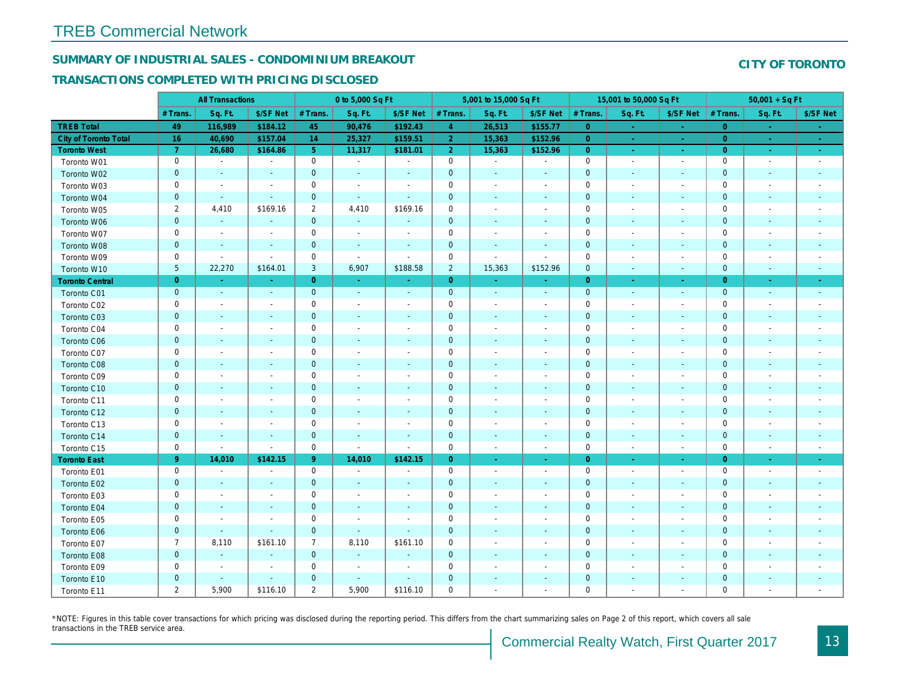## SUMMARY OF INDUSTRIAL SALES - CONDOMINIUM BREAKOUT

## TRANSACTIONS COMPLETED WITH PRICING DISCLOSED

|                              | <b>All Transactions</b> |                          |                          | 0 to 5,000 Sq Ft |                          |                          | 5,001 to 15,000 Sq Ft |                          |                          | 15,001 to 50,000 Sq Ft |                          |                          |
|------------------------------|-------------------------|--------------------------|--------------------------|------------------|--------------------------|--------------------------|-----------------------|--------------------------|--------------------------|------------------------|--------------------------|--------------------------|
|                              | # Trans.                | Sq. Ft.                  | \$/SF Net                | # Trans.         | Sq. Ft.                  | \$/SF Net                | # Trans.              | Sq. Ft.                  | \$/SF Net                | # Trans.               | Sq. Ft.                  | \$/SF Ne                 |
| <b>TREB Total</b>            | 49                      | 116,989                  | \$184.12                 | 45               | 90,476                   | \$192.43                 | $\overline{4}$        | 26,513                   | \$155.77                 | $\overline{0}$         | $\sim$                   | $\sim$                   |
| <b>City of Toronto Total</b> | 16                      | 40,690                   | \$157.04                 | 14               | 25,327                   | \$159.51                 | 2 <sup>1</sup>        | 15,363                   | \$152.96                 | $\overline{0}$         |                          | $\omega_{\rm c}$         |
| <b>Toronto West</b>          | $\mathbf{7}$            | 26,680                   | \$164.86                 | 5 <sup>5</sup>   | 11,317                   | \$181.01                 | 2 <sup>1</sup>        | 15,363                   | \$152.96                 | $\overline{0}$         | $\sim$                   | $\sim$                   |
| Toronto W01                  | 0                       | $\sim$                   | $\blacksquare$           | $\mathbf 0$      | $\sim$                   | $\blacksquare$           | $\mathbf 0$           | $\sim$                   | $\blacksquare$           | $\mathbf 0$            | $\blacksquare$           | $\sim$                   |
| Toronto W02                  | $\mathbf{0}$            | $\sim$                   | $\sim$                   | $\mathbf{0}$     | $\sim$                   | $\blacksquare$           | $\mathbf 0$           | $\sim$                   | $\sim$                   | $\mathbf{0}$           | $\sim$                   | $\sim$                   |
| Toronto W03                  | 0                       | $\blacksquare$           | $\overline{\phantom{a}}$ | $\mathbf 0$      | $\overline{\phantom{a}}$ | $\overline{\phantom{a}}$ | $\mathbf 0$           | $\blacksquare$           | $\blacksquare$           | 0                      | $\blacksquare$           | $\blacksquare$           |
| Toronto W04                  | $\mathbf{0}$            | $\sim$                   | $\sim$                   | $\mathbf{0}$     | $\blacksquare$           | $\blacksquare$           | $\mathbf 0$           | $\blacksquare$           | $\blacksquare$           | $\mathbf{0}$           | $\blacksquare$           | $\blacksquare$           |
| Toronto W05                  | $\overline{2}$          | 4,410                    | \$169.16                 | $\overline{2}$   | 4,410                    | \$169.16                 | $\mathbf 0$           | $\blacksquare$           | $\blacksquare$           | $\mathbf 0$            | $\blacksquare$           | $\blacksquare$           |
| Toronto W06                  | $\pmb{0}$               | $\blacksquare$           |                          | $\mathbf{0}$     | $\sim$                   | ٠                        | $\mathbf 0$           | ä,                       | ä,                       | $\mathbf{0}$           | $\blacksquare$           |                          |
| Toronto W07                  | 0                       | $\blacksquare$           | $\overline{\phantom{a}}$ | $\mathbf 0$      | $\overline{\phantom{a}}$ | $\overline{\phantom{a}}$ | $\mathbf 0$           | $\overline{\phantom{a}}$ | $\blacksquare$           | 0                      | $\overline{\phantom{a}}$ | $\blacksquare$           |
| Toronto W08                  | $\pmb{0}$               | $\sim$                   |                          | $\mathbf 0$      | $\blacksquare$           | $\blacksquare$           | $\mathbf 0$           | $\sim$                   | $\sim$                   | $\mathbf{0}$           | $\blacksquare$           | $\blacksquare$           |
| Toronto W09                  | 0                       | $\blacksquare$           | $\blacksquare$           | $\mathbf 0$      | $\sim$                   | $\sim$                   | $\mathbf 0$           | $\blacksquare$           | $\blacksquare$           | $\mathbf 0$            | $\blacksquare$           | $\overline{\phantom{a}}$ |
| Toronto W10                  | $5\phantom{.0}$         | 22,270                   | \$164.01                 | 3                | 6,907                    | \$188.58                 | $\overline{2}$        | 15,363                   | \$152.96                 | $\mathbf 0$            | $\blacksquare$           | ٠.                       |
| <b>Toronto Central</b>       | $\overline{0}$          | $\sim$                   | $\Delta \tau$            | $\overline{0}$   | $\sim$                   | $\omega$                 | $\overline{0}$        | $\omega$                 | $\omega$                 | $\overline{0}$         | $\sim$                   | $\sim$                   |
| Toronto C01                  | $\pmb{0}$               | $\blacksquare$           | $\sim$                   | $\mathbf{0}$     | $\sim$                   | $\blacksquare$           | $\mathbf 0$           | $\omega$                 | $\sim$                   | $\mathbf 0$            | $\omega$                 | $\sim$                   |
| Toronto C02                  | 0                       | $\overline{\phantom{a}}$ | $\overline{\phantom{a}}$ | 0                | $\blacksquare$           | $\blacksquare$           | $\mathbf 0$           | $\blacksquare$           | $\blacksquare$           | 0                      | $\blacksquare$           | $\blacksquare$           |
| Toronto C03                  | $\mathbf{0}$            | $\sim$                   | $\sim$                   | $\mathbf{0}$     | $\blacksquare$           | $\blacksquare$           | $\mathbf 0$           | ٠                        | ٠                        | $\mathbf{0}$           | $\sim$                   | $\blacksquare$           |
| Toronto C04                  | 0                       | $\overline{\phantom{a}}$ |                          | $\mathbf 0$      | $\blacksquare$           | $\blacksquare$           | $\mathbf 0$           | $\blacksquare$           | $\overline{\phantom{a}}$ | $\mathbf 0$            | ٠                        | $\overline{\phantom{a}}$ |
| Toronto C06                  | $\mathbf 0$             | $\blacksquare$           | $\sim$                   | $\mathbf 0$      | $\blacksquare$           | $\blacksquare$           | $\mathbf 0$           | $\blacksquare$           | $\blacksquare$           | $\mathbf 0$            | $\blacksquare$           | $\blacksquare$           |
| Toronto C07                  | 0                       | $\blacksquare$           |                          | $\mathbf 0$      | $\blacksquare$           | $\blacksquare$           | $\mathsf 0$           | $\blacksquare$           | $\overline{a}$           | $\mathbf 0$            | ٠                        | $\blacksquare$           |
| Toronto C08                  | $\mathbf 0$             | $\blacksquare$           | $\blacksquare$           | $\mathbf 0$      | ä,                       | $\blacksquare$           | $\mathbf 0$           | ä,                       | $\blacksquare$           | $\mathbf{0}$           | $\blacksquare$           | $\blacksquare$           |
| Toronto C09                  | 0                       | $\blacksquare$           |                          | $\mathbf 0$      | $\blacksquare$           | $\blacksquare$           | $\mathbf 0$           |                          | $\overline{\phantom{a}}$ | $\mathbf 0$            | ÷,                       |                          |
| Toronto C10                  | $\mathbf{0}$            | $\sim$                   |                          | $\mathbf 0$      | $\blacksquare$           | $\sim$                   | $\mathbf 0$           | $\omega$                 | $\blacksquare$           | $\mathbf{0}$           | $\blacksquare$           | $\blacksquare$           |
| Toronto C11                  | 0                       | $\overline{\phantom{a}}$ |                          | $\mathbf 0$      | $\blacksquare$           | $\blacksquare$           | $\mathsf{O}\xspace$   | $\blacksquare$           | $\overline{\phantom{a}}$ | $\mathbf 0$            | $\overline{\phantom{a}}$ | $\overline{\phantom{a}}$ |
| Toronto C12                  | $\mathbf 0$             | $\sim$                   | $\sim$                   | $\mathbf 0$      | $\blacksquare$           | $\blacksquare$           | $\mathbf 0$           | $\overline{\phantom{a}}$ | $\blacksquare$           | $\mathbf 0$            | $\overline{\phantom{a}}$ | $\sim$                   |
| Toronto C13                  | 0                       | $\sim$                   | $\overline{\phantom{a}}$ | $\mathbf 0$      | $\sim$                   | $\blacksquare$           | $\mathbf 0$           | $\blacksquare$           | $\blacksquare$           | 0                      | $\blacksquare$           | $\blacksquare$           |
| Toronto C14                  | $\pmb{0}$               | $\sim$                   | $\sim$                   | $\mathbf{0}$     | $\blacksquare$           | $\blacksquare$           | $\mathbf 0$           | $\sim$                   | $\sim$                   | $\mathbf 0$            | $\blacksquare$           | $\sim$                   |
| Toronto C15                  | 0                       | $\blacksquare$           | $\sim$                   | $\mathbf 0$      | $\blacksquare$           | $\blacksquare$           | $\mathbf 0$           | $\overline{\phantom{a}}$ | $\blacksquare$           | 0                      | $\overline{\phantom{a}}$ | $\sim$                   |
| <b>Toronto East</b>          | 9 <sup>°</sup>          | 14,010                   | \$142.15                 | 9 <sup>°</sup>   | 14,010                   | \$142.15                 | $\overline{0}$        | $\blacksquare$           | $\omega$                 | $\overline{0}$         | $\blacksquare$           | $\sim$                   |
| Toronto E01                  | 0                       | $\blacksquare$           | $\blacksquare$           | $\mathbf 0$      | $\sim$                   | $\blacksquare$           | $\mathbf 0$           | $\sim$                   | $\blacksquare$           | $\mathbf 0$            | $\overline{\phantom{a}}$ | $\sim$                   |
| Toronto E02                  | $\mathbf 0$             | $\sim$                   |                          | $\mathbf 0$      | $\blacksquare$           | $\blacksquare$           | $\mathbf 0$           | $\blacksquare$           | $\blacksquare$           | $\mathbf 0$            | $\blacksquare$           | $\blacksquare$           |
| Toronto E03                  | 0                       | $\blacksquare$           | $\overline{\phantom{a}}$ | $\mathbf 0$      | $\blacksquare$           | $\blacksquare$           | $\mathbf 0$           | $\blacksquare$           | $\blacksquare$           | $\mathbf 0$            | $\blacksquare$           | $\blacksquare$           |
| Toronto E04                  | $\pmb{0}$               | $\sim$                   | $\sim$                   | $\mathbf 0$      | $\blacksquare$           | $\blacksquare$           | $\mathbf 0$           | $\sim$                   | $\blacksquare$           | $\mathbf{0}$           | $\blacksquare$           | $\blacksquare$           |
| Toronto E05                  | 0                       | $\blacksquare$           | $\blacksquare$           | $\mathbf 0$      | $\overline{\phantom{a}}$ | $\blacksquare$           | $\mathbf 0$           | $\overline{\phantom{a}}$ | $\blacksquare$           | $\mathbf 0$            | $\overline{\phantom{a}}$ | $\blacksquare$           |
| Toronto E06                  | $\mathbf{0}$            | $\sim$                   | $\sim$                   | $\mathbf 0$      | $\sim$                   | $\blacksquare$           | $\mathbf 0$           |                          |                          | $\mathbf 0$            | $\sim$                   |                          |
| Toronto E07                  | $\overline{7}$          | 8,110                    | \$161.10                 | $\overline{7}$   | 8,110                    | \$161.10                 | $\mathbf 0$           | $\overline{\phantom{a}}$ | $\blacksquare$           | $\mathbf 0$            | $\blacksquare$           | $\overline{\phantom{a}}$ |
| Toronto E08                  | $\mathbf 0$             | $\blacksquare$           | $\sim$                   | $\mathbf 0$      | $\blacksquare$           | $\blacksquare$           | $\mathbf 0$           | $\overline{\phantom{a}}$ | $\blacksquare$           | $\mathbf 0$            | $\blacksquare$           | $\sim$                   |
| Toronto E09                  | 0                       | $\sim$                   | $\sim$                   | $\mathbf 0$      | $\sim$                   | $\blacksquare$           | $\mathbf 0$           | $\sim$                   | $\sim$                   | $\mathbf 0$            | $\sim$                   | $\blacksquare$           |
| Toronto E10                  | $\mathbf 0$             | $\sim$                   | $\sim$                   | $\mathbf 0$      | $\sim$                   | ٠                        | $\mathbf 0$           |                          | $\blacksquare$           | $\mathbf 0$            | $\sim$                   |                          |
| Toronto E11                  | $\overline{2}$          | 5,900                    | \$116.10                 | $\overline{2}$   | 5,900                    | \$116.10                 | $\mathbf 0$           |                          | $\blacksquare$           | $\mathbf 0$            |                          | $\overline{\phantom{a}}$ |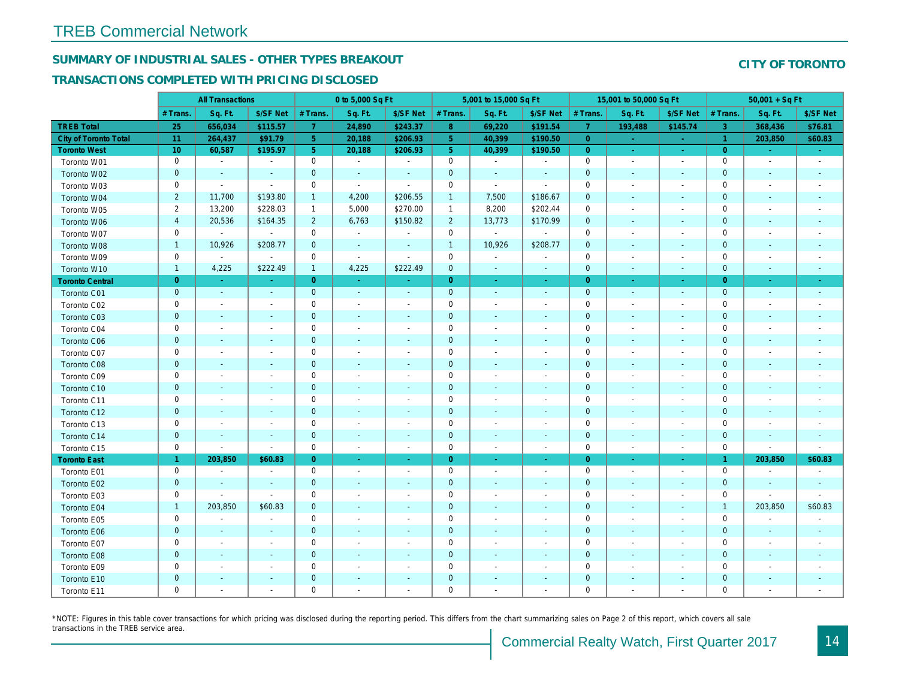# SUMMARY OF INDUSTRIAL SALES - OTHER TYPES BREAKOUT

## TRANSACTIONS COMPLETED WITH PRICING DISCLOSED

|                              |                 | <b>All Transactions</b>  |                          |                | 0 to 5,000 Sq Ft         |                          |                  | 5,001 to 15,000 Sq Ft    |                          |                | 15,001 to 50,000 Sq Ft   |                          |
|------------------------------|-----------------|--------------------------|--------------------------|----------------|--------------------------|--------------------------|------------------|--------------------------|--------------------------|----------------|--------------------------|--------------------------|
|                              | # Trans.        | Sq. Ft.                  | \$/SF Net                | # Trans.       | Sq. Ft.                  | \$/SF Net                | # Trans.         | Sq. Ft.                  | \$/SF Net                | # Trans.       | Sq. Ft.                  | \$/SF Ne                 |
| <b>TREB Total</b>            | 25              | 656,034                  | \$115.57                 | $\overline{7}$ | 24,890                   | \$243.37                 | $\boldsymbol{8}$ | 69,220                   | \$191.54                 | $\overline{7}$ | 193,488                  | \$145.74                 |
| <b>City of Toronto Total</b> | 11              | 264,437                  | \$91.79                  | 5 <sup>1</sup> | 20,188                   | \$206.93                 | 5 <sup>1</sup>   | 40,399                   | \$190.50                 | $\overline{0}$ |                          | $\sim$                   |
| <b>Toronto West</b>          | 10 <sup>°</sup> | 60,587                   | \$195.97                 | 5 <sup>1</sup> | 20,188                   | \$206.93                 | 5 <sup>5</sup>   | 40,399                   | \$190.50                 | $\overline{0}$ | $\omega$                 | $\omega_{\rm c}$         |
| Toronto W01                  | 0               | $\sim$                   | $\blacksquare$           | $\mathbf 0$    | $\sim$                   | $\blacksquare$           | $\mathsf 0$      | $\blacksquare$           | $\sim$                   | $\mathbf 0$    | $\blacksquare$           | $\sim$                   |
| Toronto W02                  | $\mathbf 0$     | $\blacksquare$           | $\sim$                   | $\mathbf{0}$   | $\blacksquare$           | $\blacksquare$           | $\mathbf 0$      | $\blacksquare$           | $\sim$                   | $\mathbf{0}$   | $\blacksquare$           | $\blacksquare$           |
| Toronto W03                  | 0               | $\blacksquare$           | $\blacksquare$           | $\mathbf 0$    | $\blacksquare$           | $\blacksquare$           | $\mathbf 0$      | $\blacksquare$           | $\blacksquare$           | 0              | $\overline{\phantom{a}}$ | $\blacksquare$           |
| Toronto W04                  | $\overline{2}$  | 11,700                   | \$193.80                 | $\mathbf{1}$   | 4,200                    | \$206.55                 | $\mathbf{1}$     | 7,500                    | \$186.67                 | $\mathbf{0}$   | $\blacksquare$           | $\blacksquare$           |
| Toronto W05                  | $\overline{2}$  | 13,200                   | \$228.03                 | $\mathbf{1}$   | 5,000                    | \$270.00                 | $\mathbf{1}$     | 8,200                    | \$202.44                 | $\mathbf 0$    | $\blacksquare$           | $\blacksquare$           |
| Toronto W06                  | $\overline{4}$  | 20,536                   | \$164.35                 | $\overline{2}$ | 6,763                    | \$150.82                 | $\overline{2}$   | 13,773                   | \$170.99                 | $\mathbf 0$    | $\blacksquare$           | $\blacksquare$           |
| Toronto W07                  | 0               | $\blacksquare$           | $\sim$                   | $\mathbf 0$    | $\sim$                   | $\blacksquare$           | $\mathbf 0$      | $\blacksquare$           | $\sim$                   | 0              | $\blacksquare$           | $\blacksquare$           |
| Toronto W08                  | $\mathbf{1}$    | 10,926                   | \$208.77                 | $\mathbf 0$    | $\sim$                   | $\blacksquare$           | $\mathbf{1}$     | 10,926                   | \$208.77                 | $\mathbf 0$    | $\sim$                   | $\blacksquare$           |
| Toronto W09                  | $\mathbf 0$     | $\blacksquare$           | $\sim$                   | $\mathbf 0$    | $\sim$                   | $\sim$                   | $\mathbf 0$      | $\blacksquare$           | $\sim$                   | $\mathbf 0$    | $\sim$                   | $\overline{\phantom{a}}$ |
| Toronto W10                  | $\mathbf{1}$    | 4,225                    | \$222.49                 | $\mathbf{1}$   | 4,225                    | \$222.49                 | $\mathbf 0$      | $\bullet$                | $\sim$                   | $\mathbf 0$    | $\blacksquare$           | ٠.                       |
| <b>Toronto Central</b>       | $\overline{0}$  | $\omega$                 | $\sim$                   | $\overline{0}$ | $\omega$                 | $\blacksquare$           | $\overline{0}$   | $\omega$                 | $\omega$                 | $\overline{0}$ | $\bullet$                | $\sim$                   |
| Toronto C01                  | $\mathbf{0}$    | $\sim$                   | $\sim$                   | $\mathbf{0}$   | $\sim$                   | $\blacksquare$           | $\mathbf 0$      | $\omega$                 | $\sim$                   | $\mathbf 0$    | $\sim$                   | $\sim$                   |
| Toronto C02                  | 0               | $\sim$                   | $\sim$                   | $\mathbf 0$    | $\blacksquare$           | $\blacksquare$           | $\mathbf 0$      | $\sim$                   | $\blacksquare$           | $\mathbf 0$    | J.                       | $\blacksquare$           |
| Toronto C03                  | $\mathbf 0$     | $\sim$                   | $\sim$                   | $\mathbf 0$    | $\frac{1}{2}$            | $\blacksquare$           | $\mathbf 0$      | ٠                        | ٠                        | $\mathbf 0$    | $\blacksquare$           | $\blacksquare$           |
| Toronto C04                  | 0               | $\overline{\phantom{a}}$ |                          | $\mathbf 0$    | $\blacksquare$           | $\blacksquare$           | $\mathbf 0$      | $\blacksquare$           | $\blacksquare$           | $\mathbf 0$    | ÷                        | $\overline{\phantom{a}}$ |
| Toronto C06                  | $\mathbf 0$     | $\sim$                   | $\sim$                   | $\mathbf 0$    | $\blacksquare$           | $\blacksquare$           | $\mathbf 0$      | $\blacksquare$           | $\blacksquare$           | $\mathbf 0$    | $\blacksquare$           | $\blacksquare$           |
| Toronto C07                  | $\mathbf 0$     | $\blacksquare$           |                          | $\mathbf 0$    | $\blacksquare$           | $\blacksquare$           | $\mathsf 0$      | $\blacksquare$           | $\overline{a}$           | $\mathbf 0$    | J.                       | $\blacksquare$           |
| Toronto C08                  | $\pmb{0}$       | $\blacksquare$           | $\sim$                   | $\mathbf 0$    | ä,                       | $\blacksquare$           | $\mathbf 0$      | ÷,                       | $\blacksquare$           | $\mathbf{0}$   | $\blacksquare$           | $\blacksquare$           |
| Toronto C09                  | 0               | $\blacksquare$           | $\overline{\phantom{a}}$ | $\mathbf 0$    | $\blacksquare$           | $\blacksquare$           | $\mathbf 0$      | $\blacksquare$           | $\sim$                   | $\mathbf 0$    | ÷,                       | $\overline{\phantom{a}}$ |
| Toronto C10                  | $\mathbf 0$     | $\sim$                   |                          | $\mathbf 0$    | $\blacksquare$           | $\blacksquare$           | $\mathbf 0$      | $\blacksquare$           | $\blacksquare$           | $\mathbf 0$    | $\blacksquare$           | $\blacksquare$           |
| Toronto C11                  | $\mathbf 0$     |                          |                          | $\mathbf 0$    | $\sim$                   | $\blacksquare$           | $\mathbf 0$      |                          | $\sim$                   | $\mathbf 0$    | J.                       | $\blacksquare$           |
| Toronto C12                  | $\mathbf{0}$    | $\sim$                   | $\sim$                   | $\overline{0}$ | $\frac{1}{2}$            | $\blacksquare$           | $\mathbf 0$      | ÷,                       | $\blacksquare$           | $\mathbf{0}$   | $\blacksquare$           | $\blacksquare$           |
| Toronto C13                  | 0               | $\overline{\phantom{a}}$ | $\overline{\phantom{a}}$ | $\mathbf 0$    | $\blacksquare$           | $\blacksquare$           | $\mathbf 0$      | $\overline{\phantom{a}}$ | $\overline{\phantom{a}}$ | $\mathbf 0$    | $\overline{\phantom{a}}$ | $\blacksquare$           |
| Toronto C14                  | $\pmb{0}$       | $\sim$                   | $\sim$                   | $\mathbf 0$    | $\blacksquare$           | $\blacksquare$           | $\mathbf 0$      | $\blacksquare$           | $\blacksquare$           | $\mathbf 0$    | $\sim$                   | $\sim$                   |
| Toronto C15                  | 0               | $\sim$                   | $\sim$                   | $\mathbf 0$    | $\blacksquare$           | $\blacksquare$           | $\mathbf 0$      | $\blacksquare$           | $\sim$                   | $\mathbf 0$    | $\blacksquare$           | $\sim$                   |
| <b>Toronto East</b>          | $\mathbf{1}$    | 203,850                  | \$60.83                  | $\overline{0}$ | $\omega$                 | ÷.                       | $\overline{0}$   | $\omega$                 | $\omega$                 | $\overline{0}$ | $\bullet$                | $\omega$                 |
| Toronto E01                  | 0               | $\blacksquare$           | $\blacksquare$           | $\mathbf 0$    | $\blacksquare$           | $\blacksquare$           | $\mathbf 0$      | $\sim$                   | $\omega$                 | $\mathbf 0$    | $\blacksquare$           | $\sim$                   |
| Toronto E02                  | $\mathbf 0$     | $\overline{\phantom{a}}$ | $\sim$                   | $\mathbf{0}$   | $\sim$                   | $\blacksquare$           | $\mathbf 0$      | $\blacksquare$           | $\sim$                   | $\mathbf 0$    | $\blacksquare$           | $\sim$                   |
| Toronto E03                  | 0               | $\overline{\phantom{a}}$ | $\sim$                   | 0              | $\blacksquare$           | $\overline{\phantom{a}}$ | 0                | $\overline{\phantom{a}}$ | $\overline{\phantom{a}}$ | $\mathbf 0$    | $\overline{\phantom{a}}$ | $\overline{\phantom{a}}$ |
| Toronto E04                  | $\mathbf{1}$    | 203,850                  | \$60.83                  | $\mathbf{0}$   | $\sim$                   | $\sim$                   | $\mathbf 0$      | $\sim$                   | $\sim$                   | $\mathbf{0}$   | $\sim$                   | $\blacksquare$           |
| Toronto E05                  | 0               | $\overline{\phantom{a}}$ | $\overline{\phantom{a}}$ | $\mathbf 0$    | $\blacksquare$           | $\overline{\phantom{a}}$ | $\mathbf 0$      | $\blacksquare$           | $\blacksquare$           | 0              | $\blacksquare$           | $\blacksquare$           |
| Toronto E06                  | $\mathbf 0$     | $\sim$                   | $\sim$                   | $\mathbf 0$    | $\sim$                   | $\blacksquare$           | $\mathbf 0$      | $\sim$                   | $\sim$                   | $\mathbf{0}$   | $\sim$                   | $\sim$                   |
| Toronto E07                  | 0               | $\blacksquare$           | $\overline{\phantom{a}}$ | $\mathbf 0$    | $\overline{\phantom{a}}$ | $\overline{\phantom{a}}$ | $\mathbf 0$      | $\overline{\phantom{a}}$ | $\blacksquare$           | 0              | $\overline{\phantom{a}}$ | $\overline{\phantom{a}}$ |
| Toronto E08                  | $\mathbf{0}$    | $\sim$                   | $\sim$                   | $\mathbf 0$    | $\sim$                   | $\blacksquare$           | $\mathbf 0$      | $\blacksquare$           | $\blacksquare$           | $\mathbf{0}$   | $\sim$                   | $\blacksquare$           |
| Toronto E09                  | 0               | $\overline{\phantom{a}}$ | $\blacksquare$           | $\mathbf 0$    | $\overline{\phantom{a}}$ | $\blacksquare$           | $\mathbf 0$      | $\blacksquare$           | $\blacksquare$           | $\mathbf 0$    | $\overline{\phantom{a}}$ | $\overline{\phantom{a}}$ |
| Toronto E10                  | $\mathbf 0$     |                          |                          | $\pmb{0}$      | $\frac{1}{2}$            | $\blacksquare$           | $\mathbf 0$      | ÷,                       | ٠                        | $\mathbf 0$    | $\blacksquare$           |                          |
| Toronto E11                  | 0               | $\blacksquare$           | $\sim$                   | $\mathbf 0$    | $\blacksquare$           | $\blacksquare$           | $\mathbf 0$      | $\overline{a}$           | $\blacksquare$           | $\mathbf 0$    | $\blacksquare$           | $\blacksquare$           |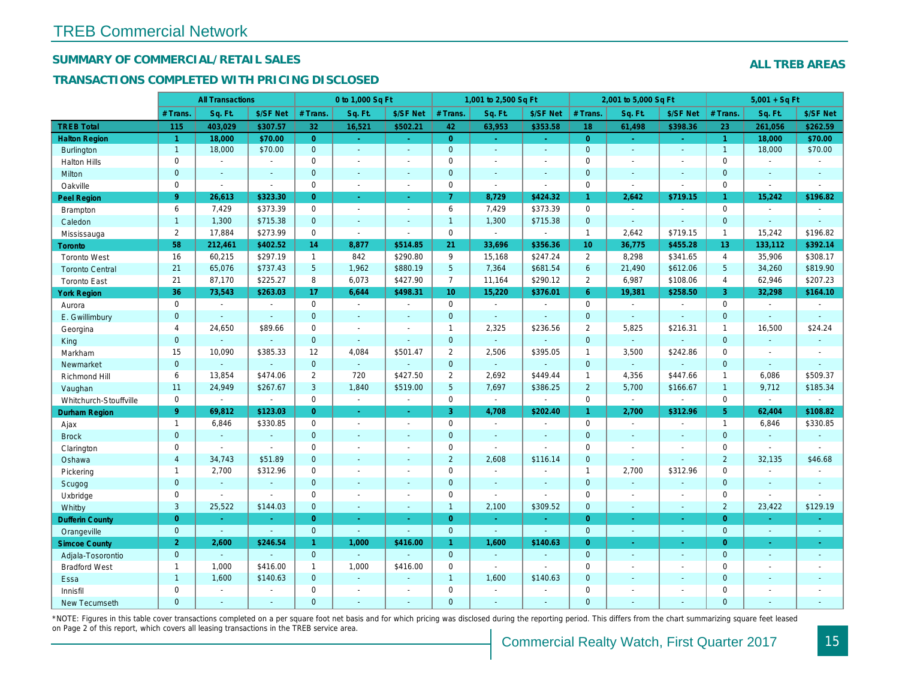## SUMMARY OF COMMERCIAL/RETAIL SALES

## TRANSACTIONS COMPLETED WITH PRICING DISCLOSED

|                        |                | <b>All Transactions</b> |                |                | 0 to 1,000 Sq Ft         |                  |                  | 1,001 to 2,500 Sq Ft  |                     |                 | 2,001 to 5,000 Sq Ft |                          |
|------------------------|----------------|-------------------------|----------------|----------------|--------------------------|------------------|------------------|-----------------------|---------------------|-----------------|----------------------|--------------------------|
|                        | # Trans.       | Sq. Ft.                 | \$/SF Net      | # Trans.       | Sq. Ft.                  | \$/SF Net        | # Trans.         | Sq. Ft.               | \$/SF Net           | # Trans.        | Sq. Ft.              | \$/SF Ne                 |
| <b>TREB Total</b>      | 115            | 403,029                 | \$307.57       | 32             | 16,521                   | \$502.21         | 42               | 63,953                | \$353.58            | 18              | 61,498               | \$398.36                 |
| <b>Halton Region</b>   | $\vert$ 1      | 18,000                  | \$70.00        | $\overline{0}$ | $\sim$                   | $\omega_{\rm c}$ | $\overline{0}$   | $\omega_{\rm c}$      | $\omega_{\rm{eff}}$ | $\overline{0}$  | $\omega$             | $\omega_{\rm c}$         |
| <b>Burlington</b>      | $\mathbf{1}$   | 18,000                  | \$70.00        | $\mathbf{0}$   | $\blacksquare$           | $\omega$         | $\mathbf{0}$     | $\omega$              | $\omega$            | $\mathbf{0}$    | $\omega$             | $\sim$                   |
| <b>Halton Hills</b>    | $\mathbf 0$    | $\sim$                  | $\sim$         | $\Omega$       | $\overline{\phantom{a}}$ |                  | $\mathbf 0$      | $\blacksquare$        | $\blacksquare$      | $\Omega$        | $\blacksquare$       | $\sim$                   |
| Milton                 | $\mathbf{0}$   | $\blacksquare$          | $\blacksquare$ | $\mathbf{0}$   | $\blacksquare$           | $\blacksquare$   | $\mathbf 0$      | $\blacksquare$        | $\blacksquare$      | $\mathbf 0$     | $\blacksquare$       | $\blacksquare$           |
| Oakville               | $\mathbf 0$    | $\blacksquare$          | $\blacksquare$ | $\mathbf 0$    | $\blacksquare$           | $\blacksquare$   | 0                | $\tilde{\phantom{a}}$ | $\sim$              | $\mathbf 0$     | $\sim$               | $\blacksquare$           |
| <b>Peel Region</b>     | 9              | 26,613                  | \$323.30       | $\overline{0}$ | $\omega$                 | $\omega$         | $\mathbf{7}$     | 8,729                 | \$424.32            | $\mathbf{1}$    | 2,642                | \$719.15                 |
| Brampton               | 6              | 7,429                   | \$373.39       | $\mathbf 0$    | $\sim$                   | $\sim$           | 6                | 7,429                 | \$373.39            | $\mathbf 0$     | $\sim$               | $\blacksquare$           |
| Caledon                | $\mathbf{1}$   | 1,300                   | \$715.38       | $\mathbf{0}$   | $\sim$                   | $\sim$           | $\mathbf{1}$     | 1,300                 | \$715.38            | $\mathbf 0$     | $\omega$             | $\sim$                   |
| Mississauga            | $\overline{2}$ | 17,884                  | \$273.99       | $\Omega$       | $\mathbf{r}$             | $\sim$           | $\mathbf 0$      | $\omega$              | $\blacksquare$      | $\mathbf{1}$    | 2,642                | \$719.15                 |
| Toronto                | 58             | 212,461                 | \$402.52       | 14             | 8,877                    | \$514.85         | 21               | 33,696                | \$356.36            | 10 <sup>°</sup> | 36,775               | \$455.28                 |
| <b>Toronto West</b>    | 16             | 60,215                  | \$297.19       | $\mathbf{1}$   | 842                      | \$290.80         | 9                | 15,168                | \$247.24            | 2               | 8,298                | \$341.65                 |
| <b>Toronto Central</b> | 21             | 65,076                  | \$737.43       | 5              | 1,962                    | \$880.19         | 5 <sup>5</sup>   | 7,364                 | \$681.54            | $6\phantom{1}$  | 21,490               | \$612.06                 |
| <b>Toronto East</b>    | 21             | 87,170                  | \$225.27       | 8              | 6,073                    | \$427.90         | $\overline{7}$   | 11,164                | \$290.12            | $\overline{2}$  | 6,987                | \$108.06                 |
| <b>York Region</b>     | 36             | 73,543                  | \$263.03       | 17             | 6,644                    | \$498.31         | 10 <sup>10</sup> | 15,220                | \$376.01            | $6^{\circ}$     | 19,381               | \$258.50                 |
| Aurora                 | $\mathbf 0$    | $\sim$                  | $\sim$         | $\Omega$       | $\sim$                   | $\blacksquare$   | $\mathbf 0$      | $\blacksquare$        | $\sim$              | $\Omega$        | $\blacksquare$       | $\sim$                   |
| E. Gwillimbury         | $\mathbf{0}$   | $\blacksquare$          | $\blacksquare$ | $\mathbf{0}$   | $\sim$                   |                  | $\mathbf 0$      | $\blacksquare$        | $\blacksquare$      | $\mathbf 0$     | $\blacksquare$       | $\blacksquare$           |
| Georgina               | $\overline{4}$ | 24,650                  | \$89.66        | $\mathbf 0$    | $\sim$                   | $\sim$           | $\mathbf{1}$     | 2,325                 | \$236.56            | $\overline{2}$  | 5,825                | \$216.3'                 |
| King                   | $\overline{0}$ | $\omega$                | $\sim$         | $\mathbf{0}$   | $\sim$                   | $\sim$           | $\mathbf 0$      | $\mathbf{r}$          | $\sim$              | $\mathbf{0}$    | $\omega$             | $\sim$                   |
| Markham                | 15             | 10,090                  | \$385.33       | 12             | 4,084                    | \$501.47         | $\overline{2}$   | 2,506                 | \$395.05            | $\mathbf{1}$    | 3,500                | \$242.86                 |
| Newmarket              | $\overline{0}$ | $\blacksquare$          | $\blacksquare$ | $\mathbf{0}$   | $\omega$                 |                  | $\mathbf{0}$     | $\blacksquare$        |                     | $\mathbf{0}$    | $\omega$             |                          |
| Richmond Hill          | 6              | 13,854                  | \$474.06       | 2              | 720                      | \$427.50         | $\overline{2}$   | 2,692                 | \$449.44            | $\mathbf{1}$    | 4,356                | \$447.66                 |
| Vaughan                | 11             | 24,949                  | \$267.67       | 3              | 1,840                    | \$519.00         | $5\phantom{.0}$  | 7,697                 | \$386.25            | $\overline{2}$  | 5,700                | \$166.67                 |
| Whitchurch-Stouffville | $\mathbf 0$    | $\blacksquare$          | $\blacksquare$ | $\mathbf 0$    | $\bullet$                | $\sim$           | 0                | $\blacksquare$        | $\sim$              | $\mathbf 0$     | $\omega$             | $\blacksquare$           |
| <b>Durham Region</b>   | 9 <sup>°</sup> | 69,812                  | \$123.03       | $\Omega$       | $\sim$                   | $\sim$           | 3 <sup>1</sup>   | 4,708                 | \$202.40            | $\mathbf{1}$    | 2,700                | \$312.96                 |
| Ajax                   | $\mathbf{1}$   | 6,846                   | \$330.85       | $\mathbf 0$    | $\sim$                   | $\blacksquare$   | $\pmb{0}$        | $\blacksquare$        | $\sim$              | $\mathbf 0$     | $\blacksquare$       | $\blacksquare$           |
| <b>Brock</b>           | $\mathbf{0}$   | $\sim$                  | $\blacksquare$ | $\mathbf{0}$   | $\Delta$                 | $\sim$           | $\mathbf 0$      | $\blacksquare$        | $\blacksquare$      | $\mathbf{0}$    | $\omega$             | $\blacksquare$           |
| Clarington             | $\mathbf 0$    | $\blacksquare$          | $\omega$       | $\mathbf 0$    | $\blacksquare$           | $\blacksquare$   | $\pmb{0}$        | $\mathbf{r}$          | $\sim$              | $\mathbf 0$     | $\blacksquare$       | $\blacksquare$           |
| Oshawa                 | $\overline{4}$ | 34,743                  | \$51.89        | $\overline{0}$ | $\blacksquare$           | $\blacksquare$   | $\overline{2}$   | 2,608                 | \$116.14            | $\mathbf{0}$    | $\omega$             |                          |
| Pickering              | $\mathbf{1}$   | 2,700                   | \$312.96       | $\mathbf 0$    | $\sim$                   | $\sim$           | $\pmb{0}$        | $\blacksquare$        | $\blacksquare$      | $\mathbf{1}$    | 2,700                | \$312.96                 |
| Scugog                 | $\mathbf{0}$   | $\blacksquare$          | $\blacksquare$ | $\mathbf{0}$   | $\Delta$                 | $\sim$           | $\mathbf 0$      | $\blacksquare$        | $\blacksquare$      | $\mathbf{0}$    | $\omega$             | $\blacksquare$           |
| Uxbridge               | $\mathbf 0$    | $\blacksquare$          | $\blacksquare$ | $\mathbf 0$    | $\overline{a}$           | $\sim$           | $\pmb{0}$        | $\overline{a}$        | $\blacksquare$      | $\mathbf 0$     | $\overline{a}$       | $\overline{\phantom{a}}$ |
| Whitby                 | 3              | 25,522                  | \$144.03       | $\mathbf{0}$   | $\sim$                   | $\sim$           | $\mathbf{1}$     | 2,100                 | \$309.52            | $\mathbf{0}$    | $\blacksquare$       | $\sim$                   |
| <b>Dufferin County</b> | $\overline{0}$ | ÷.                      | $\sim$         | $\overline{0}$ | a.                       | $\sim$           | $\overline{0}$   | ×.                    | ٠                   | $\overline{0}$  | ×.                   | $\sim$                   |
| Orangeville            | $\mathbf{0}$   | $\omega$                | $\omega$       | $\mathbf 0$    | $\omega$                 | $\Delta$         | $\mathbf{0}$     | $\omega$              | $\omega$            | $\mathbf{0}$    | $\omega$             | $\sim$                   |
| <b>Simcoe County</b>   | $\overline{2}$ | 2,600                   | \$246.54       | $\mathbf{1}$   | 1,000                    | \$416.00         | $\mathbf{1}$     | 1,600                 | \$140.63            | $\overline{0}$  | $\blacksquare$       | $\sim$                   |
| Adjala-Tosorontio      | $\mathbf{0}$   | $\mathbf{r}$            | $\mathbf{r}$   | $\mathbf{0}$   | $\Delta$                 |                  | $\mathbf{0}$     | $\mathbf{r}$          | $\blacksquare$      | $\mathbf{0}$    | $\mathbf{r}$         | $\sim$                   |
| <b>Bradford West</b>   | $\mathbf{1}$   | 1,000                   | \$416.00       | $\mathbf{1}$   | 1,000                    | \$416.00         | $\mathbf 0$      | $\mathbf{r}$          | $\blacksquare$      | $\mathbf 0$     | $\blacksquare$       | $\blacksquare$           |
| Essa                   | $\mathbf{1}$   | 1,600                   | \$140.63       | $\mathbf{0}$   | ÷.                       |                  | $\mathbf{1}$     | 1,600                 | \$140.63            | $\mathbf 0$     | $\blacksquare$       |                          |
| Innisfil               | $\mathbf 0$    | $\sim$                  | $\omega$       | $\Omega$       | $\sim$                   | $\sim$           | $\pmb{0}$        | $\blacksquare$        | $\blacksquare$      | $\mathbf 0$     | $\blacksquare$       | $\blacksquare$           |
| <b>New Tecumseth</b>   | $\Omega$       |                         |                | $\Omega$       |                          |                  | $\overline{0}$   |                       |                     | $\Omega$        |                      |                          |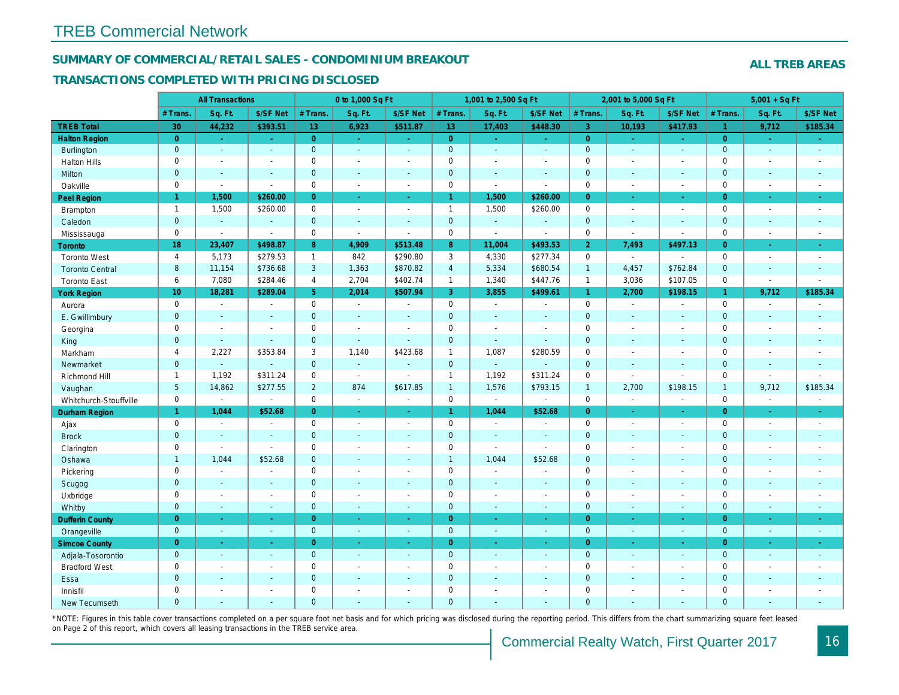## SUMMARY OF COMMERCIAL/RETAIL SALES - CONDOMINIUM BREAKOUT

#### TRANSACTIONS COMPLETED WITH PRICING DISCLOSED

|                        |                 | <b>All Transactions</b> |                |                | 0 to 1,000 Sq Ft         |                          |                | 1,001 to 2,500 Sq Ft     |                |                | 2,001 to 5,000 Sq Ft |                          |
|------------------------|-----------------|-------------------------|----------------|----------------|--------------------------|--------------------------|----------------|--------------------------|----------------|----------------|----------------------|--------------------------|
|                        | # Trans.        | Sq. Ft.                 | \$/SF Net      | # Trans.       | Sq. Ft.                  | \$/SF Net                | # Trans.       | Sq. Ft.                  | \$/SF Net      | # Trans.       | Sq. Ft.              | \$/SF Ne                 |
| <b>TREB Total</b>      | 30              | 44,232                  | \$393.51       | 13             | 6,923                    | \$511.87                 | 13             | 17,403                   | \$448.30       | $\overline{3}$ | 10,193               | \$417.93                 |
| <b>Halton Region</b>   | $\overline{0}$  | $\omega$                | $\omega$       | $\overline{0}$ | $\sim$                   | $\omega_{\rm c}$         | $\overline{0}$ | $\omega_{\rm c}$         | $\sim$ .       | $\overline{0}$ | $\sim$               | $\omega_{\rm c}$         |
| Burlington             | $\mathbf{0}$    | $\omega$                | $\omega$       | $\mathbf{0}$   | $\blacksquare$           | $\sim$                   | $\mathbf{0}$   | $\omega$                 | $\omega$       | $\mathbf 0$    | $\omega$             | $\omega$                 |
| <b>Halton Hills</b>    | $\mathbf 0$     | $\blacksquare$          | $\blacksquare$ | $\Omega$       | $\sim$                   |                          | $\pmb{0}$      | $\blacksquare$           | $\blacksquare$ | $\mathbf 0$    | ÷,                   | $\sim$                   |
| Milton                 | $\mathbf{0}$    | $\blacksquare$          | $\blacksquare$ | $\mathbf{0}$   | $\sim$                   | $\blacksquare$           | $\mathbf 0$    | $\blacksquare$           | $\blacksquare$ | $\mathbf 0$    | $\blacksquare$       | $\blacksquare$           |
| Oakville               | $\mathbf 0$     | $\blacksquare$          | $\blacksquare$ | $\mathbf 0$    | $\blacksquare$           | $\blacksquare$           | 0              | $\tilde{\phantom{a}}$    | $\sim$         | $\mathbf 0$    | $\sim$               | $\sim$                   |
| Peel Region            | $\mathbf{1}$    | 1,500                   | \$260.00       | $\overline{0}$ | $\omega$                 | $\omega$                 | $\mathbf{1}$   | 1,500                    | \$260.00       | $\overline{0}$ | $\omega$             | $\bullet$                |
| Brampton               | $\overline{1}$  | 1,500                   | \$260.00       | $\mathbf 0$    | $\sim$                   | $\sim$                   | $\mathbf{1}$   | 1,500                    | \$260.00       | $\mathbf 0$    | $\sim$               | $\sim$                   |
| Caledon                | $\mathbf{0}$    | $\sim$                  | $\blacksquare$ | $\mathbf{0}$   | $\sim$                   | $\sim$                   | $\mathbf{0}$   | $\omega_{\rm c}$         | $\omega$       | $\mathbf 0$    | $\omega$             | $\sim$                   |
| Mississauga            | $\mathbf 0$     | $\blacksquare$          | $\blacksquare$ | $\mathbf 0$    | $\mathbf{r}$             | $\sim$                   | $\mathbf 0$    | $\overline{\phantom{a}}$ | $\blacksquare$ | $\mathbf 0$    | $\sim$               | $\blacksquare$           |
| Toronto                | 18              | 23,407                  | \$498.87       | 8              | 4,909                    | \$513.48                 | 8              | 11,004                   | \$493.53       | $\overline{2}$ | 7,493                | \$497.13                 |
| <b>Toronto West</b>    | $\overline{4}$  | 5,173                   | \$279.53       | $\mathbf{1}$   | 842                      | \$290.80                 | 3              | 4,330                    | \$277.34       | $\mathbf 0$    | $\blacksquare$       | $\sim$                   |
| <b>Toronto Central</b> | 8               | 11,154                  | \$736.68       | 3              | 1,363                    | \$870.82                 | $\overline{4}$ | 5,334                    | \$680.54       | $\overline{1}$ | 4,457                | \$762.84                 |
| <b>Toronto East</b>    | 6               | 7,080                   | \$284.46       | 4              | 2,704                    | \$402.74                 | $\mathbf{1}$   | 1,340                    | \$447.76       | $\mathbf{1}$   | 3,036                | \$107.05                 |
| <b>York Region</b>     | 10 <sub>1</sub> | 18,281                  | \$289.04       | 5 <sup>1</sup> | 2,014                    | \$507.94                 | 3              | 3,855                    | \$499.61       | $\mathbf{1}$   | 2,700                | \$198.15                 |
| Aurora                 | $\mathbf 0$     | $\sim$                  | $\sim$         | $\Omega$       | $\sim$                   | $\blacksquare$           | 0              | $\sim$                   | $\sim$         | $\mathbf 0$    | $\blacksquare$       | $\sim$                   |
| E. Gwillimbury         | $\mathbf{0}$    | $\blacksquare$          | $\blacksquare$ | $\mathbf 0$    | $\sim$                   |                          | $\pmb{0}$      | $\blacksquare$           | $\blacksquare$ | $\mathbf 0$    | $\blacksquare$       | $\blacksquare$           |
| Georgina               | $\mathbf 0$     | $\blacksquare$          | $\blacksquare$ | $\mathbf 0$    | $\blacksquare$           | $\sim$                   | $\pmb{0}$      | $\blacksquare$           | $\blacksquare$ | $\mathbf 0$    | $\blacksquare$       | $\blacksquare$           |
| King                   | $\overline{0}$  | $\sim$                  | $\sim$         | $\mathbf{0}$   | $\sim$                   | $\sim$                   | $\mathbf 0$    | $\blacksquare$           | $\blacksquare$ | $\overline{0}$ | $\blacksquare$       | $\omega$                 |
| Markham                | $\overline{4}$  | 2,227                   | \$353.84       | 3              | 1,140                    | \$423.68                 | $\mathbf{1}$   | 1,087                    | \$280.59       | $\mathbf 0$    | $\blacksquare$       | $\blacksquare$           |
| Newmarket              | $\mathbf{0}$    | $\omega$                | $\blacksquare$ | $\mathbf{0}$   | $\omega$                 | $\overline{\phantom{a}}$ | $\mathbf 0$    | $\blacksquare$           | $\blacksquare$ | $\mathbf{0}$   | $\blacksquare$       | $\blacksquare$           |
| Richmond Hill          | $\mathbf{1}$    | 1,192                   | \$311.24       | $\mathbf 0$    | $\mathbf{r}$             | $\overline{a}$           | $\mathbf{1}$   | 1,192                    | \$311.24       | $\mathbf 0$    | $\sim$               | $\blacksquare$           |
| Vaughan                | $\overline{5}$  | 14,862                  | \$277.55       | $\overline{2}$ | 874                      | \$617.85                 | $\overline{1}$ | 1,576                    | \$793.15       | $\overline{1}$ | 2,700                | \$198.15                 |
| Whitchurch-Stouffville | $\mathbf 0$     | $\blacksquare$          | $\blacksquare$ | $\mathbf 0$    | $\blacksquare$           | $\sim$                   | $\mathbf 0$    | $\bullet$                | $\blacksquare$ | $\mathbf 0$    | $\blacksquare$       | $\blacksquare$           |
| <b>Durham Region</b>   | $\mathbf{1}$    | 1,044                   | \$52.68        | $\overline{0}$ | $\sim$                   | $\sim$                   | $\mathbf{1}$   | 1,044                    | \$52.68        | $\overline{0}$ | $\omega$             | $\omega$                 |
| Ajax                   | $\mathsf 0$     | $\blacksquare$          | $\blacksquare$ | $\mathsf 0$    | $\blacksquare$           | $\blacksquare$           | $\pmb{0}$      | $\blacksquare$           | $\sim$         | $\mathbf 0$    | $\sim$               | $\blacksquare$           |
| <b>Brock</b>           | $\mathbf{0}$    | $\sim$                  | $\blacksquare$ | $\mathbf{0}$   | $\sim$                   | $\sim$                   | $\mathbf 0$    | $\blacksquare$           | $\blacksquare$ | $\mathbf 0$    | $\blacksquare$       | $\sim$                   |
| Clarington             | $\mathbf 0$     | $\blacksquare$          | $\blacksquare$ | $\mathbf 0$    | $\blacksquare$           |                          | $\pmb{0}$      | $\blacksquare$           | $\sim$         | $\mathbf 0$    | ÷,                   | $\blacksquare$           |
| Oshawa                 | $\mathbf{1}$    | 1,044                   | \$52.68        | $\mathbf{0}$   | $\blacksquare$           | $\blacksquare$           | $\mathbf{1}$   | 1,044                    | \$52.68        | $\mathbf{0}$   | $\blacksquare$       | $\blacksquare$           |
| Pickering              | $\mathbf 0$     | $\blacksquare$          | $\blacksquare$ | $\mathbf 0$    | $\sim$                   | $\sim$                   | $\pmb{0}$      | $\blacksquare$           | $\blacksquare$ | $\mathbf 0$    | $\overline{a}$       | $\blacksquare$           |
| Scugog                 | $\mathbf{0}$    | $\blacksquare$          | $\blacksquare$ | $\mathbf{0}$   | $\sim$                   | $\sim$                   | $\mathbf 0$    | $\blacksquare$           | $\blacksquare$ | $\mathbf 0$    | $\blacksquare$       | $\blacksquare$           |
| Uxbridge               | $\mathbf 0$     | $\blacksquare$          | $\blacksquare$ | $\mathbf 0$    | $\overline{\phantom{a}}$ | $\overline{a}$           | $\pmb{0}$      | $\blacksquare$           | $\blacksquare$ | $\mathbf 0$    | $\overline{a}$       | $\overline{\phantom{a}}$ |
| Whitby                 | $\mathbf{0}$    | $\sim$                  | $\sim$         | $\mathbf{0}$   | $\sim$                   | $\blacksquare$           | $\mathbf 0$    | $\blacksquare$           | $\blacksquare$ | $\mathbf{0}$   | $\blacksquare$       | $\sim$                   |
| <b>Dufferin County</b> | $\overline{0}$  | ÷.                      | $\sim$         | $\overline{0}$ | a.                       | $\blacksquare$           | $\overline{0}$ | $\blacksquare$           | $\blacksquare$ | $\overline{0}$ | ×.                   | $\sim$                   |
| Orangeville            | $\mathbf{0}$    | $\omega$                | $\blacksquare$ | $\mathbf 0$    | $\omega$                 | $\omega$                 | $\mathbf{0}$   | $\omega$                 | $\omega$       | $\mathbf 0$    | $\omega$             | $\sim$                   |
| <b>Simcoe County</b>   | $\overline{0}$  | $\sim$                  | $\omega$       | $\overline{0}$ | $\omega$                 | $\omega$                 | $\overline{0}$ | Ξ                        | $\omega$       | $\overline{0}$ | $\blacksquare$       | $\sigma_{\rm c}$         |
| Adjala-Tosorontio      | $\mathbf{0}$    | $\sim$                  | $\sim$         | $\mathbf 0$    | $\sim$                   | $\sim$                   | $\mathbf 0$    | $\omega$                 | $\blacksquare$ | $\mathbf 0$    | $\omega$             | $\sim$                   |
| <b>Bradford West</b>   | $\mathbf 0$     | $\sim$                  | $\blacksquare$ | $\mathbf 0$    | $\sim$                   | $\sim$                   | $\pmb{0}$      | $\blacksquare$           | $\blacksquare$ | $\mathbf 0$    | $\blacksquare$       | $\blacksquare$           |
| Essa                   | $\mathbf{0}$    | $\sim$                  | $\blacksquare$ | $\mathbf{0}$   |                          | $\sim$                   | $\pmb{0}$      | $\blacksquare$           | $\blacksquare$ | $\mathbf 0$    | $\blacksquare$       |                          |
| Innisfil               | $\mathbf 0$     | $\blacksquare$          | $\blacksquare$ | $\mathbf 0$    | $\blacksquare$           | $\blacksquare$           | $\pmb{0}$      | $\blacksquare$           | $\blacksquare$ | $\mathbf 0$    | $\blacksquare$       | $\blacksquare$           |
| <b>New Tecumseth</b>   | $\Omega$        |                         |                | $\Omega$       |                          |                          | $\Omega$       |                          |                | $\overline{0}$ |                      |                          |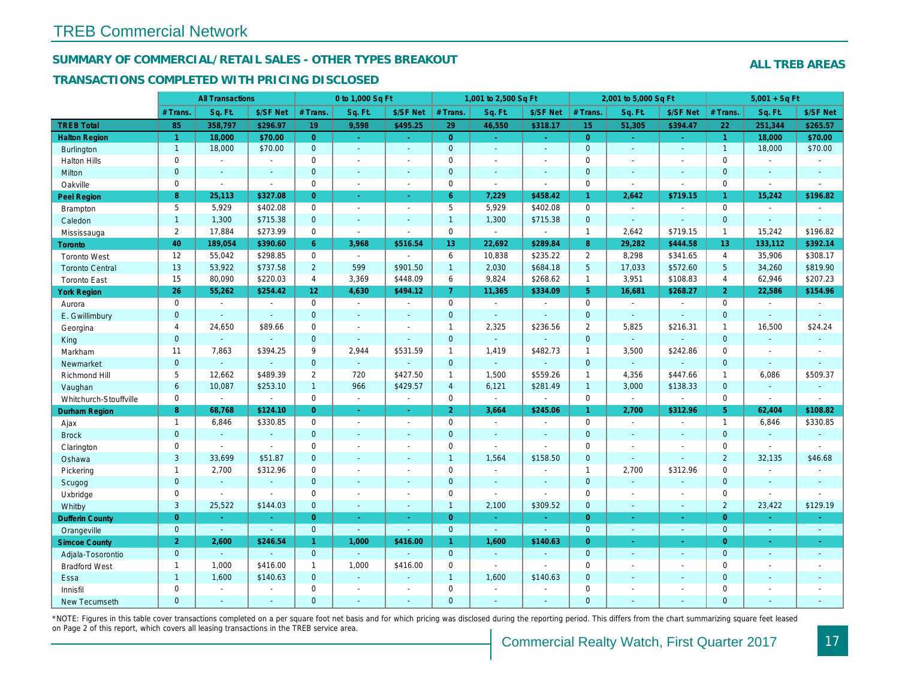## SUMMARY OF COMMERCIAL/RETAIL SALES - OTHER TYPES BREAKOUT

#### TRANSACTIONS COMPLETED WITH PRICING DISCLOSED

|                        |                | <b>All Transactions</b> |                          |                 | 0 to 1,000 Sq Ft |                |                     | 1,001 to 2,500 Sq Ft     |                          |                 | 2,001 to 5,000 Sq Ft |                  |
|------------------------|----------------|-------------------------|--------------------------|-----------------|------------------|----------------|---------------------|--------------------------|--------------------------|-----------------|----------------------|------------------|
|                        | # Trans        | Sq. Ft.                 | \$/SF Net                | # Trans.        | Sq. Ft.          | \$/SF Net      | # Trans.            | Sq. Ft.                  | \$/SF Net                | # Trans.        | Sq. Ft.              | \$/SF Ne         |
| <b>TREB Total</b>      | 85             | 358,797                 | \$296.97                 | 19              | 9,598            | \$495.25       | 29                  | 46,550                   | \$318.17                 | 15              | 51,305               | \$394.47         |
| <b>Halton Region</b>   | $\mathbf{1}$   | 18,000                  | \$70.00                  | $\overline{0}$  | $\omega$         | $\omega$       | $\overline{0}$      | $\omega$                 | ÷.                       | $\overline{0}$  | ÷.                   | $\omega$         |
| <b>Burlington</b>      | $\overline{1}$ | 18,000                  | \$70.00                  | $\overline{0}$  | $\omega$         | $\blacksquare$ | $\overline{0}$      | $\Box$                   | $\mathbf{r}$             | $\mathbf{0}$    | $\Delta$             | $\omega$         |
| <b>Halton Hills</b>    | 0              | $\sim$                  | $\overline{\phantom{a}}$ | 0               | $\sim$           | $\blacksquare$ | $\mathbf 0$         | $\sim$                   | ä,                       | $\mathbf 0$     | $\blacksquare$       | $\blacksquare$   |
| Milton                 | $\mathbf{0}$   | $\sim$                  | $\sim$                   | $\mathbf{0}$    | $\mathbf{r}$     | $\sim$         | $\mathbf{0}$        | $\omega$                 | $\blacksquare$           | $\mathbf{0}$    | $\omega$             | $\sim$           |
| Oakville               | 0              | $\blacksquare$          | $\sim$                   | $\mathbf 0$     | $\sim$           | $\sim$         | $\mathbf 0$         | $\sim$                   | $\overline{\phantom{a}}$ | $\mathbf 0$     | $\sim$               | $\blacksquare$   |
| Peel Region            | 8              | 25,113                  | \$327.08                 | $\overline{0}$  | $\sim$           | $\blacksquare$ | 6 <sup>°</sup>      | 7,229                    | \$458.42                 | $\mathbf{1}$    | 2,642                | \$719.15         |
| <b>Brampton</b>        | 5              | 5,929                   | \$402.08                 | $\mathbf 0$     | $\blacksquare$   | $\sim$         | 5                   | 5,929                    | \$402.08                 | $\mathbf 0$     | $\blacksquare$       | $\blacksquare$   |
| Caledon                | $\mathbf{1}$   | 1,300                   | \$715.38                 | $\mathbf{0}$    | $\omega$         | $\blacksquare$ | $\mathbf{1}$        | 1,300                    | \$715.38                 | $\mathbf{0}$    | $\omega$             | $\blacksquare$   |
| Mississauga            | $\overline{2}$ | 17,884                  | \$273.99                 | $\mathbf{0}$    | $\blacksquare$   | $\blacksquare$ | $\mathsf{O}$        | $\blacksquare$           | $\blacksquare$           | $\mathbf{1}$    | 2,642                | \$719.15         |
| Toronto                | 40             | 189,054                 | \$390.60                 | 6               | 3,968            | \$516.54       | 13 <sub>1</sub>     | 22,692                   | \$289.84                 | 8               | 29,282               | \$444.58         |
| <b>Toronto West</b>    | 12             | 55,042                  | \$298.85                 | $\mathbf 0$     | $\sim$           | $\sim$         | 6                   | 10,838                   | \$235.22                 | $\overline{2}$  | 8,298                | \$341.65         |
| <b>Toronto Central</b> | 13             | 53,922                  | \$737.58                 | $2^{\circ}$     | 599              | \$901.50       | $\mathbf{1}$        | 2,030                    | \$684.18                 | $5\phantom{.0}$ | 17,033               | \$572.60         |
| <b>Toronto East</b>    | 15             | 80,090                  | \$220.03                 | $\overline{4}$  | 3,369            | \$448.09       | 6                   | 9,824                    | \$268.62                 | $\overline{1}$  | 3,951                | \$108.83         |
| <b>York Region</b>     | 26             | 55,262                  | \$254.42                 | 12 <sup>2</sup> | 4,630            | \$494.12       | $\overline{7}$      | 11,365                   | \$334.09                 | 5 <sup>5</sup>  | 16,681               | \$268.27         |
| Aurora                 | $\mathbf 0$    | $\blacksquare$          | $\sim$                   | $\mathbf 0$     | $\sim$           | $\sim$         | $\mathsf{O}$        | $\blacksquare$           | $\sim$                   | $\mathbf 0$     | $\blacksquare$       | $\sim$           |
| E. Gwillimbury         | $\mathbf{0}$   | $\sim$                  | $\sim$                   | $\mathbf{0}$    | $\blacksquare$   | $\blacksquare$ | $\overline{0}$      | $\blacksquare$           | $\blacksquare$           | $\mathbf{0}$    | $\Delta$             | $\sim$           |
| Georgina               | $\overline{4}$ | 24,650                  | \$89.66                  | 0               | $\blacksquare$   | $\sim$         | $\mathbf{1}$        | 2,325                    | \$236.56                 | $\overline{2}$  | 5,825                | \$216.3'         |
| King                   | $\mathbf{0}$   | $\sim$                  | $\sim$                   | $\mathbf{0}$    | $\blacksquare$   | $\blacksquare$ | $\mathbf{0}$        | $\blacksquare$           | $\blacksquare$           | $\mathbf{0}$    | $\omega$             | $\blacksquare$   |
| Markham                | 11             | 7,863                   | \$394.25                 | 9               | 2,944            | \$531.59       | $\mathbf{1}$        | 1,419                    | \$482.73                 | $\mathbf{1}$    | 3,500                | \$242.86         |
| Newmarket              | $\mathbf{0}$   | $\sim$                  | $\sim$                   | $\mathbf 0$     | $\omega$         |                | $\mathbf{0}$        | $\omega_{\rm c}$         | ä,                       | $\mathbf{0}$    | $\omega$             |                  |
| Richmond Hill          | 5              | 12,662                  | \$489.39                 | $\overline{2}$  | 720              | \$427.50       | $\mathbf{1}$        | 1,500                    | \$559.26                 | $\mathbf{1}$    | 4,356                | \$447.66         |
| Vaughan                | $6\phantom{a}$ | 10,087                  | \$253.10                 | $\mathbf{1}$    | 966              | \$429.57       | $\overline{4}$      | 6,121                    | \$281.49                 | $\overline{1}$  | 3,000                | \$138.33         |
| Whitchurch-Stouffville | 0              | $\sim$                  | $\blacksquare$           | 0               | $\blacksquare$   | $\sim$         | $\mathbf 0$         | $\blacksquare$           | $\blacksquare$           | $\mathbf 0$     | $\blacksquare$       | $\blacksquare$   |
| <b>Durham Region</b>   | 8              | 68,768                  | \$124.10                 | $\overline{0}$  | $\omega$         | $\omega$       | 2 <sup>1</sup>      | 3,664                    | \$245.06                 | $\mathbf{1}$    | 2,700                | \$312.96         |
| Ajax                   | $\mathbf{1}$   | 6,846                   | \$330.85                 | $\mathbf 0$     | $\sim$           | $\blacksquare$ | $\mathbf 0$         | $\blacksquare$           | $\blacksquare$           | $\mathbf 0$     | $\blacksquare$       | $\blacksquare$   |
| <b>Brock</b>           | $\mathbf{0}$   | $\omega$                | $\omega$                 | $\overline{0}$  | $\omega$         | $\omega$       | $\pmb{0}$           | $\Box$                   | $\omega$                 | $\mathbf{0}$    | $\omega$             | $\omega$         |
| Clarington             | 0              | $\sim$                  | $\sim$                   | $\mathbf 0$     | $\sim$           | $\sim$         | $\mathbf 0$         | $\blacksquare$           | ä,                       | $\mathbf 0$     | $\blacksquare$       | $\blacksquare$   |
| Oshawa                 | 3              | 33,699                  | \$51.87                  | $\Omega$        | $\blacksquare$   | $\blacksquare$ | $\overline{1}$      | 1,564                    | \$158.50                 | $\mathbf{0}$    | $\Delta$             | $\blacksquare$   |
| Pickering              | $\mathbf{1}$   | 2,700                   | \$312.96                 | 0               | $\sim$           | $\blacksquare$ | $\mathsf{O}\xspace$ | $\tilde{\phantom{a}}$    | $\overline{a}$           | $\mathbf{1}$    | 2,700                | \$312.96         |
| Scugog                 | $\mathbf{0}$   | $\blacksquare$          | $\blacksquare$           | $\mathbf{0}$    | $\omega$         | $\blacksquare$ | $\mathbf 0$         | $\blacksquare$           | $\blacksquare$           | $\mathbf{0}$    | $\blacksquare$       | $\blacksquare$   |
| Uxbridge               | 0              | $\sim$                  | $\blacksquare$           | 0               | $\blacksquare$   | $\blacksquare$ | $\mathbf 0$         | $\overline{\phantom{a}}$ | ÷,                       | $\mathbf 0$     | $\blacksquare$       | $\blacksquare$   |
| Whitby                 | 3              | 25,522                  | \$144.03                 | $\mathbf 0$     | $\sim$           | $\sim$         | $\mathbf{1}$        | 2,100                    | \$309.52                 | $\mathbf{0}$    | $\blacksquare$       | $\blacksquare$   |
| <b>Dufferin County</b> | $\overline{0}$ | $\sim$                  | $\sim$                   | $\overline{0}$  | ÷.               | $\sim$         | $\overline{0}$      | $\blacksquare$           | ٠                        | $\overline{0}$  | $\sim$               | $\sim$           |
| Orangeville            | $\overline{0}$ | $\omega$                | $\omega$                 | $\overline{0}$  | $\omega$         | $\omega$       | $\mathbf{0}$        | $\omega$                 | $\omega$                 | $\mathbf{0}$    | $\omega$             | $\sim$           |
| <b>Simcoe County</b>   | 2 <sup>1</sup> | 2,600                   | \$246.54                 | $\mathbf{1}$    | 1,000            | \$416.00       | $\mathbf{1}$        | 1,600                    | \$140.63                 | $\overline{0}$  | $\sim$               | $\sigma_{\rm c}$ |
| Adjala-Tosorontio      | $\mathbf{0}$   |                         |                          | $\overline{0}$  | $\sim$           |                | $\mathbf{0}$        | $\blacksquare$           | ä,                       | $\mathbf{0}$    | $\Delta$             | $\sim$           |
| <b>Bradford West</b>   | $\mathbf{1}$   | 1,000                   | \$416.00                 | $\mathbf{1}$    | 1,000            | \$416.00       | $\mathbf 0$         | $\mathbf{r}$             | $\mathbf{r}$             | $\mathbf 0$     | $\blacksquare$       | $\sim$           |
| Essa                   | $\mathbf{1}$   | 1,600                   | \$140.63                 | $\mathbf 0$     | $\omega$         | $\blacksquare$ | $\mathbf{1}$        | 1,600                    | \$140.63                 | $\mathbf{0}$    | $\blacksquare$       | $\blacksquare$   |
| Innisfil               | 0              | $\blacksquare$          | $\sim$                   | 0               | $\sim$           | $\sim$         | $\mathbf 0$         | $\blacksquare$           | $\blacksquare$           | $\mathbf 0$     | $\blacksquare$       | $\blacksquare$   |
| <b>New Tecumseth</b>   | $\Omega$       |                         |                          | $\Omega$        | ÷                |                | $\mathbf{0}$        |                          |                          | $\Omega$        |                      |                  |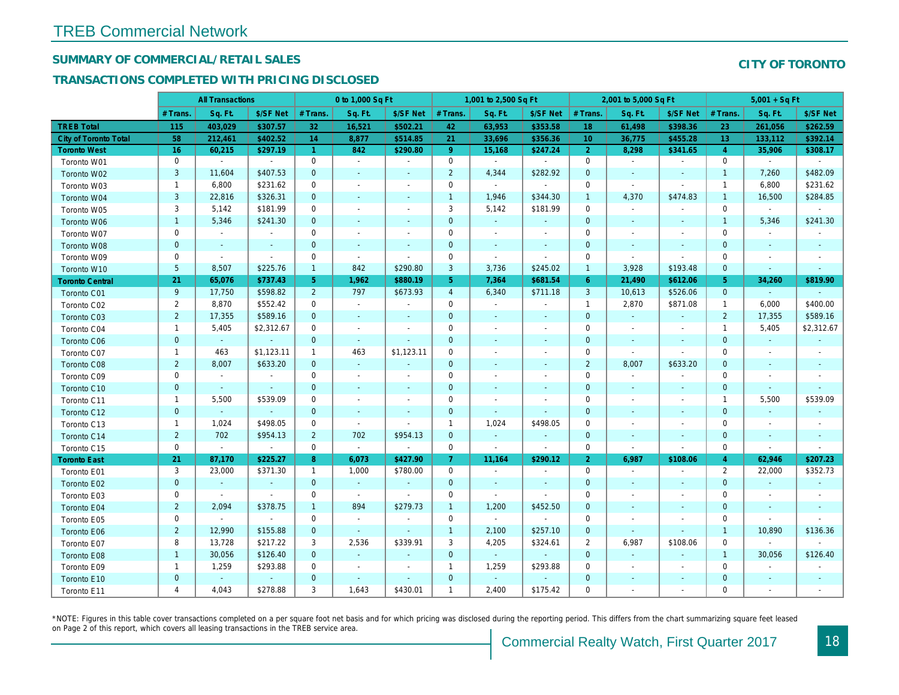## SUMMARY OF COMMERCIAL/RETAIL SALES

## TRANSACTIONS COMPLETED WITH PRICING DISCLOSED

|                              |                | <b>All Transactions</b> |                |                | 0 to 1,000 Sq Ft         |                          |                | 1,001 to 2,500 Sq Ft     |                          |                 | 2,001 to 5,000 Sq Ft     |                          |
|------------------------------|----------------|-------------------------|----------------|----------------|--------------------------|--------------------------|----------------|--------------------------|--------------------------|-----------------|--------------------------|--------------------------|
|                              | # Trans        | Sq. Ft.                 | \$/SF Net      | # Trans.       | Sq. Ft.                  | \$/SF Net                | # Trans.       | Sq. Ft.                  | \$/SF Net                | # Trans.        | Sq. Ft.                  | \$/SF Ne                 |
| <b>TREB Total</b>            | 115            | 403,029                 | \$307.57       | 32             | 16,521                   | \$502.21                 | 42             | 63,953                   | \$353.58                 | 18              | 61,498                   | \$398.3                  |
| <b>City of Toronto Total</b> | 58             | 212,461                 | \$402.52       | 14             | 8,877                    | \$514.85                 | 21             | 33,696                   | \$356.36                 | 10 <sup>°</sup> | 36,775                   | \$455.2                  |
| <b>Toronto West</b>          | 16             | 60,215                  | \$297.19       | $\mathbf{1}$   | 842                      | \$290.80                 | 9 <sup>°</sup> | 15,168                   | \$247.24                 | 2 <sup>1</sup>  | 8,298                    | \$341.65                 |
| Toronto W01                  | 0              | $\sim$                  | $\blacksquare$ | 0              | $\blacksquare$           | $\blacksquare$           | 0              | $\sim$                   | $\blacksquare$           | 0               | $\sim$                   |                          |
| Toronto W02                  | 3              | 11,604                  | \$407.53       | $\mathbf{0}$   |                          | $\sim$                   | $\overline{2}$ | 4,344                    | \$282.92                 | $\mathbf{0}$    | $\sim$                   | $\sim$                   |
| Toronto W03                  | $\mathbf{1}$   | 6,800                   | \$231.62       | $\mathbf 0$    | $\overline{\phantom{a}}$ | $\blacksquare$           | $\mathbf 0$    | $\sim$                   | $\blacksquare$           | $\mathbf 0$     | $\sim$                   |                          |
| Toronto W04                  | 3              | 22,816                  | \$326.31       | $\mathbf 0$    | $\sim$                   | $\blacksquare$           | $\mathbf{1}$   | 1,946                    | \$344.30                 | $\mathbf{1}$    | 4,370                    | \$474.83                 |
| Toronto W05                  | 3              | 5,142                   | \$181.99       | 0              | $\overline{\phantom{a}}$ | $\blacksquare$           | 3              | 5,142                    | \$181.99                 | 0               | $\mathbf{r}$             |                          |
| Toronto W06                  | $\mathbf{1}$   | 5,346                   | \$241.30       | $\overline{0}$ | $\overline{a}$           | $\sim$                   | $\mathbf{0}$   | $\sim$                   | $\sim$                   | $\mathbf{0}$    | $\sim$                   | $\sim$                   |
| Toronto W07                  | 0              | $\blacksquare$          | $\blacksquare$ | $\mathbf 0$    | $\overline{\phantom{a}}$ | $\blacksquare$           | 0              | $\overline{\phantom{a}}$ | $\overline{\phantom{a}}$ | $\mathbf 0$     | $\overline{\phantom{a}}$ |                          |
| Toronto W08                  | $\pmb{0}$      | $\blacksquare$          | $\blacksquare$ | $\mathbf 0$    | $\blacksquare$           | $\blacksquare$           | $\mathbf 0$    | $\sim$                   | $\blacksquare$           | $\mathbf 0$     | $\overline{\phantom{a}}$ | $\overline{\phantom{a}}$ |
| Toronto W09                  | $\mathbf{0}$   | $\blacksquare$          | $\blacksquare$ | $\mathbf 0$    | $\blacksquare$           | $\blacksquare$           | $\mathbf 0$    | $\overline{\phantom{a}}$ | $\blacksquare$           | $\mathbf 0$     | $\blacksquare$           | $\overline{\phantom{a}}$ |
| Toronto W10                  | 5              | 8,507                   | \$225.76       | $\mathbf{1}$   | 842                      | \$290.80                 | 3              | 3,736                    | \$245.02                 | $\mathbf{1}$    | 3,928                    | \$193.48                 |
| <b>Toronto Central</b>       | 21             | 65,076                  | \$737.43       | 5 <sup>5</sup> | 1,962                    | \$880.19                 | 5 <sub>5</sub> | 7,364                    | \$681.54                 | 6               | 21,490                   | \$612.06                 |
| Toronto C01                  | 9              | 17,750                  | \$598.82       | $\overline{2}$ | 797                      | \$673.93                 | $\overline{4}$ | 6,340                    | \$711.18                 | 3               | 10,613                   | \$526.06                 |
| Toronto C02                  | $\overline{2}$ | 8,870                   | \$552.42       | 0              | $\blacksquare$           | $\blacksquare$           | 0              | $\sim$                   | $\sim$                   | $\mathbf{1}$    | 2,870                    | \$871.08                 |
| Toronto C03                  | $\overline{2}$ | 17,355                  | \$589.16       | $\overline{0}$ | $\sim$                   | $\sim$                   | $\mathbf{0}$   | $\sim$                   | $\sim$                   | $\mathbf{0}$    | $\omega$                 | $\omega$                 |
| Toronto C04                  | $\mathbf{1}$   | 5,405                   | \$2,312.67     | 0              | $\sim$                   | $\blacksquare$           | 0              | $\overline{\phantom{a}}$ | $\overline{\phantom{a}}$ | $\mathbf 0$     | $\sim$                   | $\overline{\phantom{a}}$ |
| Toronto C06                  | $\mathbf{0}$   | $\omega$                | $\omega$       | $\overline{0}$ | $\sim$                   | $\blacksquare$           | $\mathbf{0}$   | $\sim$                   | $\sim$                   | $\mathbf 0$     | $\sim$                   | $\sim$                   |
| Toronto C07                  | $\mathbf{1}$   | 463                     | \$1,123.11     | $\mathbf{1}$   | 463                      | \$1,123.11               | 0              | $\overline{\phantom{a}}$ | $\overline{\phantom{a}}$ | $\mathbf 0$     | $\sim$                   | $\blacksquare$           |
| Toronto C08                  | $\overline{2}$ | 8,007                   | \$633.20       | $\mathbf{0}$   | $\omega$                 | $\overline{\phantom{a}}$ | $\mathbf{0}$   | $\sim$                   | $\sim$                   | $\overline{2}$  | 8,007                    | \$633.20                 |
| Toronto C09                  | 0              | $\blacksquare$          | $\blacksquare$ | 0              | $\sim$                   | $\overline{\phantom{a}}$ | 0              | $\overline{\phantom{a}}$ | $\overline{\phantom{a}}$ | 0               | $\blacksquare$           | $\overline{\phantom{a}}$ |
| Toronto C10                  | $\mathbf{0}$   | $\sim$                  | $\sim$         | $\mathbf{0}$   | $\sim$                   | $\sim$                   | $\mathbf{0}$   | $\sim$                   | $\sim$                   | $\mathbf{0}$    | $\sim$                   | $\sim$                   |
| Toronto C11                  | $\mathbf{1}$   | 5,500                   | \$539.09       | $\mathbf 0$    | $\overline{\phantom{a}}$ | $\blacksquare$           | 0              | $\overline{\phantom{a}}$ | $\overline{\phantom{a}}$ | $\mathbf 0$     | $\overline{\phantom{a}}$ |                          |
| Toronto C12                  | $\mathbf 0$    | $\blacksquare$          | $\sim$         | $\mathbf 0$    | $\sim$                   | $\sim$                   | $\mathbf 0$    | $\blacksquare$           | $\sim$                   | $\mathbf 0$     | $\sim$                   | $\sim$                   |
| Toronto C13                  | $\mathbf{1}$   | 1,024                   | \$498.05       | 0              | $\blacksquare$           | $\blacksquare$           | $\mathbf{1}$   | 1,024                    | \$498.05                 | 0               | $\overline{\phantom{a}}$ |                          |
| Toronto C14                  | $\overline{2}$ | 702                     | \$954.13       | $\overline{2}$ | 702                      | \$954.13                 | $\mathbf{0}$   | $\sim$                   | $\sim$                   | $\mathbf 0$     | $\sim$                   | $\sim$                   |
| Toronto C15                  | 0              | $\blacksquare$          | $\omega$       | $\mathbf 0$    | $\blacksquare$           | $\blacksquare$           | 0              | $\blacksquare$           | $\blacksquare$           | $\mathbf 0$     | $\blacksquare$           | $\blacksquare$           |
| <b>Toronto East</b>          | 21             | 87,170                  | \$225.27       | 8              | 6,073                    | \$427.90                 | 7 <sup>1</sup> | 11,164                   | \$290.12                 | 2 <sup>1</sup>  | 6,987                    | \$108.06                 |
| Toronto E01                  | 3              | 23,000                  | \$371.30       | $\mathbf{1}$   | 1,000                    | \$780.00                 | 0              | $\blacksquare$           | $\overline{\phantom{a}}$ | $\mathbf 0$     | $\sim$                   | $\blacksquare$           |
| Toronto E02                  | $\mathbf 0$    | $\sim$                  | $\blacksquare$ | $\mathbf 0$    | $\sim$                   | $\sim$                   | $\mathbf{0}$   |                          |                          | $\mathbf 0$     |                          |                          |
| Toronto E03                  | 0              | $\blacksquare$          | $\blacksquare$ | 0              | $\blacksquare$           | $\blacksquare$           | 0              | $\sim$                   |                          | $\mathbf 0$     | $\sim$                   | $\sim$                   |
| Toronto E04                  | $\overline{2}$ | 2,094                   | \$378.75       | $\mathbf{1}$   | 894                      | \$279.73                 | $\mathbf{1}$   | 1,200                    | \$452.50                 | $\mathbf 0$     | $\sim$                   |                          |
| Toronto E05                  | 0              | $\blacksquare$          | $\blacksquare$ | $\mathbf 0$    | $\blacksquare$           | $\blacksquare$           | $\mathbf 0$    | $\blacksquare$           | $\sim$                   | $\mathbf 0$     | $\sim$                   |                          |
| Toronto E06                  | $\overline{2}$ | 12,990                  | \$155.88       | $\mathbf 0$    | $\sim$                   | $\sim$                   | $\mathbf{1}$   | 2,100                    | \$257.10                 | $\mathbf 0$     | $\sim$                   |                          |
| Toronto E07                  | 8              | 13,728                  | \$217.22       | 3              | 2,536                    | \$339.91                 | 3              | 4,205                    | \$324.61                 | $\overline{2}$  | 6,987                    | \$108.06                 |
| Toronto E08                  | $\mathbf{1}$   | 30,056                  | \$126.40       | $\mathbf{0}$   | $\sim$                   | $\blacksquare$           | $\mathbf{0}$   | $\omega$                 | $\omega$                 | $\mathbf{0}$    |                          |                          |
| Toronto E09                  | $\mathbf{1}$   | 1,259                   | \$293.88       | 0              | $\overline{\phantom{a}}$ | $\blacksquare$           | $\mathbf{1}$   | 1,259                    | \$293.88                 | $\mathbf 0$     | $\sim$                   |                          |
| Toronto E10                  | $\mathbf{0}$   | $\blacksquare$          | $\blacksquare$ | 0              |                          | $\blacksquare$           | $\mathbf 0$    |                          |                          | $\mathbf 0$     |                          |                          |
| Toronto E11                  | 4              | 4,043                   | \$278.88       | 3              | 1,643                    | \$430.01                 | $\mathbf{1}$   | 2,400                    | \$175.42                 | $\mathbf 0$     | ÷.                       |                          |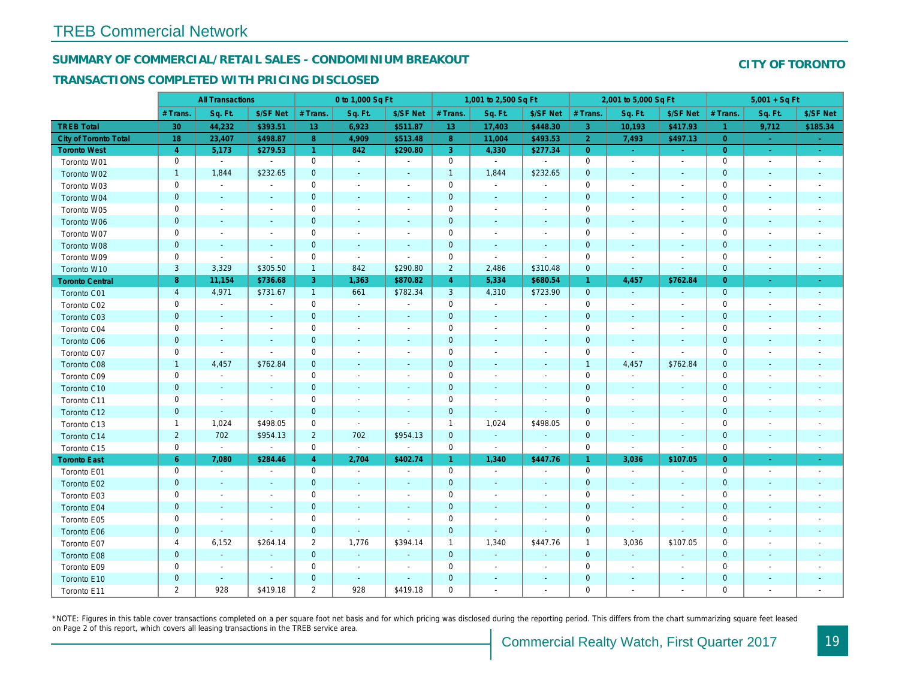## SUMMARY OF COMMERCIAL/RETAIL SALES - CONDOMINIUM BREAKOUT

#### TRANSACTIONS COMPLETED WITH PRICING DISCLOSED

|                        |                | <b>All Transactions</b>  |                          |                      | 0 to 1,000 Sq Ft |                          |                | 1,001 to 2,500 Sq Ft         |                          |                | 2,001 to 5,000 Sq Ft     |                          |
|------------------------|----------------|--------------------------|--------------------------|----------------------|------------------|--------------------------|----------------|------------------------------|--------------------------|----------------|--------------------------|--------------------------|
|                        | # Trans.       | Sq. Ft.                  | \$/SF Net                | # Trans.             | Sq. Ft.          | \$/SF Net                | # Trans.       | Sq. Ft.                      | \$/SF Net                | # Trans.       | Sq. Ft.                  | \$/SF Ne                 |
| <b>TREB Total</b>      | 30             | 44,232                   | \$393.51                 | 13                   | 6,923            | \$511.87                 | 13             | 17,403                       | \$448.30                 | $\mathbf{3}$   | 10,193                   | \$417.93                 |
| City of Toronto Total  | 18             | 23,407                   | \$498.87                 | 8                    | 4,909            | \$513.48                 | 8 <sup>°</sup> | 11,004                       | \$493.53                 | $\overline{2}$ | 7,493                    | \$497.1                  |
| <b>Toronto West</b>    | $\overline{4}$ | 5,173                    | \$279.53                 | $\blacktriangleleft$ | 842              | \$290.80                 | 3              | 4,330                        | \$277.34                 | $\overline{0}$ | $\sim$                   | $\omega_{\rm c}$         |
| Toronto W01            | 0              | $\blacksquare$           | $\blacksquare$           | $\mathbf 0$          | $\blacksquare$   | $\blacksquare$           | $\mathbf 0$    | $\blacksquare$               | $\blacksquare$           | 0              | $\blacksquare$           | $\blacksquare$           |
| Toronto W02            | $\mathbf{1}$   | 1,844                    | \$232.65                 | $\mathbf{0}$         | $\sim$           | $\sim$                   | $\mathbf{1}$   | 1,844                        | \$232.65                 | $\mathbf{0}$   | $\sim$                   | $\sim$                   |
| Toronto W03            | 0              | $\sim$                   | $\sim$                   | $\mathbf 0$          | $\sim$           | $\blacksquare$           | $\mathbf 0$    | $\blacksquare$               | $\blacksquare$           | $\mathbf 0$    | $\sim$                   | $\overline{\phantom{a}}$ |
| Toronto W04            | $\mathbf{0}$   | $\sim$                   | $\sim$                   | $\mathbf 0$          | $\sim$           | $\blacksquare$           | $\mathbf 0$    | $\blacksquare$               | $\blacksquare$           | $\mathbf 0$    | $\blacksquare$           | $\sim$                   |
| Toronto W05            | 0              | $\overline{\phantom{a}}$ | $\overline{\phantom{a}}$ | $\mathbf 0$          | $\blacksquare$   | $\blacksquare$           | $\mathbf 0$    | $\overline{\phantom{a}}$     | $\blacksquare$           | 0              | ÷                        | $\overline{\phantom{a}}$ |
| Toronto W06            | $\mathbf{0}$   | $\sim$                   | $\sim$                   | $\mathbf{0}$         | $\frac{1}{2}$    | $\blacksquare$           | $\mathbf 0$    | ٠                            | ٠                        | $\mathbf 0$    | $\sim$                   | $\blacksquare$           |
| Toronto W07            | 0              | $\overline{\phantom{a}}$ |                          | $\mathbf 0$          | $\blacksquare$   | $\overline{\phantom{a}}$ | $\mathbf 0$    | $\blacksquare$               | $\blacksquare$           | $\mathbf 0$    | $\blacksquare$           | $\overline{\phantom{a}}$ |
| Toronto W08            | $\mathbf 0$    | $\sim$                   | $\sim$                   | $\mathbf 0$          | $\blacksquare$   | $\blacksquare$           | $\mathbf 0$    | $\blacksquare$               | $\blacksquare$           | $\mathbf{0}$   | $\blacksquare$           | $\overline{\phantom{a}}$ |
| Toronto W09            | $\mathbf 0$    | $\blacksquare$           | $\blacksquare$           | $\mathbf 0$          | $\blacksquare$   | $\overline{\phantom{a}}$ | $\mathbf 0$    | $\blacksquare$               | $\overline{\phantom{a}}$ | $\mathbf 0$    | ÷                        | $\overline{\phantom{a}}$ |
| Toronto W10            | $\mathbf{3}$   | 3,329                    | \$305.50                 | $\mathbf{1}$         | 842              | \$290.80                 | $\overline{2}$ | 2,486                        | \$310.48                 | $\mathbf{0}$   | $\blacksquare$           | $\blacksquare$           |
| <b>Toronto Central</b> | 8              | 11,154                   | \$736.68                 | 3                    | 1,363            | \$870.82                 | $\overline{4}$ | 5,334                        | \$680.54                 | $\mathbf{1}$   | 4,457                    | \$762.84                 |
| Toronto C01            | $\overline{4}$ | 4,971                    | \$731.67                 | $\mathbf{1}$         | 661              | \$782.34                 | 3              | 4,310                        | \$723.90                 | $\mathbf 0$    | $\blacksquare$           | $\sim$                   |
| Toronto C02            | 0              | $\sim$                   |                          | $\mathbf 0$          | $\blacksquare$   | $\blacksquare$           | $\mathbf 0$    | $\blacksquare$               | $\blacksquare$           | $\mathbf 0$    | $\blacksquare$           | $\blacksquare$           |
| Toronto C03            | $\mathbf{0}$   | $\sim$                   | $\sim$                   | $\overline{0}$       | $\blacksquare$   | $\blacksquare$           | $\mathbf 0$    | $\blacksquare$               | $\blacksquare$           | $\mathbf{0}$   | $\blacksquare$           | $\overline{\phantom{a}}$ |
| Toronto C04            | 0              | $\sim$                   | $\overline{\phantom{a}}$ | $\mathbf 0$          | $\blacksquare$   | $\blacksquare$           | $\mathbf 0$    | $\blacksquare$               | $\sim$                   | 0              | $\blacksquare$           |                          |
| <b>Toronto C06</b>     | $\mathbf{0}$   | $\sim$                   | $\sim$                   | $\mathbf 0$          | $\blacksquare$   | $\sim$                   | $\mathbf{0}$   | $\blacksquare$               | $\blacksquare$           | $\mathbf 0$    | $\blacksquare$           | ٠                        |
| Toronto C07            | 0              | $\sim$                   | $\sim$                   | $\mathbf 0$          | $\sim$           | $\blacksquare$           | $\mathbf 0$    | $\sim$                       | $\blacksquare$           | $\mathbf 0$    | $\sim$                   | $\sim$                   |
| Toronto C08            | $\mathbf{1}$   | 4,457                    | \$762.84                 | $\mathbf 0$          | $\sim$           | $\blacksquare$           | $\mathbf 0$    | $\sim$                       | $\omega$                 | $\mathbf{1}$   | 4,457                    | \$762.84                 |
| Toronto C09            | 0              | $\blacksquare$           | $\overline{\phantom{a}}$ | 0                    | $\blacksquare$   | $\blacksquare$           | 0              | $\overline{\phantom{a}}$     | $\overline{\phantom{a}}$ | 0              | $\blacksquare$           | $\blacksquare$           |
| Toronto C10            | $\mathbf{0}$   | $\sim$                   | $\sim$                   | $\mathbf 0$          | $\sim$           | $\sim$                   | $\mathbf 0$    | $\sim$                       | $\sim$                   | $\mathbf 0$    | $\sim$                   | $\sim$                   |
| Toronto C11            | 0              | $\blacksquare$           | $\overline{\phantom{a}}$ | $\mathbf 0$          | $\blacksquare$   | $\overline{\phantom{a}}$ | $\mathbf 0$    | $\blacksquare$               | $\overline{\phantom{a}}$ | $\mathbf 0$    | $\blacksquare$           | $\blacksquare$           |
| Toronto C12            | $\mathbf{0}$   | $\blacksquare$           | $\sim$                   | $\mathbf 0$          | $\blacksquare$   | $\blacksquare$           | $\mathbf 0$    | $\blacksquare$               | $\blacksquare$           | $\mathbf{0}$   | $\blacksquare$           | $\sim$                   |
| Toronto C13            | $\mathbf{1}$   | 1,024                    | \$498.05                 | 0                    | $\sim$           | $\overline{\phantom{a}}$ | $\mathbf{1}$   | 1,024                        | \$498.05                 | 0              | $\overline{\phantom{a}}$ |                          |
| Toronto C14            | $\overline{2}$ | 702                      | \$954.13                 | $\overline{2}$       | 702              | \$954.13                 | $\mathbf 0$    | $\blacksquare$               | $\blacksquare$           | $\mathbf{0}$   | $\blacksquare$           | $\sim$                   |
| Toronto C15            | 0              | $\blacksquare$           | $\blacksquare$           | $\mathbf 0$          | $\omega$         | $\blacksquare$           | $\mathbf 0$    | $\blacksquare$               | $\blacksquare$           | $\mathbf 0$    | $\omega$                 | $\blacksquare$           |
| <b>Toronto East</b>    | $6^{\circ}$    | 7,080                    | \$284.46                 | $\overline{4}$       | 2,704            | \$402.74                 | $\mathbf{1}$   | 1,340                        | \$447.76                 | $\mathbf{1}$   | 3,036                    | \$107.05                 |
| Toronto E01            | 0              | $\blacksquare$           | $\sim$                   | $\mathbf 0$          | $\sim$           | $\blacksquare$           | $\mathbf 0$    | $\blacksquare$               | $\sim$                   | $\mathbf 0$    | $\blacksquare$           | $\sim$                   |
| Toronto E02            | $\pmb{0}$      |                          |                          | $\mathbf 0$          | $\sim$           | $\blacksquare$           | $\mathbf 0$    | $\sim$                       | ٠                        | $\mathbf{0}$   | $\sim$                   | $\blacksquare$           |
| Toronto E03            | 0              | $\overline{\phantom{a}}$ | $\overline{\phantom{a}}$ | $\mathbf 0$          | $\blacksquare$   | $\overline{\phantom{a}}$ | $\pmb{0}$      | $\blacksquare$               | $\blacksquare$           | 0              | $\blacksquare$           | $\blacksquare$           |
| Toronto E04            | $\mathbf 0$    | $\sim$                   | $\sim$                   | $\mathbf 0$          | $\blacksquare$   | $\blacksquare$           | $\mathbf 0$    | $\blacksquare$               | $\blacksquare$           | $\mathbf 0$    | $\blacksquare$           | ٠                        |
| Toronto E05            | 0              | $\sim$                   | $\sim$                   | $\mathbf 0$          | $\sim$           | $\blacksquare$           | $\mathbf 0$    | $\blacksquare$               | $\blacksquare$           | $\mathbf 0$    | $\blacksquare$           | $\blacksquare$           |
| Toronto E06            | $\mathbf{0}$   | $\sim$                   | $\sim$                   | $\mathbf 0$          | $\omega$         | $\sim$                   | $\mathbf 0$    | ÷.                           | $\sim$                   | $\mathbf 0$    | $\sim$                   |                          |
| Toronto E07            | 4              | 6,152                    | \$264.14                 | $\overline{2}$       | 1,776            | \$394.14                 | $\mathbf{1}$   | 1,340                        | \$447.76                 | $\overline{1}$ | 3,036                    | \$107.05                 |
| Toronto E08            | $\mathbf{0}$   | $\sim$                   |                          | $\mathbf{0}$         | $\sim$           | $\blacksquare$           | $\mathbf 0$    | $\blacksquare$               | ٠                        | $\mathbf{0}$   | $\blacksquare$           |                          |
| Toronto E09            | 0              | $\overline{\phantom{a}}$ |                          | $\mathbf 0$          | $\blacksquare$   | $\blacksquare$           | $\mathbf 0$    | $\blacksquare$               | $\overline{\phantom{a}}$ | $\mathbf 0$    | $\blacksquare$           | $\blacksquare$           |
| Toronto E10            | $\mathbf 0$    | $\blacksquare$           | $\sim$                   | $\mathbf 0$          | $\blacksquare$   | $\blacksquare$           | $\mathbf 0$    | $\qquad \qquad \blacksquare$ | $\blacksquare$           | $\mathbf 0$    | $\overline{\phantom{a}}$ | $\blacksquare$           |
| Toronto E11            | $\overline{2}$ | 928                      | \$419.18                 | $\overline{2}$       | 928              | \$419.18                 | $\mathbf 0$    | $\blacksquare$               | $\blacksquare$           | $\mathbf 0$    |                          | $\sim$                   |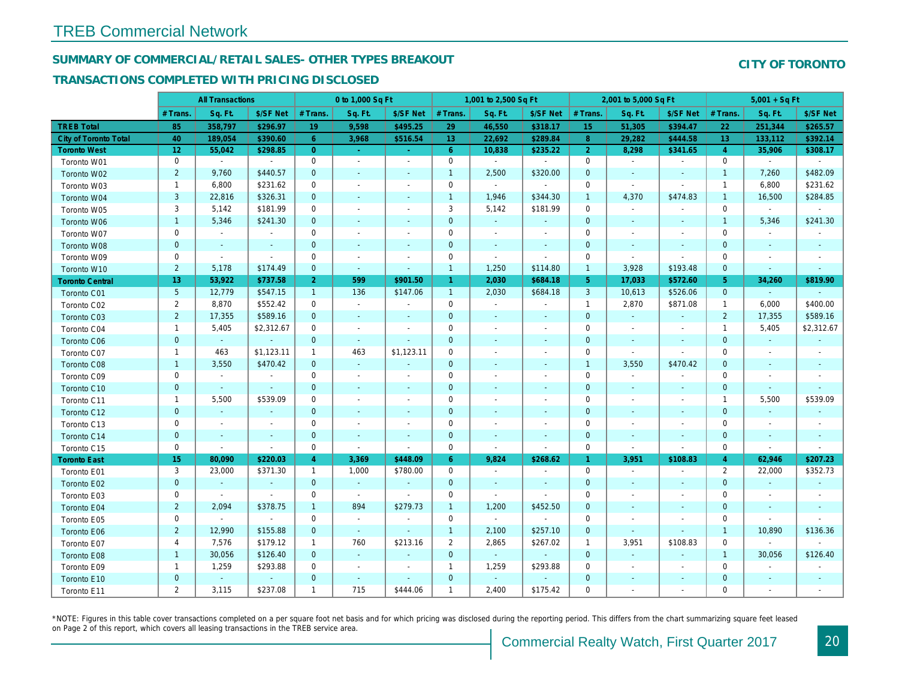## SUMMARY OF COMMERCIAL/RETAIL SALES- OTHER TYPES BREAKOUT

#### TRANSACTIONS COMPLETED WITH PRICING DISCLOSED

|                              |                 | <b>All Transactions</b> |                          |                | 0 to 1,000 Sq Ft         |                          |                      | 1,001 to 2,500 Sq Ft     |                          |                | 2,001 to 5,000 Sq Ft     |                          |
|------------------------------|-----------------|-------------------------|--------------------------|----------------|--------------------------|--------------------------|----------------------|--------------------------|--------------------------|----------------|--------------------------|--------------------------|
|                              | # Trans         | Sq. Ft.                 | \$/SF Net                | # Trans.       | Sq. Ft.                  | \$/SF Net                | # Trans.             | Sq. Ft.                  | \$/SF Net                | # Trans.       | Sq. Ft.                  | \$/SF Ne                 |
| <b>TREB Total</b>            | 85              | 358,797                 | \$296.97                 | 19             | 9,598                    | \$495.25                 | 29                   | 46,550                   | \$318.17                 | 15             | 51,305                   | \$394.47                 |
| <b>City of Toronto Total</b> | 40              | 189,054                 | \$390.60                 | 6              | 3,968                    | \$516.54                 | 13 <sup>°</sup>      | 22,692                   | \$289.84                 | 8              | 29,282                   | \$444.58                 |
| <b>Toronto West</b>          | 12 <sub>2</sub> | 55,042                  | \$298.85                 | $\overline{0}$ | $\sim$                   | $\sim$                   | $6^{\circ}$          | 10,838                   | \$235.22                 | $\overline{2}$ | 8,298                    | \$341.65                 |
| Toronto W01                  | 0               | $\blacksquare$          | $\blacksquare$           | $\mathbf 0$    | $\blacksquare$           | $\sim$                   | $\mathbf 0$          | $\blacksquare$           | $\blacksquare$           | $\mathbf 0$    | $\bullet$                | $\sim$                   |
| Toronto W02                  | $\overline{2}$  | 9,760                   | \$440.57                 | $\mathbf 0$    | $\sim$                   | $\blacksquare$           | $\mathbf{1}$         | 2,500                    | \$320.00                 | $\mathbf 0$    | $\sim$                   | $\blacksquare$           |
| Toronto W03                  | $\mathbf{1}$    | 6,800                   | \$231.62                 | $\mathbf 0$    | $\overline{\phantom{a}}$ | $\blacksquare$           | 0                    | $\blacksquare$           | $\sim$                   | 0              | $\sim$                   |                          |
| Toronto W04                  | 3               | 22,816                  | \$326.31                 | $\mathbf 0$    | $\sim$                   | $\blacksquare$           | $\mathbf{1}$         | 1,946                    | \$344.30                 | $\mathbf{1}$   | 4,370                    | \$474.83                 |
| Toronto W05                  | 3               | 5,142                   | \$181.99                 | 0              | $\overline{\phantom{a}}$ | $\blacksquare$           | 3                    | 5,142                    | \$181.99                 | 0              | $\sim$                   |                          |
| Toronto W06                  | $\mathbf{1}$    | 5,346                   | \$241.30                 | $\mathbf{0}$   | $\sim$                   | $\sim$                   | $\mathbf{0}$         | $\blacksquare$           | $\sim$                   | $\mathbf{0}$   | $\sim$                   | $\blacksquare$           |
| Toronto W07                  | 0               | $\blacksquare$          | $\blacksquare$           | $\mathbf 0$    | $\sim$                   | $\blacksquare$           | $\mathbf 0$          | $\blacksquare$           | $\overline{\phantom{a}}$ | $\mathbf 0$    | $\sim$                   |                          |
| Toronto W08                  | $\pmb{0}$       | $\blacksquare$          | $\blacksquare$           | $\mathbf 0$    | $\blacksquare$           | $\blacksquare$           | $\pmb{0}$            | $\blacksquare$           | $\blacksquare$           | $\mathbf 0$    | $\sim$                   | $\blacksquare$           |
| Toronto W09                  | 0               | $\blacksquare$          | $\blacksquare$           | 0              | $\overline{\phantom{a}}$ | $\blacksquare$           | 0                    | $\overline{\phantom{a}}$ | $\sim$                   | $\mathbf 0$    | $\sim$                   | $\blacksquare$           |
| Toronto W10                  | $\overline{2}$  | 5,178                   | \$174.49                 | $\mathbf 0$    | $\blacksquare$           | $\blacksquare$           | $\mathbf{1}$         | 1,250                    | \$114.80                 | $\mathbf{1}$   | 3,928                    | \$193.48                 |
| <b>Toronto Central</b>       | 13              | 53,922                  | \$737.58                 | 2 <sup>1</sup> | 599                      | \$901.50                 | $\blacktriangleleft$ | 2,030                    | \$684.18                 | 5 <sup>5</sup> | 17,033                   | \$572.60                 |
| Toronto C01                  | 5               | 12,779                  | \$547.15                 | $\mathbf{1}$   | 136                      | \$147.06                 | $\mathbf{1}$         | 2,030                    | \$684.18                 | 3              | 10,613                   | \$526.06                 |
| Toronto C02                  | $\overline{2}$  | 8,870                   | \$552.42                 | 0              | $\blacksquare$           | $\blacksquare$           | 0                    | $\blacksquare$           | $\blacksquare$           | $\mathbf{1}$   | 2,870                    | \$871.08                 |
| Toronto C03                  | $\overline{2}$  | 17,355                  | \$589.16                 | $\mathbf{0}$   | $\sim$                   | $\blacksquare$           | $\mathbf{0}$         | $\sim$                   | $\sim$                   | $\mathbf 0$    | $\omega$                 | $\omega$                 |
| Toronto C04                  | $\overline{1}$  | 5,405                   | \$2,312.67               | 0              | $\blacksquare$           | $\blacksquare$           | 0                    | $\overline{\phantom{a}}$ | $\overline{\phantom{a}}$ | 0              | $\sim$                   | $\overline{\phantom{a}}$ |
| <b>Toronto C06</b>           | $\mathbf{0}$    | $\omega$                | $\omega$                 | $\overline{0}$ | $\sim$                   | $\blacksquare$           | $\mathbf{0}$         | $\sim$                   | $\sim$                   | $\mathbf 0$    | $\sim$                   | $\sim$                   |
| Toronto C07                  | $\mathbf{1}$    | 463                     | \$1,123.11               | $\mathbf{1}$   | 463                      | \$1,123.11               | 0                    | $\overline{\phantom{a}}$ | $\sim$                   | $\mathbf 0$    | $\sim$                   | $\blacksquare$           |
| Toronto C08                  | $\mathbf{1}$    | 3,550                   | \$470.42                 | $\mathbf{0}$   | $\omega$                 | $\sim$                   | $\mathbf{0}$         | $\sim$                   | $\sim$                   | $\mathbf{1}$   | 3,550                    | \$470.42                 |
| Toronto C09                  | 0               | $\blacksquare$          | $\blacksquare$           | 0              | $\sim$                   | $\overline{\phantom{a}}$ | 0                    | $\overline{\phantom{a}}$ | $\overline{\phantom{a}}$ | $\mathbf 0$    | $\blacksquare$           | $\overline{\phantom{a}}$ |
| Toronto C10                  | $\mathbf 0$     | $\sim$                  | $\omega$                 | $\mathbf 0$    | $\sim$                   | $\sim$                   | $\mathbf{0}$         | $\sim$                   | $\sim$                   | $\mathbf 0$    | $\sim$                   | $\sim$                   |
| Toronto C11                  | $\mathbf 1$     | 5,500                   | \$539.09                 | 0              | $\overline{\phantom{a}}$ | $\overline{\phantom{a}}$ | 0                    | $\overline{\phantom{a}}$ | $\overline{\phantom{a}}$ | 0              | $\sim$                   |                          |
| Toronto C12                  | $\mathbf{0}$    | $\omega$                | $\sim$                   | $\overline{0}$ | $\sim$                   | $\sim$                   | $\mathbf{0}$         | $\sim$                   | $\sim$                   | $\mathbf{0}$   | $\sim$                   | $\sim$                   |
| Toronto C13                  | 0               | $\sim$                  | $\overline{\phantom{a}}$ | 0              | $\overline{\phantom{a}}$ | $\blacksquare$           | 0                    | $\overline{\phantom{a}}$ | $\overline{\phantom{a}}$ | $\mathbf 0$    | $\overline{\phantom{a}}$ | $\overline{\phantom{a}}$ |
| Toronto C14                  | $\mathbf 0$     | $\sim$                  | $\sim$                   | $\mathbf 0$    | $\sim$                   | $\sim$                   | $\mathbf{0}$         | $\sim$                   | $\sim$                   | $\mathbf 0$    | $\overline{\phantom{a}}$ | $\sim$                   |
| Toronto C15                  | 0               | $\blacksquare$          | $\blacksquare$           | 0              | $\blacksquare$           | $\blacksquare$           | 0                    | $\blacksquare$           | $\blacksquare$           | $\mathbf 0$    | $\blacksquare$           | $\blacksquare$           |
| <b>Toronto East</b>          | 15              | 80,090                  | \$220.03                 | 4              | 3,369                    | \$448.09                 | $6^{\circ}$          | 9,824                    | \$268.62                 | $\mathbf{1}$   | 3,951                    | \$108.83                 |
| Toronto E01                  | 3               | 23,000                  | \$371.30                 | $\mathbf{1}$   | 1,000                    | \$780.00                 | 0                    | $\sim$                   | $\overline{\phantom{a}}$ | $\mathbf 0$    | $\blacksquare$           | $\sim$                   |
| Toronto E02                  | $\mathbf{0}$    | $\sim$                  | $\sim$                   | $\overline{0}$ | $\sim$                   | $\sim$                   | $\mathbf{0}$         | $\sim$                   | $\sim$                   | $\mathbf 0$    | $\sim$                   | $\blacksquare$           |
| Toronto E03                  | 0               | $\sim$                  | $\blacksquare$           | $\mathbf 0$    | $\blacksquare$           | $\blacksquare$           | 0                    | $\blacksquare$           | $\sim$                   | $\mathbf 0$    | $\blacksquare$           |                          |
| Toronto E04                  | $\overline{2}$  | 2,094                   | \$378.75                 | $\mathbf{1}$   | 894                      | \$279.73                 | $\mathbf{1}$         | 1,200                    | \$452.50                 | $\mathbf 0$    | $\sim$                   |                          |
| Toronto E05                  | 0               | $\blacksquare$          | $\blacksquare$           | 0              | $\blacksquare$           | $\blacksquare$           | 0                    | $\blacksquare$           | $\blacksquare$           | 0              | $\blacksquare$           | $\overline{\phantom{a}}$ |
| Toronto E06                  | $\overline{2}$  | 12,990                  | \$155.88                 | $\mathbf{0}$   | $\sim$                   | $\blacksquare$           | $\mathbf{1}$         | 2,100                    | \$257.10                 | $\mathbf{0}$   | $\sim$                   |                          |
| Toronto E07                  | 4               | 7,576                   | \$179.12                 | $\mathbf{1}$   | 760                      | \$213.16                 | $\overline{2}$       | 2,865                    | \$267.02                 | $\mathbf{1}$   | 3,951                    | \$108.83                 |
| Toronto E08                  | $\mathbf{1}$    | 30,056                  | \$126.40                 | $\mathbf{0}$   | $\omega$                 | $\blacksquare$           | $\mathbf{0}$         | $\omega$                 | $\omega$                 | $\mathbf 0$    |                          |                          |
| Toronto E09                  | $\mathbf{1}$    | 1,259                   | \$293.88                 | 0              | $\blacksquare$           | $\blacksquare$           | $\mathbf{1}$         | 1,259                    | \$293.88                 | 0              | $\blacksquare$           | $\overline{\phantom{a}}$ |
| Toronto E10                  | $\mathbf 0$     | $\blacksquare$          | $\blacksquare$           | 0              | $\sim$                   | $\blacksquare$           | $\mathbf 0$          |                          | $\overline{\phantom{a}}$ | $\mathbf 0$    | $\overline{\phantom{a}}$ |                          |
| Toronto E11                  | $\overline{2}$  | 3,115                   | \$237.08                 | $\mathbf{1}$   | 715                      | \$444.06                 | $\mathbf{1}$         | 2,400                    | \$175.42                 | $\mathbf 0$    | $\blacksquare$           | $\overline{\phantom{a}}$ |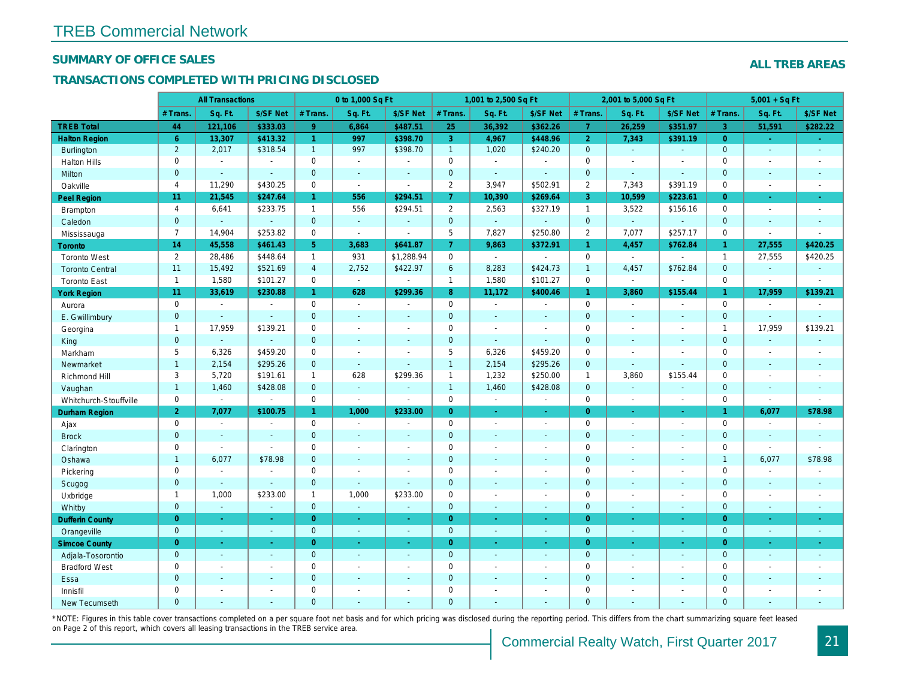#### SUMMARY OF OFFICE SALES

#### TRANSACTIONS COMPLETED WITH PRICING DISCLOSED

|                        |                | <b>All Transactions</b> |                |                      | 0 to 1,000 Sq Ft |                          |                | 1,001 to 2,500 Sq Ft |                          |                      | 2,001 to 5,000 Sq Ft |                  |
|------------------------|----------------|-------------------------|----------------|----------------------|------------------|--------------------------|----------------|----------------------|--------------------------|----------------------|----------------------|------------------|
|                        | # Trans.       | Sq. Ft.                 | \$/SF Net      | # Trans.             | Sq. Ft.          | \$/SF Net                | # Trans.       | Sq. Ft.              | \$/SF Net                | # Trans.             | Sq. Ft.              | \$/SF Ne         |
| <b>TREB Total</b>      | 44             | 121,106                 | \$333.03       | 9 <sup>°</sup>       | 6,864            | \$487.51                 | 25             | 36,392               | \$362.26                 | $\overline{7}$       | 26,259               | \$351.97         |
| <b>Halton Region</b>   | $6^{\circ}$    | 13,307                  | \$413.32       | $\blacktriangleleft$ | 997              | \$398.70                 | 3              | 4,967                | \$448.96                 | $\overline{2}$       | 7,343                | \$391.19         |
| Burlington             | $\overline{2}$ | 2,017                   | \$318.54       | $\mathbf{1}$         | 997              | \$398.70                 | 1              | 1,020                | \$240.20                 | $\mathbf 0$          | $\omega$             | $\blacksquare$   |
| <b>Halton Hills</b>    | $\mathbf 0$    | $\sim$                  | $\sim$         | $\mathbf 0$          | $\sim$           |                          | $\mathbf 0$    | $\blacksquare$       | $\overline{a}$           | $\mathbf 0$          | $\overline{a}$       | $\sim$           |
| Milton                 | $\mathbf{0}$   | $\Delta$                | ÷.             | $\mathbf 0$          | $\sim$           | $\overline{\phantom{a}}$ | $\mathbf 0$    | $\omega$             | $\mathbf{r}$             | $\mathbf 0$          | ÷.                   | $\sim$           |
| Oakville               | $\overline{4}$ | 11,290                  | \$430.25       | $\mathbf 0$          | $\mathbf{r}$     | $\sim$                   | $\overline{2}$ | 3,947                | \$502.91                 | 2                    | 7,343                | \$391.19         |
| <b>Peel Region</b>     | 11             | 21,545                  | \$247.64       | $\mathbf{1}$         | 556              | \$294.51                 | 7 <sup>1</sup> | 10,390               | \$269.64                 | 3                    | 10,599               | \$223.6'         |
| <b>Brampton</b>        | $\overline{4}$ | 6,641                   | \$233.75       | $\mathbf{1}$         | 556              | \$294.51                 | $\overline{2}$ | 2,563                | \$327.19                 | $\mathbf{1}$         | 3,522                | \$156.16         |
| Caledon                | $\mathbf{0}$   | $\omega$                | $\blacksquare$ | $\mathbf{0}$         | $\omega$         | $\sim$                   | $\mathbf 0$    | $\blacksquare$       | $\omega$                 | $\mathbf 0$          | $\omega$             | $\blacksquare$   |
| Mississauga            | $\overline{7}$ | 14,904                  | \$253.82       | $\mathbf 0$          | $\blacksquare$   | $\sim$                   | 5              | 7,827                | \$250.80                 | $\overline{2}$       | 7,077                | \$257.1          |
| Toronto                | 14             | 45,558                  | \$461.43       | 5                    | 3,683            | \$641.87                 | $\overline{7}$ | 9,863                | \$372.91                 | $\mathbf{1}$         | 4,457                | \$762.84         |
| <b>Toronto West</b>    | $\overline{2}$ | 28,486                  | \$448.64       | $\mathbf{1}$         | 931              | \$1,288.94               | $\mathbf 0$    | $\blacksquare$       | $\sim$                   | $\mathbf 0$          | $\blacksquare$       | $\blacksquare$   |
| <b>Toronto Central</b> | 11             | 15,492                  | \$521.69       | $\overline{4}$       | 2,752            | \$422.97                 | 6              | 8,283                | \$424.73                 | $\overline{1}$       | 4,457                | \$762.84         |
| <b>Toronto East</b>    | $\overline{1}$ | 1,580                   | \$101.27       | $\mathbf 0$          | $\bullet$        |                          | $\mathbf{1}$   | 1,580                | \$101.27                 | $\mathbf 0$          | $\blacksquare$       | $\blacksquare$   |
| <b>York Region</b>     | 11             | 33,619                  | \$230.88       | 1 <sup>1</sup>       | 628              | \$299.36                 | 8              | 11,172               | \$400.46                 | $\blacktriangleleft$ | 3,860                | \$155.44         |
| Aurora                 | $\mathbf 0$    | $\sim$                  | $\blacksquare$ | $\mathbf 0$          | $\sim$           | $\blacksquare$           | 0              | $\blacksquare$       | $\sim$                   | $\mathbf 0$          | $\blacksquare$       | $\sim$           |
| E. Gwillimbury         | $\overline{0}$ | $\sim$                  | $\omega$       | $\mathbf{0}$         | $\sim$           | $\sim$                   | $\mathbf 0$    | $\sim$               | $\blacksquare$           | $\mathbf{0}$         | ÷.                   | $\sim$           |
| Georgina               | $\mathbf{1}$   | 17,959                  | \$139.21       | $\mathbf 0$          | $\sim$           | $\sim$                   | $\pmb{0}$      | $\blacksquare$       | $\blacksquare$           | $\mathbf 0$          | $\blacksquare$       | $\sim$           |
| King                   | $\mathbf{0}$   | $\sim$                  | $\blacksquare$ | $\mathbf{0}$         | $\sim$           | $\overline{\phantom{a}}$ | $\mathbf 0$    | $\omega$             | ä,                       | $\mathbf{0}$         | $\blacksquare$       | $\sim$           |
| Markham                | 5              | 6,326                   | \$459.20       | $\mathbf 0$          | $\sim$           | $\overline{\phantom{a}}$ | 5              | 6,326                | \$459.20                 | $\mathbf 0$          | $\blacksquare$       | $\sim$           |
| Newmarket              | $\overline{1}$ | 2,154                   | \$295.26       | $\Omega$             | $\omega$         |                          | $\mathbf{1}$   | 2,154                | \$295.26                 | $\mathbf{0}$         | ä,                   |                  |
| Richmond Hill          | 3              | 5,720                   | \$191.61       | $\mathbf{1}$         | 628              | \$299.36                 | $\mathbf{1}$   | 1,232                | \$250.00                 | $\mathbf{1}$         | 3,860                | \$155.44         |
| Vaughan                | $\mathbf{1}$   | 1,460                   | \$428.08       | $\mathbf{0}$         | $\omega$         | $\sim$                   | $\mathbf{1}$   | 1,460                | \$428.08                 | $\mathbf{0}$         | $\omega$             | $\blacksquare$   |
| Whitchurch-Stouffville | $\mathbf 0$    | $\blacksquare$          | $\blacksquare$ | $\mathbf 0$          | $\blacksquare$   | $\sim$                   | 0              | $\omega$             | $\sim$                   | $\mathbf 0$          | $\blacksquare$       | $\blacksquare$   |
| Durham Region          | $\overline{2}$ | 7,077                   | \$100.75       | $\mathbf{1}$         | 1,000            | \$233.00                 | $\overline{0}$ | $\bullet$            | ÷                        | $\overline{0}$       | $\blacksquare$       | $\sigma_{\rm c}$ |
| Ajax                   | $\mathbf 0$    | $\sim$                  | $\blacksquare$ | $\mathbf 0$          | $\sim$           | $\sim$                   | 0              | $\blacksquare$       | $\blacksquare$           | $\mathbf 0$          | $\blacksquare$       | $\sim$           |
| <b>Brock</b>           | $\overline{0}$ | $\blacksquare$          | $\blacksquare$ | $\mathbf{0}$         | $\sim$           | $\sim$                   | $\mathbf 0$    | $\blacksquare$       | $\blacksquare$           | $\mathbf{0}$         | $\blacksquare$       | $\sim$           |
| Clarington             | $\mathbf 0$    | $\blacksquare$          | $\blacksquare$ | $\mathbf 0$          | $\overline{a}$   | $\sim$                   | $\pmb{0}$      | $\overline{a}$       | $\blacksquare$           | $\mathbf 0$          | ÷.                   | $\blacksquare$   |
| Oshawa                 | $\mathbf{1}$   | 6,077                   | \$78.98        | $\mathbf{0}$         | $\sim$           | $\sim$                   | $\mathbf 0$    | $\blacksquare$       | $\blacksquare$           | $\mathbf{0}$         | $\blacksquare$       | $\blacksquare$   |
| Pickering              | $\mathbf 0$    | $\sim$                  | $\sim$         | $\mathbf 0$          | $\sim$           | $\overline{\phantom{a}}$ | $\mathbf 0$    | $\blacksquare$       | $\blacksquare$           | $\mathbf 0$          | $\overline{a}$       | $\blacksquare$   |
| Scugog                 | $\mathbf{0}$   | $\omega$                | $\omega$       | $\mathbf{0}$         | $\Delta$         | $\sim$                   | $\mathbf 0$    | $\Delta$             | $\blacksquare$           | $\mathbf{0}$         | $\blacksquare$       | $\sim$           |
| Uxbridge               | $\mathbf{1}$   | 1,000                   | \$233.00       | $\mathbf{1}$         | 1,000            | \$233.00                 | 0              | $\blacksquare$       | $\blacksquare$           | $\mathbf 0$          | ÷,                   | $\blacksquare$   |
| Whitby                 | $\mathbf{0}$   | $\omega$                | $\blacksquare$ | $\mathbf{0}$         | $\omega$         | $\sim$                   | $\mathbf 0$    | $\blacksquare$       | $\blacksquare$           | $\mathbf{0}$         | $\blacksquare$       | $\sim$           |
| <b>Dufferin County</b> | $\overline{0}$ | $\omega$                | $\Delta \phi$  | $\overline{0}$       | $\sim$           | $\sim$                   | $\overline{0}$ | $\omega$             | ÷.                       | $\overline{0}$       | ÷.                   | $\sim$           |
| Orangeville            | $\mathbf{0}$   | $\omega$                | $\blacksquare$ | $\mathbf 0$          | $\omega$         | $\blacksquare$           | $\mathbf{0}$   | $\omega$             | $\omega$                 | $\mathbf 0$          | $\omega$             | $\sim$           |
| <b>Simcoe County</b>   | $\overline{0}$ | $\omega$                | $\omega$       | $\overline{0}$       | $\sim$           | $\omega$                 | $\overline{0}$ | $\blacksquare$       | $\omega$                 | $\overline{0}$       | $\blacksquare$       | $\bullet$        |
| Adjala-Tosorontio      | $\overline{0}$ | $\sim$                  | $\sim$         | $\mathbf{0}$         | $\sim$           | $\sim$                   | $\mathbf 0$    | $\omega$             | $\blacksquare$           | $\mathbf{0}$         | $\blacksquare$       | $\sim$           |
| <b>Bradford West</b>   | $\mathbf 0$    | $\blacksquare$          | $\blacksquare$ | $\mathbf 0$          | $\blacksquare$   | $\blacksquare$           | $\pmb{0}$      | $\blacksquare$       | $\sim$                   | $\mathbf 0$          | $\overline{a}$       | $\sim$           |
| Essa                   | $\mathbf{0}$   | $\blacksquare$          | $\blacksquare$ | $\mathbf{0}$         | $\sim$           | $\sim$                   | $\pmb{0}$      | $\blacksquare$       | $\blacksquare$           | $\mathbf 0$          | $\blacksquare$       |                  |
| Innisfil               | $\mathbf 0$    | $\blacksquare$          | $\blacksquare$ | $\mathbf 0$          | $\sim$           | $\blacksquare$           | $\mathbf 0$    | $\blacksquare$       | $\blacksquare$           | $\mathbf 0$          | $\blacksquare$       | $\blacksquare$   |
| <b>New Tecumseth</b>   | $\Omega$       | $\sim$                  | $\sim$         | $\Omega$             |                  |                          | $\overline{0}$ | ÷.                   | $\overline{\phantom{a}}$ | $\mathbf{0}$         | ÷.                   | $\sim$           |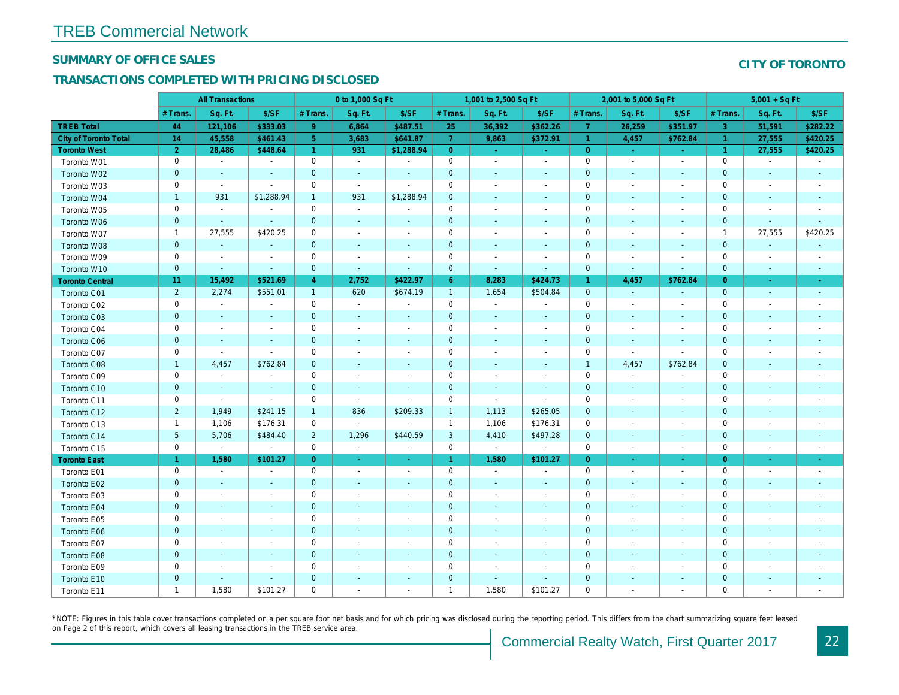#### SUMMARY OF OFFICE SALES

## TRANSACTIONS COMPLETED WITH PRICING DISCLOSED

|                              |                      | <b>All Transactions</b>  |                          |                | 0 to 1,000 Sq Ft         |                          |                | 1,001 to 2,500 Sq Ft     |                          |                      | 2,001 to 5,000 Sq Ft     |                          |
|------------------------------|----------------------|--------------------------|--------------------------|----------------|--------------------------|--------------------------|----------------|--------------------------|--------------------------|----------------------|--------------------------|--------------------------|
|                              | # Trans.             | Sq. Ft.                  | \$/SF                    | # Trans.       | Sq. Ft.                  | \$/SF                    | # Trans.       | Sq. Ft.                  | \$/SF                    | # Trans.             | Sq. Ft.                  | \$/SF                    |
| <b>TREB Total</b>            | 44                   | 121,106                  | \$333.03                 | 9              | 6,864                    | \$487.51                 | 25             | 36,392                   | \$362.26                 | $\overline{7}$       | 26,259                   | \$351.97                 |
| <b>City of Toronto Total</b> | 14                   | 45,558                   | \$461.43                 | 5 <sup>5</sup> | 3,683                    | \$641.87                 | $\overline{7}$ | 9,863                    | \$372.91                 | -1                   | 4,457                    | \$762.84                 |
| <b>Toronto West</b>          | $\overline{2}$       | 28,486                   | \$448.64                 | $\overline{1}$ | 931                      | \$1,288.94               | $\overline{0}$ | $\omega$                 | $\omega$                 | $\overline{0}$       | $\sim$                   | $\sim$                   |
| Toronto W01                  | $\mathbf 0$          | $\sim$                   | $\blacksquare$           | $\mathbf 0$    | $\blacksquare$           | $\blacksquare$           | $\mathbf 0$    | $\blacksquare$           | $\blacksquare$           | $\mathbf 0$          | $\blacksquare$           | $\sim$                   |
| Toronto W02                  | $\mathbf 0$          | $\sim$                   | $\blacksquare$           | $\mathbf 0$    | $\blacksquare$           | $\blacksquare$           | $\mathbf 0$    | $\overline{\phantom{a}}$ | $\sim$                   | $\mathbf 0$          | $\blacksquare$           | $\sim$                   |
| Toronto W03                  | 0                    | $\blacksquare$           | $\blacksquare$           | 0              | $\tilde{\phantom{a}}$    | $\blacksquare$           | 0              | $\blacksquare$           | $\overline{\phantom{a}}$ | 0                    | $\overline{\phantom{a}}$ | $\overline{\phantom{a}}$ |
| Toronto W04                  | $\mathbf{1}$         | 931                      | \$1,288.94               | $\mathbf{1}$   | 931                      | \$1,288.94               | $\pmb{0}$      | $\blacksquare$           | $\sim$                   | $\mathbf 0$          | $\blacksquare$           | $\sim$                   |
| Toronto W05                  | $\mathbf 0$          | $\blacksquare$           | $\blacksquare$           | $\mathbf 0$    | $\blacksquare$           | $\blacksquare$           | 0              | $\blacksquare$           | $\blacksquare$           | $\mathbf 0$          | $\blacksquare$           | $\overline{\phantom{a}}$ |
| Toronto W06                  | $\mathbf 0$          | $\blacksquare$           | $\blacksquare$           | $\mathbf 0$    | $\blacksquare$           | ٠                        | $\mathbf 0$    | $\blacksquare$           |                          | $\mathbf 0$          | $\blacksquare$           | $\blacksquare$           |
| Toronto W07                  | $\mathbf{1}$         | 27,555                   | \$420.25                 | $\mathbf 0$    | $\overline{\phantom{a}}$ | $\overline{\phantom{a}}$ | 0              | $\overline{\phantom{a}}$ |                          | $\mathbf 0$          |                          | $\overline{\phantom{a}}$ |
| Toronto W08                  | $\mathbf 0$          | $\omega$                 | $\blacksquare$           | $\mathbf{0}$   | $\blacksquare$           | $\blacksquare$           | 0              | $\blacksquare$           |                          | $\mathbf 0$          | $\blacksquare$           | $\blacksquare$           |
| Toronto W09                  | $\pmb{0}$            | $\blacksquare$           | $\blacksquare$           | $\mathbf 0$    | $\blacksquare$           | $\blacksquare$           | 0              | $\blacksquare$           | $\blacksquare$           | $\mathbf 0$          |                          | $\overline{\phantom{a}}$ |
| Toronto W10                  | $\pmb{0}$            | $\blacksquare$           | $\blacksquare$           | $\mathbf 0$    | $\blacksquare$           | $\overline{\phantom{a}}$ | $\pmb{0}$      | $\blacksquare$           | $\blacksquare$           | $\pmb{0}$            | $\blacksquare$           | $\blacksquare$           |
| <b>Toronto Central</b>       | 11                   | 15,492                   | \$521.69                 | $\overline{4}$ | 2,752                    | \$422.97                 | $6^{\circ}$    | 8,283                    | \$424.73                 | $\blacktriangleleft$ | 4,457                    | \$762.84                 |
| Toronto C01                  | $\overline{2}$       | 2,274                    | \$551.01                 | $\mathbf{1}$   | 620                      | \$674.19                 | $\overline{1}$ | 1,654                    | \$504.84                 | $\mathbf{0}$         | $\blacksquare$           | $\sim$                   |
| Toronto C02                  | $\mathbf 0$          | $\blacksquare$           | $\blacksquare$           | $\mathbf 0$    | $\tilde{\phantom{a}}$    | $\blacksquare$           | $\mathsf{O}$   | $\blacksquare$           | $\blacksquare$           | $\mathbf 0$          | $\overline{\phantom{a}}$ | $\blacksquare$           |
| Toronto C03                  | $\pmb{0}$            | $\blacksquare$           | $\blacksquare$           | $\mathbf{0}$   | $\blacksquare$           | $\blacksquare$           | $\pmb{0}$      | $\sim$                   | $\sim$                   | $\mathbf 0$          | $\blacksquare$           | $\blacksquare$           |
| Toronto C04                  | $\pmb{0}$            | $\blacksquare$           | $\blacksquare$           | 0              | $\blacksquare$           | $\blacksquare$           | 0              | $\blacksquare$           | $\overline{\phantom{a}}$ | 0                    | $\overline{\phantom{a}}$ | $\overline{\phantom{a}}$ |
| Toronto C06                  | $\mathbf 0$          | $\blacksquare$           | $\blacksquare$           | $\mathbf 0$    | $\blacksquare$           | $\blacksquare$           | $\mathbf 0$    | $\blacksquare$           | ٠                        | $\mathbf 0$          | $\blacksquare$           | $\overline{\phantom{a}}$ |
| Toronto C07                  | $\mathbf 0$          | $\blacksquare$           | $\sim$                   | $\mathbf 0$    | $\sim$                   | $\blacksquare$           | $\mathbf 0$    | $\blacksquare$           | $\overline{\phantom{a}}$ | $\mathbf 0$          | $\sim$                   | $\sim$                   |
| <b>Toronto C08</b>           | $\mathbf{1}$         | 4,457                    | \$762.84                 | $\mathbf{0}$   | $\sim$                   | $\blacksquare$           | $\pmb{0}$      | $\blacksquare$           | $\sim$                   | $\mathbf{1}$         | 4,457                    | \$762.84                 |
| Toronto C09                  | 0                    | $\blacksquare$           | $\blacksquare$           | 0              | $\blacksquare$           | $\blacksquare$           | 0              | $\blacksquare$           | $\overline{\phantom{a}}$ | 0                    | $\overline{\phantom{a}}$ | $\blacksquare$           |
| Toronto C10                  | $\mathbf 0$          | $\sim$                   | $\sim$                   | $\mathbf 0$    | $\sim$                   | $\sim$                   | $\mathbf 0$    | $\sim$                   | $\sim$                   | $\mathbf 0$          | $\sim$                   | $\sim$                   |
| Toronto C11                  | $\mathbf 0$          | $\blacksquare$           | $\sim$                   | $\mathbf 0$    | $\sim$                   | $\ddot{\phantom{1}}$     | $\mathbf 0$    | $\blacksquare$           | $\sim$                   | $\mathbf 0$          | $\overline{\phantom{a}}$ | $\blacksquare$           |
| Toronto C12                  | $\overline{2}$       | 1,949                    | \$241.15                 | $\mathbf{1}$   | 836                      | \$209.33                 | $\overline{1}$ | 1,113                    | \$265.05                 | $\mathbf 0$          | $\sim$                   | $\sim$                   |
| Toronto C13                  | $\mathbf{1}$         | 1,106                    | \$176.31                 | $\mathbf 0$    | $\blacksquare$           |                          | $\overline{1}$ | 1,106                    | \$176.31                 | $\mathbf 0$          | $\overline{\phantom{a}}$ | $\overline{\phantom{a}}$ |
| Toronto C14                  | $\overline{5}$       | 5,706                    | \$484.40                 | $\overline{2}$ | 1,296                    | \$440.59                 | 3              | 4,410                    | \$497.28                 | $\pmb{0}$            | $\overline{\phantom{a}}$ | $\overline{\phantom{a}}$ |
| Toronto C15                  | $\mathbf 0$          | $\sim$                   | $\sim$                   | $\mathbf 0$    | $\sim$                   | $\blacksquare$           | 0              | $\blacksquare$           | $\blacksquare$           | $\mathbf 0$          | $\blacksquare$           | $\sim$                   |
| <b>Toronto East</b>          | $\blacktriangleleft$ | 1,580                    | \$101.27                 | $\overline{0}$ | $\omega$                 | $\omega$                 | $\mathbf{1}$   | 1,580                    | \$101.27                 | $\overline{0}$       | ٠                        | $\bullet$                |
| Toronto E01                  | $\mathbf 0$          | $\sim$                   | $\sim$                   | $\mathbf 0$    | $\blacksquare$           | $\blacksquare$           | 0              | $\blacksquare$           | $\blacksquare$           | $\mathbf 0$          | $\blacksquare$           | $\blacksquare$           |
| Toronto E02                  | $\mathbf 0$          | $\blacksquare$           | $\blacksquare$           | $\mathbf 0$    | $\overline{\phantom{a}}$ | $\overline{\phantom{a}}$ | $\mathbf 0$    | $\blacksquare$           |                          | $\mathbf 0$          |                          |                          |
| Toronto E03                  | $\mathbf 0$          | $\overline{\phantom{a}}$ | $\overline{\phantom{a}}$ | $\mathbf 0$    | $\blacksquare$           | $\blacksquare$           | 0              | $\blacksquare$           | $\overline{\phantom{a}}$ | $\mathbf 0$          | $\blacksquare$           | $\overline{\phantom{a}}$ |
| Toronto E04                  | $\pmb{0}$            | $\blacksquare$           | $\blacksquare$           | $\mathbf 0$    | ä,                       | $\blacksquare$           | $\pmb{0}$      | $\blacksquare$           | $\sim$                   | $\mathbf 0$          | $\blacksquare$           |                          |
| Toronto E05                  | $\pmb{0}$            | $\blacksquare$           | $\blacksquare$           | $\mathbf 0$    | $\sim$                   | $\blacksquare$           | $\pmb{0}$      | $\blacksquare$           | $\blacksquare$           | $\mathbf 0$          | $\blacksquare$           | $\blacksquare$           |
| Toronto E06                  | $\mathbf 0$          | $\sim$                   | $\blacksquare$           | $\mathbf 0$    | $\sim$                   | $\blacksquare$           | $\mathbf 0$    | $\blacksquare$           |                          | $\mathbf 0$          |                          | $\overline{\phantom{a}}$ |
| Toronto E07                  | 0                    | $\overline{\phantom{a}}$ | $\overline{\phantom{a}}$ | $\mathbf 0$    | $\blacksquare$           | $\blacksquare$           | 0              | $\blacksquare$           | $\overline{\phantom{a}}$ | 0                    | $\overline{\phantom{a}}$ | $\overline{\phantom{a}}$ |
| Toronto E08                  | $\pmb{0}$            | $\sim$                   | $\sim$                   | $\mathbf 0$    | $\sim$                   | $\blacksquare$           | $\pmb{0}$      | $\blacksquare$           | $\overline{\phantom{a}}$ | $\mathbf 0$          | $\sim$                   | $\overline{\phantom{a}}$ |
| Toronto E09                  | 0                    | $\blacksquare$           | $\blacksquare$           | $\mathbf 0$    | $\sim$                   | $\sim$                   | 0              | $\blacksquare$           | $\overline{\phantom{a}}$ | $\mathbf 0$          | $\blacksquare$           | $\sim$                   |
| Toronto E10                  | $\pmb{0}$            | $\sim$                   | $\sim$                   | $\mathbf 0$    | $\blacksquare$           | $\blacksquare$           | 0              | $\sim$                   |                          | $\mathbf 0$          | $\blacksquare$           | $\overline{\phantom{a}}$ |
| Toronto E11                  | $\mathbf{1}$         | 1,580                    | \$101.27                 | $\mathbf 0$    | $\overline{a}$           | $\blacksquare$           | $\overline{1}$ | 1,580                    | \$101.27                 | $\mathbf 0$          | $\blacksquare$           | $\sim$                   |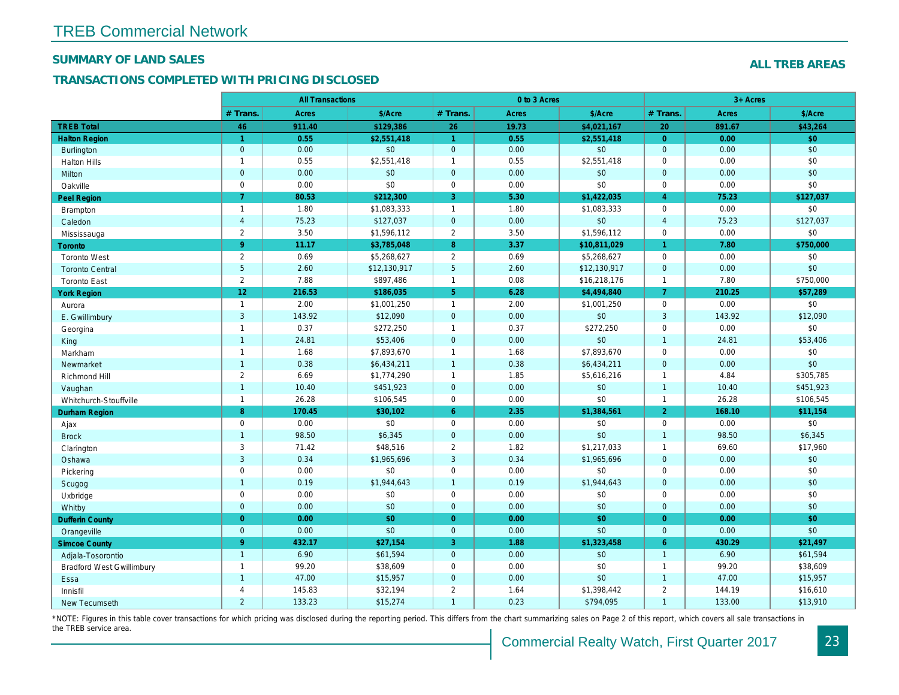## SUMMARY OF LAND SALES

## TRANSACTIONS COMPLETED WITH PRICING DISCLOSED

|                                  |                      | <b>All Transactions</b> |              |                      | 0 to 3 Acres |              |                |
|----------------------------------|----------------------|-------------------------|--------------|----------------------|--------------|--------------|----------------|
|                                  | # Trans.             | <b>Acres</b>            | \$/Acre      | # Trans.             | <b>Acres</b> | \$/Acre      | # Trans.       |
| <b>TREB Total</b>                | 46                   | 911.40                  | \$129,386    | 26                   | 19.73        | \$4,021,167  | 20             |
| <b>Halton Region</b>             | $\blacktriangleleft$ | 0.55                    | \$2.551.418  | $\blacktriangleleft$ | 0.55         | \$2.551.418  | $\Omega$       |
| <b>Burlington</b>                | $\mathbf{0}$         | 0.00                    | \$0          | $\mathbf 0$          | 0.00         | \$0          | $\mathbf{0}$   |
| <b>Halton Hills</b>              | $\mathbf{1}$         | 0.55                    | \$2,551,418  | $\overline{1}$       | 0.55         | \$2,551,418  | $\mathbf{0}$   |
| <b>Milton</b>                    | $\mathbf{0}$         | 0.00                    | \$0          | $\overline{0}$       | 0.00         | \$0          | $\overline{0}$ |
| Oakville                         | $\mathsf 0$          | 0.00                    | \$0          | $\mathbf 0$          | 0.00         | \$0          | 0              |
| <b>Peel Region</b>               | $\overline{7}$       | 80.53                   | \$212,300    | 3                    | 5.30         | \$1,422,035  | $\overline{4}$ |
| Brampton                         | $\mathbf{1}$         | 1.80                    | \$1,083,333  | $\overline{1}$       | 1.80         | \$1,083,333  | 0              |
| Caledon                          | $\overline{a}$       | 75.23                   | \$127,037    | $\mathbf 0$          | 0.00         | \$0          | $\overline{4}$ |
| Mississauga                      | 2                    | 3.50                    | \$1,596,112  | 2                    | 3.50         | \$1,596,112  | 0              |
| Toronto                          | 9 <sup>°</sup>       | 11.17                   | \$3,785,048  | 8                    | 3.37         | \$10,811,029 | $\mathbf{1}$   |
| <b>Toronto West</b>              | $\overline{2}$       | 0.69                    | \$5,268,627  | 2                    | 0.69         | \$5,268,627  | 0              |
| <b>Toronto Central</b>           | $5\phantom{.}$       | 2.60                    | \$12,130,917 | $5\phantom{.0}$      | 2.60         | \$12,130,917 | $\overline{0}$ |
| <b>Toronto East</b>              | $\overline{2}$       | 7.88                    | \$897,486    | $\overline{1}$       | 0.08         | \$16,218,176 | $\mathbf{1}$   |
| <b>York Region</b>               | 12 <sub>2</sub>      | 216.53                  | \$186,035    | 5 <sup>5</sup>       | 6.28         | \$4,494,840  | $\overline{7}$ |
| Aurora                           | $\mathbf{1}$         | 2.00                    | \$1,001,250  | $\overline{1}$       | 2.00         | \$1,001,250  | 0              |
| E. Gwillimbury                   | $\mathbf{3}$         | 143.92                  | \$12,090     | $\overline{0}$       | 0.00         | \$0          | 3              |
| Georgina                         | $\overline{1}$       | 0.37                    | \$272,250    | $\overline{1}$       | 0.37         | \$272,250    | 0              |
| King                             | $\overline{1}$       | 24.81                   | \$53,406     | $\mathbf 0$          | 0.00         | \$0          | $\mathbf{1}$   |
| Markham                          | $\mathbf{1}$         | 1.68                    | \$7,893,670  | $\overline{1}$       | 1.68         | \$7,893,670  | 0              |
| Newmarket                        | $\overline{1}$       | 0.38                    | \$6,434,211  | $\overline{1}$       | 0.38         | \$6,434,211  | $\overline{0}$ |
| Richmond Hill                    | $\overline{2}$       | 6.69                    | \$1,774,290  | $\overline{1}$       | 1.85         | \$5,616,216  | $\mathbf{1}$   |
| Vaughan                          | $\overline{1}$       | 10.40                   | \$451,923    | $\overline{0}$       | 0.00         | \$0          | $\overline{1}$ |
| Whitchurch-Stouffville           | $\mathbf{1}$         | 26.28                   | \$106,545    | $\mathsf 0$          | 0.00         | \$0          | $\mathbf{1}$   |
| <b>Durham Region</b>             | 8 <sup>°</sup>       | 170.45                  | \$30,102     | $6^{\circ}$          | 2.35         | \$1,384,561  | 2 <sup>1</sup> |
| Ajax                             | $\mathbf 0$          | 0.00                    | \$0          | $\mathbf 0$          | 0.00         | \$0          | 0              |
| <b>Brock</b>                     | $\overline{1}$       | 98.50                   | \$6,345      | $\mathbf{0}$         | 0.00         | \$0          | $\mathbf{1}$   |
| Clarington                       | 3                    | 71.42                   | \$48,516     | 2                    | 1.82         | \$1,217,033  | $\mathbf{1}$   |
| Oshawa                           | $\mathbf 3$          | 0.34                    | \$1,965,696  | $\mathbf{3}$         | 0.34         | \$1,965,696  | $\mathbf{0}$   |
| Pickering                        | $\mathbf 0$          | 0.00                    | \$0          | $\mathbf 0$          | 0.00         | \$0          | 0              |
| Scugog                           | $\overline{1}$       | 0.19                    | \$1,944,643  | $\overline{1}$       | 0.19         | \$1,944,643  | $\overline{0}$ |
| Uxbridge                         | $\mathbf 0$          | 0.00                    | \$0          | $\mathbf 0$          | 0.00         | \$0          | $\mathbf{0}$   |
| Whitby                           | $\mathbf{0}$         | 0.00                    | \$0          | $\overline{0}$       | 0.00         | \$0          | $\overline{0}$ |
| <b>Dufferin County</b>           | $\overline{0}$       | 0.00                    | \$0          | $\overline{0}$       | 0.00         | \$0          | $\overline{0}$ |
| Orangeville                      | $\mathbf{0}$         | 0.00                    | \$0          | $\overline{0}$       | 0.00         | \$0          | $\overline{0}$ |
| <b>Simcoe County</b>             | 9                    | 432.17                  | \$27,154     | 3                    | 1.88         | \$1,323,458  | 6              |
| Adjala-Tosorontio                | $\overline{1}$       | 6.90                    | \$61,594     | $\mathbf{0}$         | 0.00         | \$0          | $\overline{1}$ |
| <b>Bradford West Gwillimbury</b> | $\mathbf{1}$         | 99.20                   | \$38,609     | $\mathbf 0$          | 0.00         | \$0          | $\overline{1}$ |
| Essa                             | $\overline{1}$       | 47.00                   | \$15,957     | $\overline{0}$       | 0.00         | \$0          | $\mathbf{1}$   |
| Innisfil                         | $\overline{4}$       | 145.83                  | \$32,194     | 2                    | 1.64         | \$1,398,442  | $\overline{2}$ |
| <b>New Tecumseth</b>             | $\overline{2}$       | 133.23                  | \$15,274     | $\overline{1}$       | 0.23         | \$794,095    | $\mathbf{1}$   |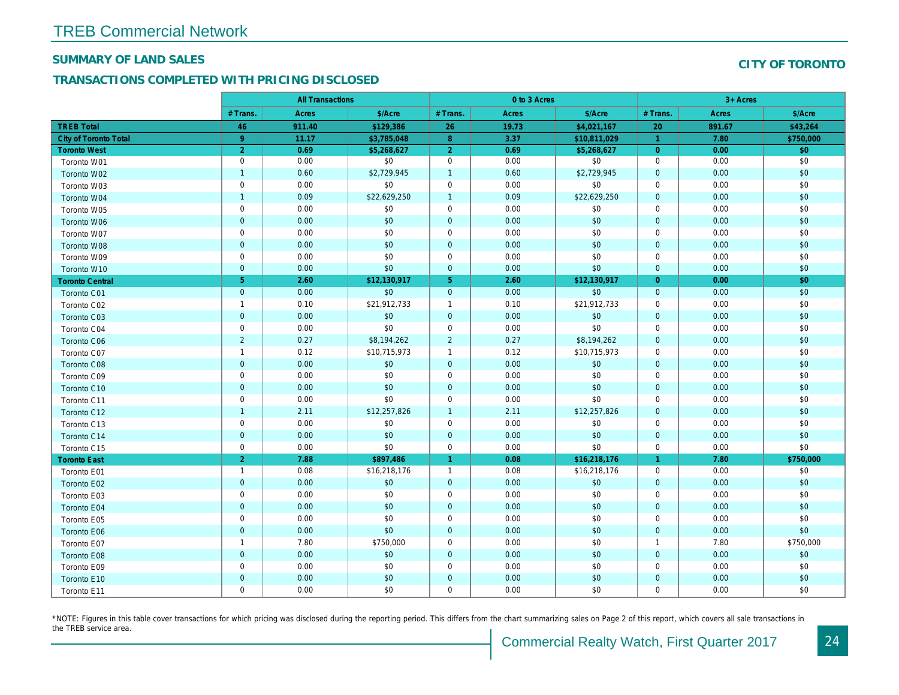#### SUMMARY OF LAND SALES

## TRANSACTIONS COMPLETED WITH PRICING DISCLOSED

|                              |                | <b>All Transactions</b> |              |                      | 0 to 3 Acres |              |                |  |
|------------------------------|----------------|-------------------------|--------------|----------------------|--------------|--------------|----------------|--|
|                              | # Trans.       | Acres                   | \$/Acre      | # Trans.             | Acres        | \$/Acre      | # Trans.       |  |
| <b>TREB Total</b>            | 46             | 911.40                  | \$129,386    | 26                   | 19.73        | \$4,021,167  | 20             |  |
| <b>City of Toronto Total</b> | 9 <sup>°</sup> | 11.17                   | \$3,785,048  | 8                    | 3.37         | \$10,811,029 | $\mathbf{1}$   |  |
| <b>Toronto West</b>          | $\overline{2}$ | 0.69                    | \$5,268,627  | $\overline{2}$       | 0.69         | \$5,268,627  | $\overline{0}$ |  |
| Toronto W01                  | $\mathbf 0$    | 0.00                    | \$0          | $\mathbf 0$          | 0.00         | \$0          | $\mathbf 0$    |  |
| Toronto W02                  | $\overline{1}$ | 0.60                    | \$2,729,945  | $\mathbf{1}$         | 0.60         | \$2,729,945  | $\mathbf 0$    |  |
| Toronto W03                  | $\mathbf 0$    | 0.00                    | \$0          | $\mathbf 0$          | 0.00         | \$0          | 0              |  |
| Toronto W04                  | $\overline{1}$ | 0.09                    | \$22,629,250 | $\overline{1}$       | 0.09         | \$22,629,250 | $\mathbf 0$    |  |
| Toronto W05                  | $\mathbf 0$    | 0.00                    | \$0          | $\mathbf 0$          | 0.00         | \$0          | $\mathbf 0$    |  |
| Toronto W06                  | $\pmb{0}$      | 0.00                    | \$0          | $\mathbf{0}$         | 0.00         | \$0          | $\mathbf 0$    |  |
| Toronto W07                  | $\mathbf 0$    | 0.00                    | \$0          | $\mathbf 0$          | 0.00         | \$0          | 0              |  |
| Toronto W08                  | $\mathbf 0$    | 0.00                    | \$0          | $\mathbf{0}$         | 0.00         | \$0          | $\overline{0}$ |  |
| Toronto W09                  | $\mathbf 0$    | 0.00                    | \$0          | $\mathbf 0$          | 0.00         | \$0          | $\mathbf 0$    |  |
| Toronto W10                  | $\pmb{0}$      | 0.00                    | \$0          | $\mathbf{0}$         | 0.00         | \$0          | $\mathbf{0}$   |  |
| <b>Toronto Central</b>       | 5 <sup>5</sup> | 2.60                    | \$12,130,917 | 5 <sup>5</sup>       | 2.60         | \$12,130,917 | $\overline{0}$ |  |
| Toronto C01                  | $\mathbf 0$    | 0.00                    | \$0          | $\mathbf{0}$         | 0.00         | \$0          | $\mathbf{0}$   |  |
| Toronto C02                  | $\mathbf{1}$   | 0.10                    | \$21,912,733 | $\mathbf{1}$         | 0.10         | \$21,912,733 | 0              |  |
| Toronto C03                  | $\mathbf 0$    | 0.00                    | \$0          | $\mathbf 0$          | 0.00         | \$0          | $\mathbf{0}$   |  |
| Toronto C04                  | $\mathsf 0$    | 0.00                    | \$0          | $\mathbf 0$          | 0.00         | \$0          | $\mathbf 0$    |  |
| Toronto C06                  | $\overline{2}$ | 0.27                    | \$8,194,262  | $\overline{a}$       | 0.27         | \$8,194,262  | $\mathbf{0}$   |  |
| Toronto C07                  | $\mathbf{1}$   | 0.12                    | \$10,715,973 | $\mathbf{1}$         | 0.12         | \$10,715,973 | $\mathbf 0$    |  |
| Toronto C08                  | $\overline{0}$ | 0.00                    | \$0          | $\mathbf{0}$         | 0.00         | \$0          | $\mathbf{0}$   |  |
| Toronto C09                  | $\mathsf 0$    | 0.00                    | \$0          | $\mathbf 0$          | 0.00         | \$0          | 0              |  |
| Toronto C10                  | $\mathbf 0$    | 0.00                    | \$0          | $\mathbf{0}$         | 0.00         | \$0          | $\overline{0}$ |  |
| Toronto C11                  | $\mathsf 0$    | 0.00                    | \$0          | $\mathbf 0$          | 0.00         | \$0          | $\mathbf 0$    |  |
| Toronto C12                  | $\overline{1}$ | 2.11                    | \$12,257,826 | $\mathbf{1}$         | 2.11         | \$12,257,826 | $\mathbf{0}$   |  |
| Toronto C13                  | $\mathbf 0$    | 0.00                    | \$0          | $\mathbf 0$          | 0.00         | \$0          | $\mathbf 0$    |  |
| Toronto C14                  | $\mathbf 0$    | 0.00                    | \$0          | $\mathbf{0}$         | 0.00         | \$0          | $\mathbf 0$    |  |
| Toronto C15                  | $\mathsf 0$    | 0.00                    | \$0          | $\mathbf 0$          | 0.00         | \$0          | $\mathbf 0$    |  |
| <b>Toronto East</b>          | $\overline{2}$ | 7.88                    | \$897,486    | $\blacktriangleleft$ | 0.08         | \$16,218,176 | $\mathbf{1}$   |  |
| Toronto E01                  | $\overline{1}$ | 0.08                    | \$16,218,176 | $\mathbf{1}$         | 0.08         | \$16,218,176 | 0              |  |
| Toronto E02                  | $\pmb{0}$      | 0.00                    | \$0          | $\mathbf{0}$         | 0.00         | \$0          | $\mathbf 0$    |  |
| Toronto E03                  | $\mathbf 0$    | 0.00                    | \$0          | $\mathbf 0$          | 0.00         | \$0          | $\mathbf 0$    |  |
| Toronto E04                  | $\pmb{0}$      | 0.00                    | \$0          | $\mathbf 0$          | 0.00         | \$0          | $\mathbf 0$    |  |
| Toronto E05                  | $\mathbf 0$    | 0.00                    | \$0          | 0                    | 0.00         | \$0          | 0              |  |
| Toronto E06                  | $\mathbf 0$    | 0.00                    | \$0          | $\mathbf{0}$         | 0.00         | \$0          | $\overline{0}$ |  |
| Toronto E07                  | $\overline{1}$ | 7.80                    | \$750,000    | $\mathbf 0$          | 0.00         | \$0          | $\overline{1}$ |  |
| <b>Toronto E08</b>           | $\mathbf 0$    | 0.00                    | \$0          | $\mathbf 0$          | 0.00         | \$0          | $\mathbf 0$    |  |
| Toronto E09                  | $\mathsf 0$    | 0.00                    | \$0          | $\mathbf 0$          | 0.00         | \$0          | $\mathbf 0$    |  |
| Toronto E10                  | $\pmb{0}$      | 0.00                    | \$0          | $\mathbf 0$          | 0.00         | \$0          | $\mathbf 0$    |  |
| Toronto E11                  | $\mathbf 0$    | 0.00                    | \$0          | $\mathbf 0$          | 0.00         | \$0          | $\mathbf 0$    |  |